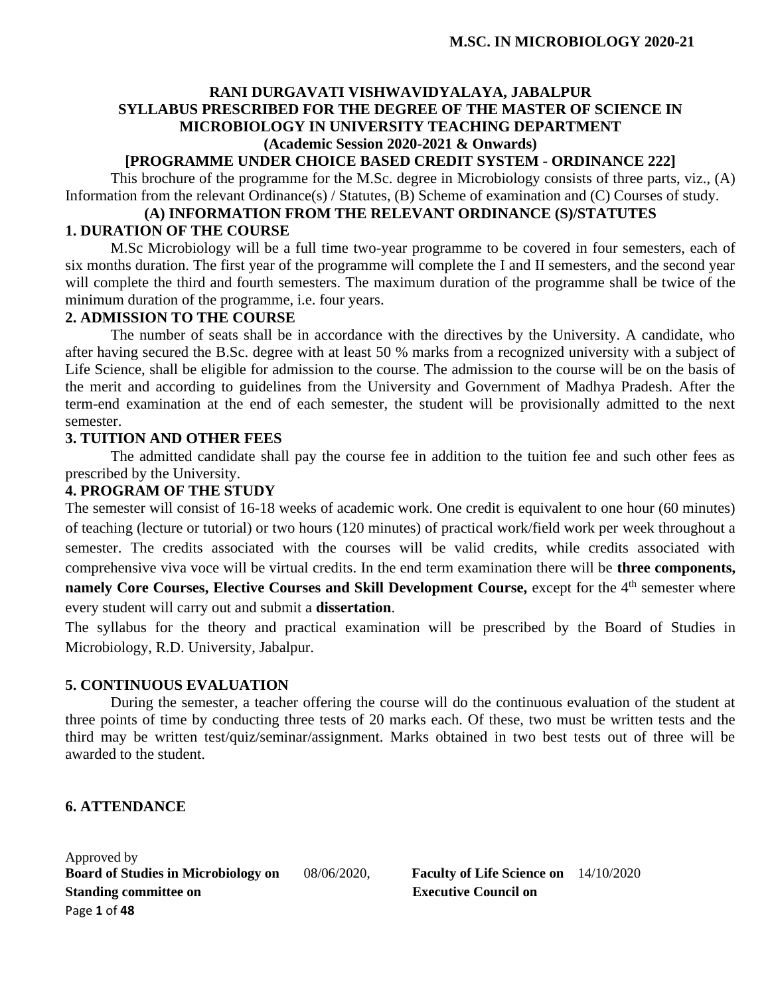## **RANI DURGAVATI VISHWAVIDYALAYA, JABALPUR SYLLABUS PRESCRIBED FOR THE DEGREE OF THE MASTER OF SCIENCE IN MICROBIOLOGY IN UNIVERSITY TEACHING DEPARTMENT (Academic Session 2020-2021 & Onwards)**

## **[PROGRAMME UNDER CHOICE BASED CREDIT SYSTEM - ORDINANCE 222]**

This brochure of the programme for the M.Sc. degree in Microbiology consists of three parts, viz., (A) Information from the relevant Ordinance(s) / Statutes, (B) Scheme of examination and (C) Courses of study.

## **(A) INFORMATION FROM THE RELEVANT ORDINANCE (S)/STATUTES 1. DURATION OF THE COURSE**

M.Sc Microbiology will be a full time two-year programme to be covered in four semesters, each of six months duration. The first year of the programme will complete the I and II semesters, and the second year will complete the third and fourth semesters. The maximum duration of the programme shall be twice of the minimum duration of the programme, i.e. four years.

## **2. ADMISSION TO THE COURSE**

The number of seats shall be in accordance with the directives by the University. A candidate, who after having secured the B.Sc. degree with at least 50 % marks from a recognized university with a subject of Life Science, shall be eligible for admission to the course. The admission to the course will be on the basis of the merit and according to guidelines from the University and Government of Madhya Pradesh. After the term-end examination at the end of each semester, the student will be provisionally admitted to the next semester.

## **3. TUITION AND OTHER FEES**

The admitted candidate shall pay the course fee in addition to the tuition fee and such other fees as prescribed by the University.

### **4. PROGRAM OF THE STUDY**

The semester will consist of 16-18 weeks of academic work. One credit is equivalent to one hour (60 minutes) of teaching (lecture or tutorial) or two hours (120 minutes) of practical work/field work per week throughout a semester. The credits associated with the courses will be valid credits, while credits associated with comprehensive viva voce will be virtual credits. In the end term examination there will be **three components, namely Core Courses, Elective Courses and Skill Development Course, except for the 4<sup>th</sup> semester where** every student will carry out and submit a **dissertation**.

The syllabus for the theory and practical examination will be prescribed by the Board of Studies in Microbiology, R.D. University, Jabalpur.

## **5. CONTINUOUS EVALUATION**

During the semester, a teacher offering the course will do the continuous evaluation of the student at three points of time by conducting three tests of 20 marks each. Of these, two must be written tests and the third may be written test/quiz/seminar/assignment. Marks obtained in two best tests out of three will be awarded to the student.

## **6. ATTENDANCE**

Approved by **Board of Studies in Microbiology on** 08/06/2020, **Faculty of Life Science on** 14/10/2020 **Standing committee on** <br>**Executive Council on** Page **1** of **48**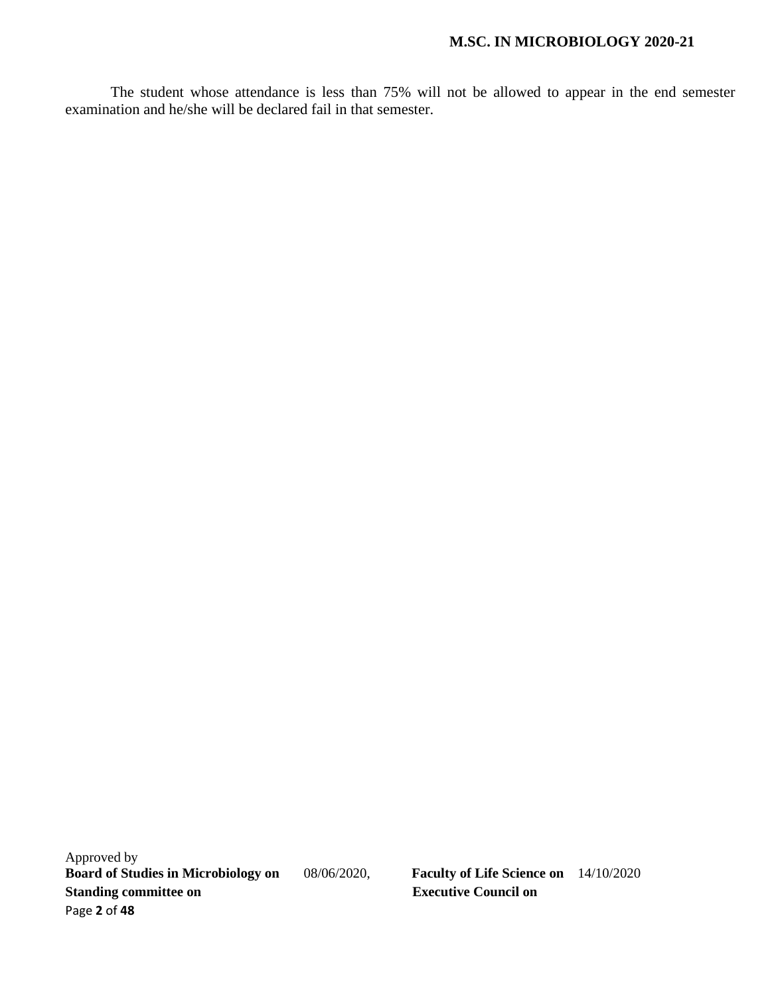The student whose attendance is less than 75% will not be allowed to appear in the end semester examination and he/she will be declared fail in that semester.

Approved by<br>Board of Studies in Microbiology on **Standing committee on Executive Council on** Page **2** of **48**

**Board of Studies in Microbiology on** 08/06/2020, **Faculty of Life Science on** 14/10/2020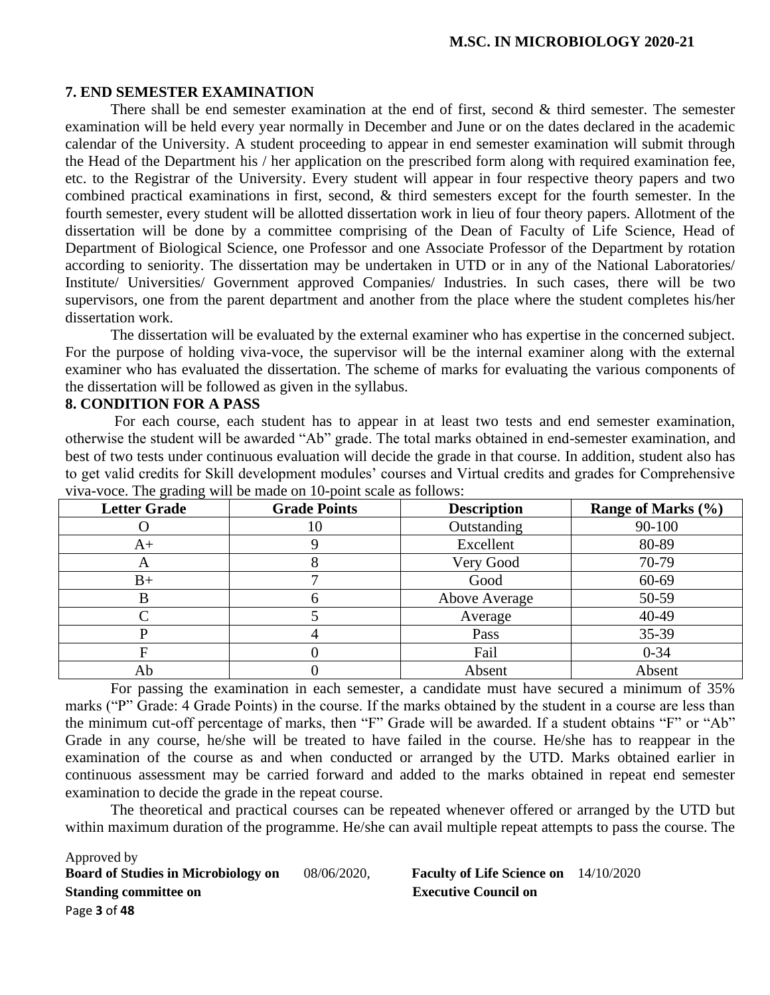#### **7. END SEMESTER EXAMINATION**

There shall be end semester examination at the end of first, second  $\&$  third semester. The semester examination will be held every year normally in December and June or on the dates declared in the academic calendar of the University. A student proceeding to appear in end semester examination will submit through the Head of the Department his / her application on the prescribed form along with required examination fee, etc. to the Registrar of the University. Every student will appear in four respective theory papers and two combined practical examinations in first, second, & third semesters except for the fourth semester. In the fourth semester, every student will be allotted dissertation work in lieu of four theory papers. Allotment of the dissertation will be done by a committee comprising of the Dean of Faculty of Life Science, Head of Department of Biological Science, one Professor and one Associate Professor of the Department by rotation according to seniority. The dissertation may be undertaken in UTD or in any of the National Laboratories/ Institute/ Universities/ Government approved Companies/ Industries. In such cases, there will be two supervisors, one from the parent department and another from the place where the student completes his/her dissertation work.

The dissertation will be evaluated by the external examiner who has expertise in the concerned subject. For the purpose of holding viva-voce, the supervisor will be the internal examiner along with the external examiner who has evaluated the dissertation. The scheme of marks for evaluating the various components of the dissertation will be followed as given in the syllabus.

#### **8. CONDITION FOR A PASS**

For each course, each student has to appear in at least two tests and end semester examination, otherwise the student will be awarded "Ab" grade. The total marks obtained in end-semester examination, and best of two tests under continuous evaluation will decide the grade in that course. In addition, student also has to get valid credits for Skill development modules' courses and Virtual credits and grades for Comprehensive viva-voce. The grading will be made on 10-point scale as follows:

| <b>Letter Grade</b> | <b>Grade Points</b> | <b>Description</b> | Range of Marks (%) |
|---------------------|---------------------|--------------------|--------------------|
|                     | l0                  | Outstanding        | 90-100             |
| $A+$                |                     | Excellent          | 80-89              |
| $\Delta$            |                     | Very Good          | 70-79              |
| $B+$                |                     | Good               | 60-69              |
|                     |                     | Above Average      | 50-59              |
|                     |                     | Average            | 40-49              |
|                     |                     | Pass               | 35-39              |
|                     |                     | Fail               | $0 - 34$           |
| Ab                  |                     | Absent             | Absent             |

For passing the examination in each semester, a candidate must have secured a minimum of 35% marks ("P" Grade: 4 Grade Points) in the course. If the marks obtained by the student in a course are less than the minimum cut-off percentage of marks, then "F" Grade will be awarded. If a student obtains "F" or "Ab" Grade in any course, he/she will be treated to have failed in the course. He/she has to reappear in the examination of the course as and when conducted or arranged by the UTD. Marks obtained earlier in continuous assessment may be carried forward and added to the marks obtained in repeat end semester examination to decide the grade in the repeat course.

The theoretical and practical courses can be repeated whenever offered or arranged by the UTD but within maximum duration of the programme. He/she can avail multiple repeat attempts to pass the course. The

Approved by **Board of Studies in Microbiology on** 08/06/2020, **Faculty of Life Science on** 14/10/2020 **Standing committee on** <br>**Executive Council on** Page **3** of **48**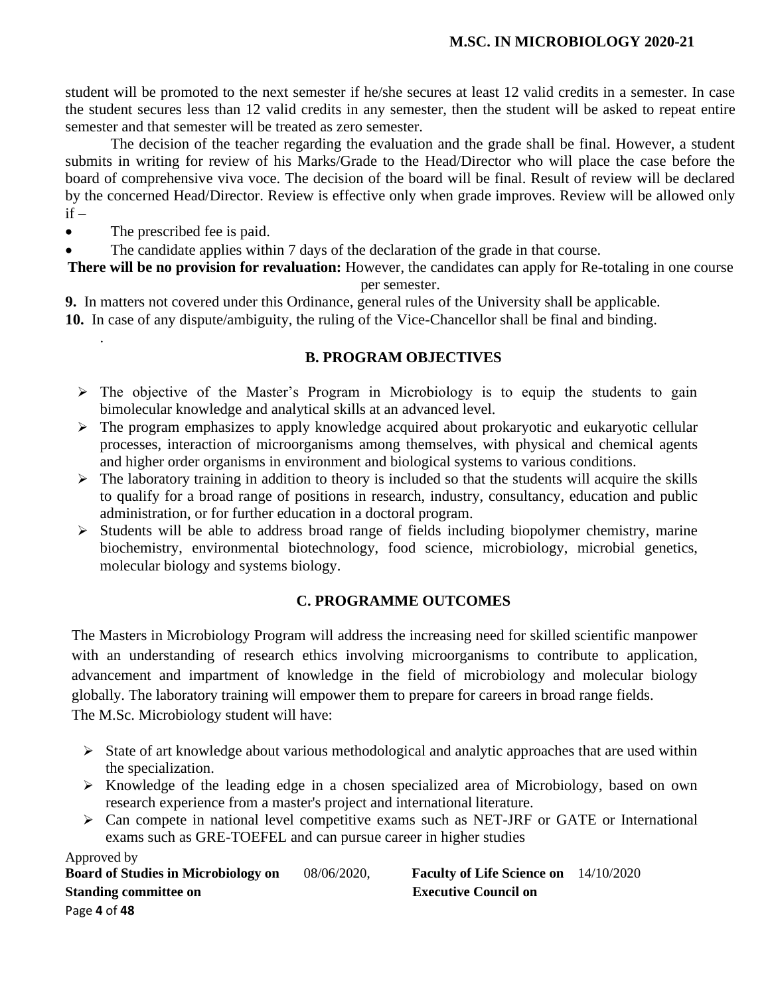student will be promoted to the next semester if he/she secures at least 12 valid credits in a semester. In case the student secures less than 12 valid credits in any semester, then the student will be asked to repeat entire semester and that semester will be treated as zero semester.

The decision of the teacher regarding the evaluation and the grade shall be final. However, a student submits in writing for review of his Marks/Grade to the Head/Director who will place the case before the board of comprehensive viva voce. The decision of the board will be final. Result of review will be declared by the concerned Head/Director. Review is effective only when grade improves. Review will be allowed only  $if -$ 

• The prescribed fee is paid.

.

• The candidate applies within 7 days of the declaration of the grade in that course.

**There will be no provision for revaluation:** However, the candidates can apply for Re-totaling in one course per semester.

**9.** In matters not covered under this Ordinance, general rules of the University shall be applicable.

**10.** In case of any dispute/ambiguity, the ruling of the Vice-Chancellor shall be final and binding.

## **B. PROGRAM OBJECTIVES**

- ➢ The objective of the Master's Program in Microbiology is to equip the students to gain bimolecular knowledge and analytical skills at an advanced level.
- ➢ The program emphasizes to apply knowledge acquired about prokaryotic and eukaryotic cellular processes, interaction of microorganisms among themselves, with physical and chemical agents and higher order organisms in environment and biological systems to various conditions.
- $\triangleright$  The laboratory training in addition to theory is included so that the students will acquire the skills to qualify for a broad range of positions in research, industry, consultancy, education and public administration, or for further education in a doctoral program.
- ➢ Students will be able to address broad range of fields including biopolymer chemistry, marine biochemistry, environmental biotechnology, food science, microbiology, microbial genetics, molecular biology and systems biology.

# **C. PROGRAMME OUTCOMES**

The Masters in Microbiology Program will address the increasing need for skilled scientific manpower with an understanding of research ethics involving microorganisms to contribute to application, advancement and impartment of knowledge in the field of microbiology and molecular biology globally. The laboratory training will empower them to prepare for careers in broad range fields. The M.Sc. Microbiology student will have:

- ➢ State of art knowledge about various methodological and analytic approaches that are used within the specialization.
- ➢ Knowledge of the leading edge in a chosen specialized area of Microbiology, based on own research experience from a master's project and international literature.
- ➢ Can compete in national level competitive exams such as NET-JRF or GATE or International exams such as GRE-TOEFEL and can pursue career in higher studies

Approved by<br>Board of Studies in Microbiology on **Standing committee on** <br>**Executive Council on** Page **4** of **48**

**Board of Studies in Microbiology on** 08/06/2020, **Faculty of Life Science on** 14/10/2020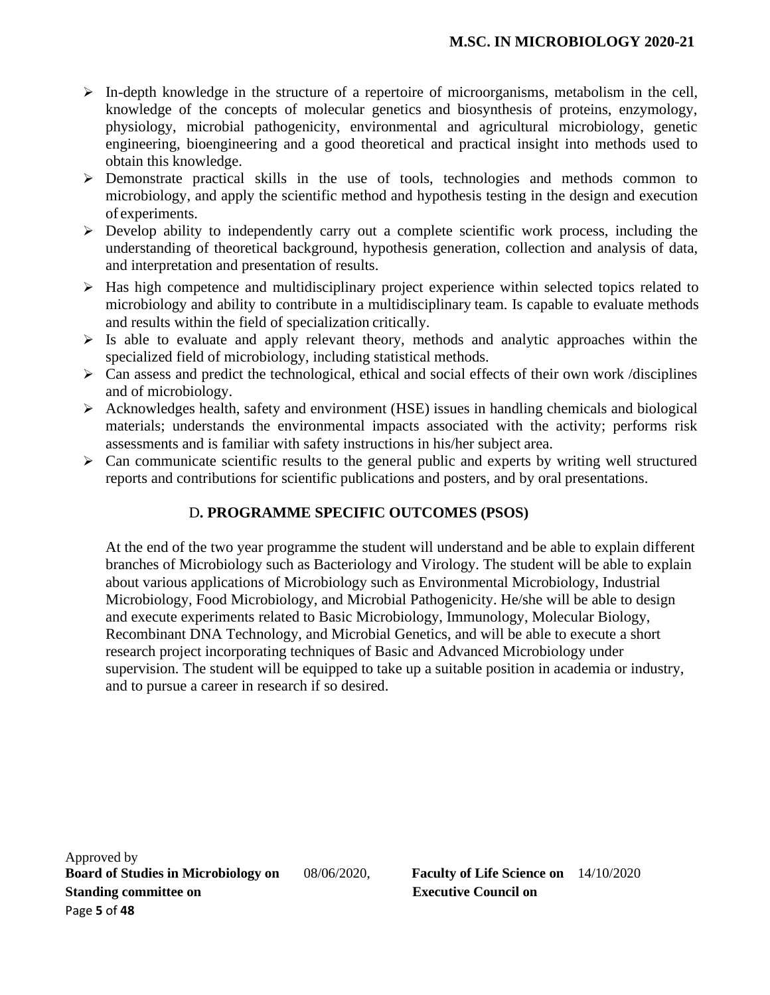- $\triangleright$  In-depth knowledge in the structure of a repertoire of microorganisms, metabolism in the cell, knowledge of the concepts of molecular genetics and biosynthesis of proteins, enzymology, physiology, microbial pathogenicity, environmental and agricultural microbiology, genetic engineering, bioengineering and a good theoretical and practical insight into methods used to obtain this knowledge.
- ➢ Demonstrate practical skills in the use of tools, technologies and methods common to microbiology, and apply the scientific method and hypothesis testing in the design and execution of experiments.
- ➢ Develop ability to independently carry out a complete scientific work process, including the understanding of theoretical background, hypothesis generation, collection and analysis of data, and interpretation and presentation of results.
- ➢ Has high competence and multidisciplinary project experience within selected topics related to microbiology and ability to contribute in a multidisciplinary team. Is capable to evaluate methods and results within the field of specialization critically.
- $\triangleright$  Is able to evaluate and apply relevant theory, methods and analytic approaches within the specialized field of microbiology, including statistical methods.
- $\triangleright$  Can assess and predict the technological, ethical and social effects of their own work /disciplines and of microbiology.
- ➢ Acknowledges health, safety and environment (HSE) issues in handling chemicals and biological materials; understands the environmental impacts associated with the activity; performs risk assessments and is familiar with safety instructions in his/her subject area.
- ➢ Can communicate scientific results to the general public and experts by writing well structured reports and contributions for scientific publications and posters, and by oral presentations.

# D**. PROGRAMME SPECIFIC OUTCOMES (PSOS)**

At the end of the two year programme the student will understand and be able to explain different branches of Microbiology such as Bacteriology and Virology. The student will be able to explain about various applications of Microbiology such as Environmental Microbiology, Industrial Microbiology, Food Microbiology, and Microbial Pathogenicity. He/she will be able to design and execute experiments related to Basic Microbiology, Immunology, Molecular Biology, Recombinant DNA Technology, and Microbial Genetics, and will be able to execute a short research project incorporating techniques of Basic and Advanced Microbiology under supervision. The student will be equipped to take up a suitable position in academia or industry, and to pursue a career in research if so desired.

Approved by **Board of Studies in Microbiology on** 08/06/2020, **Faculty of Life Science on** 14/10/2020 **Standing committee on** <br>**Executive Council on** Page **5** of **48**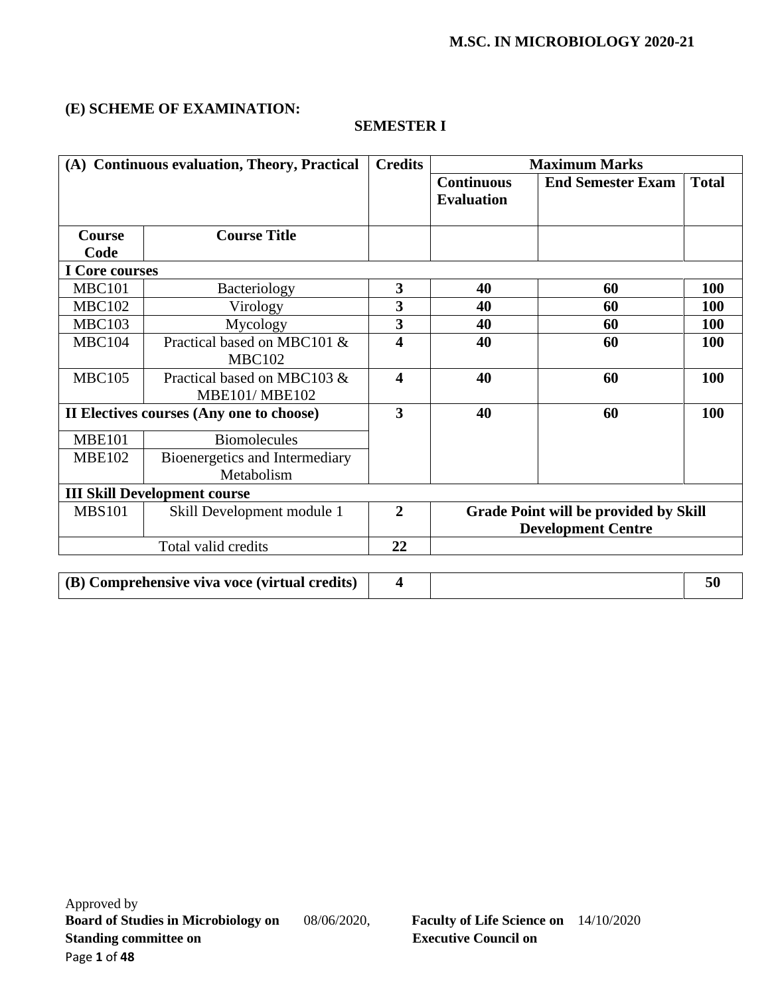## **(E) SCHEME OF EXAMINATION:**

| (A) Continuous evaluation, Theory, Practical |                                                     | <b>Credits</b> | <b>Maximum Marks</b>                   |                                                                           |              |
|----------------------------------------------|-----------------------------------------------------|----------------|----------------------------------------|---------------------------------------------------------------------------|--------------|
|                                              |                                                     |                | <b>Continuous</b><br><b>Evaluation</b> | <b>End Semester Exam</b>                                                  | <b>Total</b> |
| <b>Course</b>                                | <b>Course Title</b>                                 |                |                                        |                                                                           |              |
| Code                                         |                                                     |                |                                        |                                                                           |              |
| I Core courses                               |                                                     |                |                                        |                                                                           |              |
| <b>MBC101</b>                                | Bacteriology                                        | 3              | 40                                     | 60                                                                        | <b>100</b>   |
| <b>MBC102</b>                                | Virology                                            | 3              | 40                                     | 60                                                                        | <b>100</b>   |
| <b>MBC103</b>                                | Mycology                                            | 3              | 40                                     | 60                                                                        | <b>100</b>   |
| <b>MBC104</b>                                | Practical based on MBC101 &<br><b>MBC102</b>        | 4              | 40                                     | 60                                                                        | <b>100</b>   |
| <b>MBC105</b>                                | Practical based on MBC103 &<br><b>MBE101/MBE102</b> | 4              | 40                                     | 60                                                                        | 100          |
|                                              | II Electives courses (Any one to choose)            | 3              | 40                                     | 60                                                                        | 100          |
| <b>MBE101</b>                                | <b>Biomolecules</b>                                 |                |                                        |                                                                           |              |
| <b>MBE102</b>                                | Bioenergetics and Intermediary<br>Metabolism        |                |                                        |                                                                           |              |
|                                              | <b>III Skill Development course</b>                 |                |                                        |                                                                           |              |
| <b>MBS101</b><br>Skill Development module 1  |                                                     | $\overline{2}$ |                                        | <b>Grade Point will be provided by Skill</b><br><b>Development Centre</b> |              |
|                                              | Total valid credits                                 | 22             |                                        |                                                                           |              |
|                                              | (B) Comprehensive viva voce (virtual credits)       | 4              |                                        |                                                                           | 50           |

### **SEMESTER I**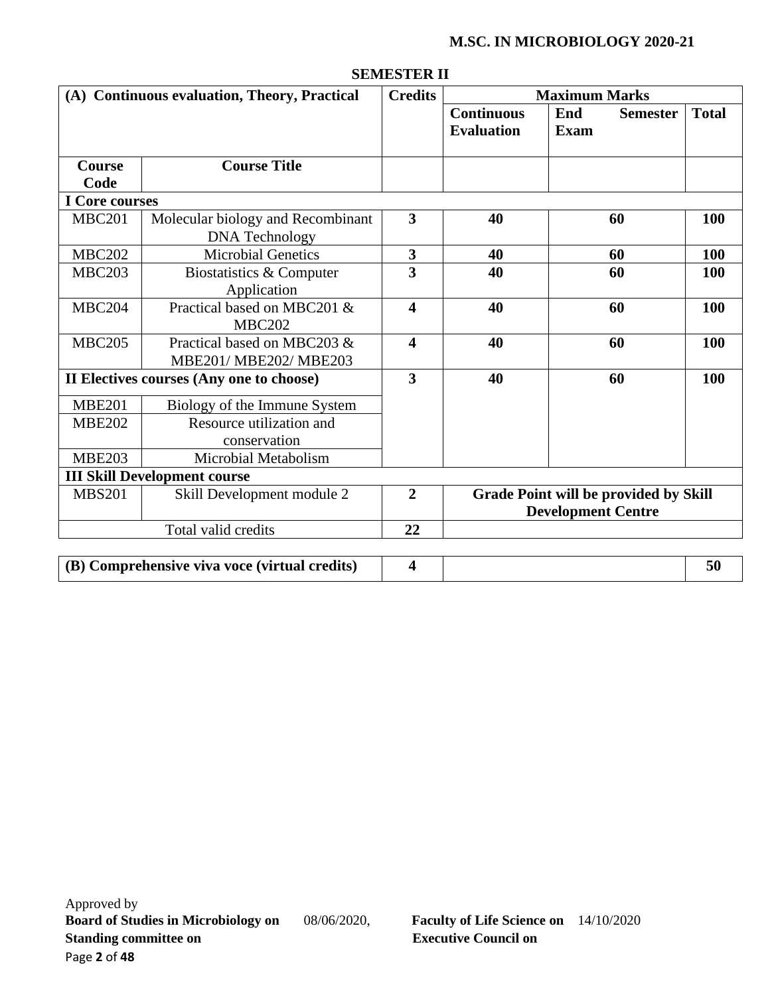| (A) Continuous evaluation, Theory, Practical |                                          | <b>Credits</b>          |                                        | <b>Maximum Marks</b>                         |              |  |
|----------------------------------------------|------------------------------------------|-------------------------|----------------------------------------|----------------------------------------------|--------------|--|
|                                              |                                          |                         | <b>Continuous</b><br><b>Evaluation</b> | End<br><b>Semester</b><br><b>Exam</b>        | <b>Total</b> |  |
| <b>Course</b>                                | <b>Course Title</b>                      |                         |                                        |                                              |              |  |
| Code                                         |                                          |                         |                                        |                                              |              |  |
| I Core courses                               |                                          |                         |                                        |                                              |              |  |
| <b>MBC201</b>                                | Molecular biology and Recombinant        | $\overline{\mathbf{3}}$ | 40                                     | 60                                           | 100          |  |
|                                              | <b>DNA</b> Technology                    |                         |                                        |                                              |              |  |
| <b>MBC202</b>                                | <b>Microbial Genetics</b>                | $\overline{\mathbf{3}}$ | 40                                     | 60                                           | 100          |  |
| <b>MBC203</b>                                | Biostatistics & Computer                 | $\overline{\mathbf{3}}$ | 40                                     | 60                                           | <b>100</b>   |  |
|                                              | Application                              |                         |                                        |                                              |              |  |
| <b>MBC204</b>                                | Practical based on MBC201 &              | $\overline{\mathbf{4}}$ | 40                                     | 60                                           | 100          |  |
|                                              | <b>MBC202</b>                            |                         |                                        |                                              |              |  |
| <b>MBC205</b>                                | Practical based on MBC203 &              | $\overline{\mathbf{4}}$ | 40                                     | 60                                           | 100          |  |
|                                              | MBE201/ MBE202/ MBE203                   |                         |                                        |                                              |              |  |
|                                              | II Electives courses (Any one to choose) | $\overline{\mathbf{3}}$ | 40                                     | 60                                           | 100          |  |
| <b>MBE201</b>                                | Biology of the Immune System             |                         |                                        |                                              |              |  |
| <b>MBE202</b>                                | Resource utilization and                 |                         |                                        |                                              |              |  |
|                                              | conservation                             |                         |                                        |                                              |              |  |
| <b>MBE203</b>                                | Microbial Metabolism                     |                         |                                        |                                              |              |  |
|                                              | <b>III Skill Development course</b>      |                         |                                        |                                              |              |  |
| <b>MBS201</b>                                | Skill Development module 2               | $\overline{2}$          |                                        | <b>Grade Point will be provided by Skill</b> |              |  |
|                                              |                                          |                         |                                        | <b>Development Centre</b>                    |              |  |
|                                              | Total valid credits                      | 22                      |                                        |                                              |              |  |
|                                              |                                          |                         |                                        |                                              |              |  |

#### **SEMESTER II**

**(B) Comprehensive viva voce (virtual credits) 4 50**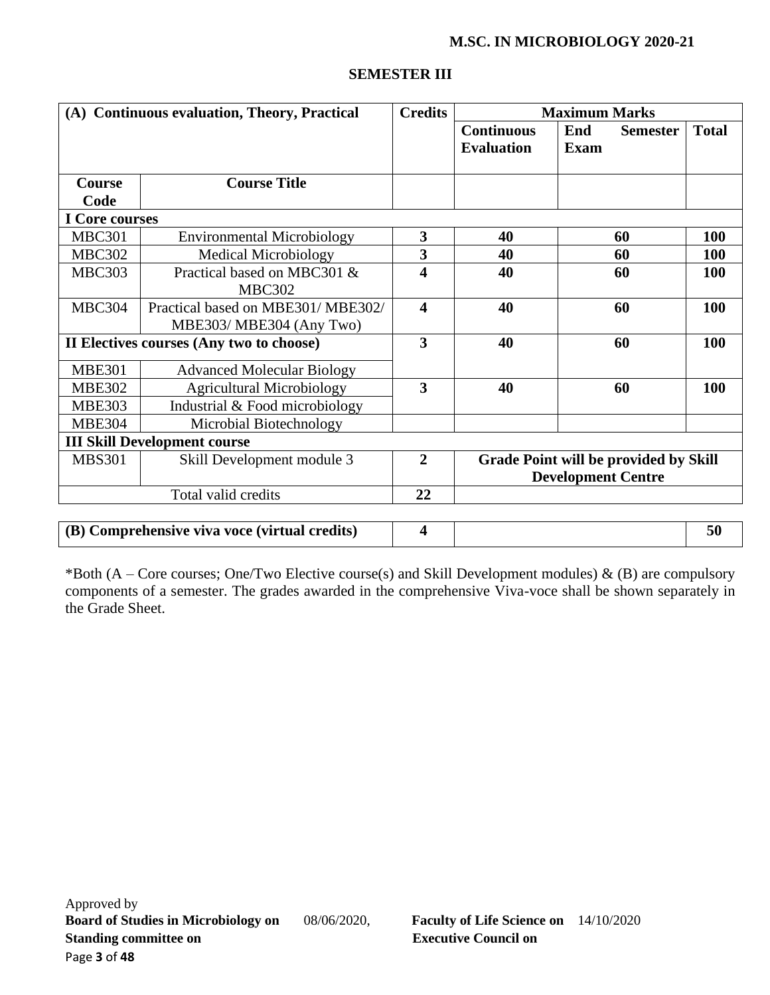| (A) Continuous evaluation, Theory, Practical |                                                              | <b>Credits</b>          | <b>Maximum Marks</b>                   |                           |                                              |              |
|----------------------------------------------|--------------------------------------------------------------|-------------------------|----------------------------------------|---------------------------|----------------------------------------------|--------------|
|                                              |                                                              |                         | <b>Continuous</b><br><b>Evaluation</b> | End<br>Exam               | <b>Semester</b>                              | <b>Total</b> |
| <b>Course</b>                                | <b>Course Title</b>                                          |                         |                                        |                           |                                              |              |
| Code                                         |                                                              |                         |                                        |                           |                                              |              |
| <b>I</b> Core courses                        |                                                              |                         |                                        |                           |                                              |              |
| <b>MBC301</b>                                | <b>Environmental Microbiology</b>                            | 3                       | 40                                     |                           | 60                                           | 100          |
| <b>MBC302</b>                                | <b>Medical Microbiology</b>                                  | $\overline{\mathbf{3}}$ | 40                                     |                           | 60                                           | <b>100</b>   |
| <b>MBC303</b>                                | Practical based on MBC301 &<br><b>MBC302</b>                 | 4                       | 40                                     |                           | 60                                           | <b>100</b>   |
| <b>MBC304</b>                                | Practical based on MBE301/MBE302/<br>MBE303/MBE304 (Any Two) | $\overline{\mathbf{4}}$ | 40                                     |                           | 60                                           | 100          |
|                                              | II Electives courses (Any two to choose)                     | 3                       | 40                                     |                           | 60                                           | 100          |
| <b>MBE301</b>                                | <b>Advanced Molecular Biology</b>                            |                         |                                        |                           |                                              |              |
| <b>MBE302</b>                                | <b>Agricultural Microbiology</b>                             | $\overline{\mathbf{3}}$ | 40                                     | 60                        | 100                                          |              |
| <b>MBE303</b>                                | Industrial & Food microbiology                               |                         |                                        |                           |                                              |              |
| <b>MBE304</b>                                | Microbial Biotechnology                                      |                         |                                        |                           |                                              |              |
|                                              | <b>III Skill Development course</b>                          |                         |                                        |                           |                                              |              |
| <b>MBS301</b><br>Skill Development module 3  |                                                              | $\overline{2}$          |                                        | <b>Development Centre</b> | <b>Grade Point will be provided by Skill</b> |              |
|                                              | Total valid credits                                          | 22                      |                                        |                           |                                              |              |
|                                              |                                                              |                         |                                        |                           |                                              |              |
|                                              | (B) Comprehensive viva voce (virtual credits)                | $\overline{\mathbf{4}}$ |                                        |                           |                                              | 50           |

## **SEMESTER III**

\*Both (A – Core courses; One/Two Elective course(s) and Skill Development modules)  $\&$  (B) are compulsory components of a semester. The grades awarded in the comprehensive Viva-voce shall be shown separately in the Grade Sheet.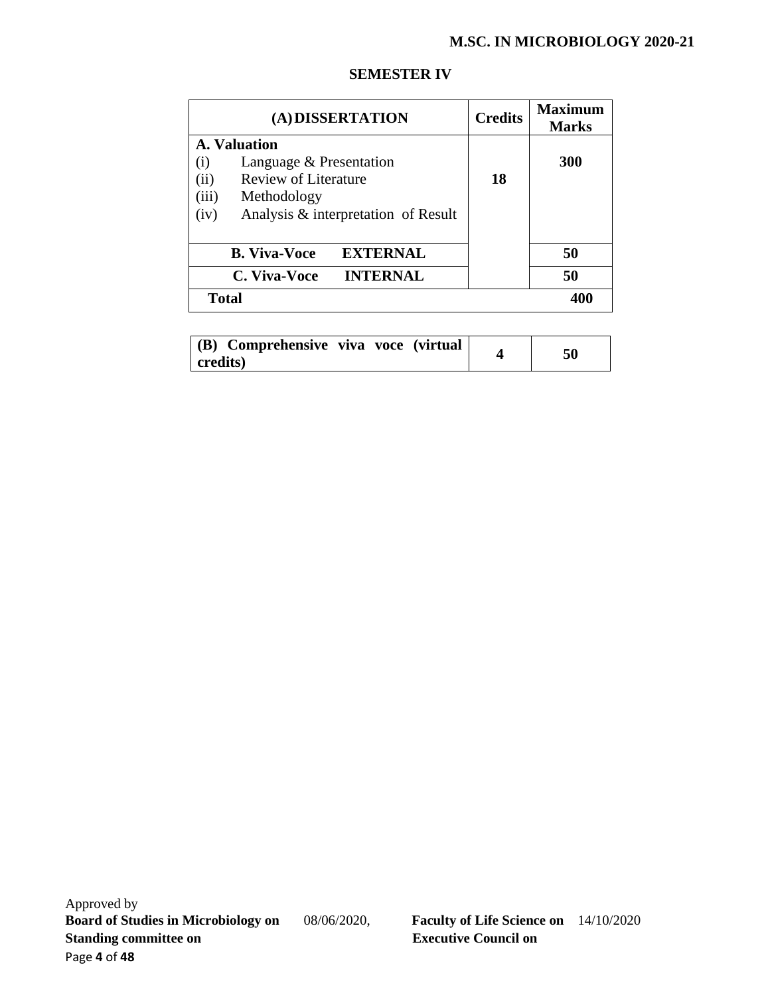| (A) DISSERTATION                            | <b>Credits</b> | <b>Maximum</b><br><b>Marks</b> |
|---------------------------------------------|----------------|--------------------------------|
| A. Valuation                                |                |                                |
| Language & Presentation<br>$\rm(i)$         |                | <b>300</b>                     |
| <b>Review of Literature</b><br>(ii)         | 18             |                                |
| (iii)<br>Methodology                        |                |                                |
| Analysis & interpretation of Result<br>(iv) |                |                                |
| <b>EXTERNAL</b><br><b>B.</b> Viva-Voce      |                | 50                             |
| <b>INTERNAL</b><br>C. Viva-Voce             |                | 50                             |
| <b>Total</b>                                |                | 400                            |

#### **SEMESTER IV**

| (B) Comprehensive viva voce (virtual | 50 |
|--------------------------------------|----|
| credits)                             |    |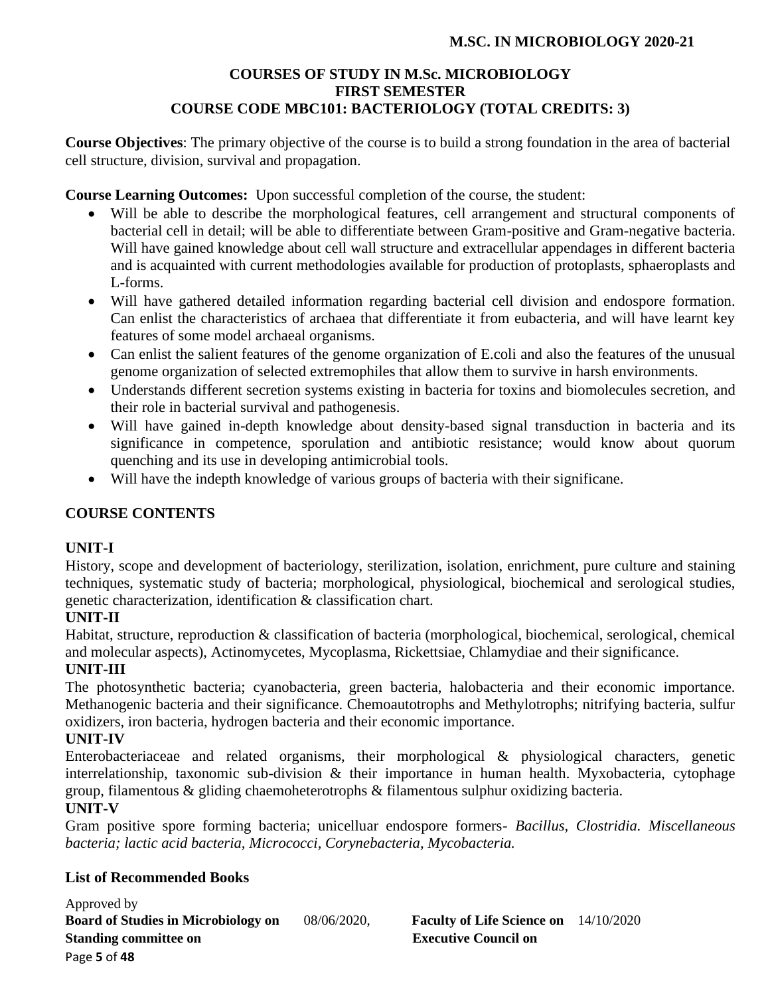# **COURSES OF STUDY IN M.Sc. MICROBIOLOGY FIRST SEMESTER COURSE CODE MBC101: BACTERIOLOGY (TOTAL CREDITS: 3)**

**Course Objectives**: The primary objective of the course is to build a strong foundation in the area of bacterial cell structure, division, survival and propagation.

**Course Learning Outcomes:** Upon successful completion of the course, the student:

- Will be able to describe the morphological features, cell arrangement and structural components of bacterial cell in detail; will be able to differentiate between Gram-positive and Gram-negative bacteria. Will have gained knowledge about cell wall structure and extracellular appendages in different bacteria and is acquainted with current methodologies available for production of protoplasts, sphaeroplasts and L-forms.
- Will have gathered detailed information regarding bacterial cell division and endospore formation. Can enlist the characteristics of archaea that differentiate it from eubacteria, and will have learnt key features of some model archaeal organisms.
- Can enlist the salient features of the genome organization of E.coli and also the features of the unusual genome organization of selected extremophiles that allow them to survive in harsh environments.
- Understands different secretion systems existing in bacteria for toxins and biomolecules secretion, and their role in bacterial survival and pathogenesis.
- Will have gained in-depth knowledge about density-based signal transduction in bacteria and its significance in competence, sporulation and antibiotic resistance; would know about quorum quenching and its use in developing antimicrobial tools.
- Will have the indepth knowledge of various groups of bacteria with their significane.

# **COURSE CONTENTS**

## **UNIT-I**

History, scope and development of bacteriology, sterilization, isolation, enrichment, pure culture and staining techniques, systematic study of bacteria; morphological, physiological, biochemical and serological studies, genetic characterization, identification & classification chart.

# **UNIT-II**

Habitat, structure, reproduction & classification of bacteria (morphological, biochemical, serological, chemical and molecular aspects), Actinomycetes, Mycoplasma, Rickettsiae, Chlamydiae and their significance.

# **UNIT-III**

The photosynthetic bacteria; cyanobacteria, green bacteria, halobacteria and their economic importance. Methanogenic bacteria and their significance. Chemoautotrophs and Methylotrophs; nitrifying bacteria, sulfur oxidizers, iron bacteria, hydrogen bacteria and their economic importance.

## **UNIT-IV**

Enterobacteriaceae and related organisms, their morphological & physiological characters, genetic interrelationship, taxonomic sub-division & their importance in human health. Myxobacteria, cytophage group, filamentous & gliding chaemoheterotrophs & filamentous sulphur oxidizing bacteria.

# **UNIT-V**

Gram positive spore forming bacteria; unicelluar endospore formers- *Bacillus, Clostridia. Miscellaneous bacteria; lactic acid bacteria, Micrococci, Corynebacteria, Mycobacteria.*

# **List of Recommended Books**

Approved by **Board of Studies in Microbiology on** 08/06/2020, **Faculty of Life Science on** 14/10/2020 **Standing committee on** <br>**Executive Council on** Page **5** of **48**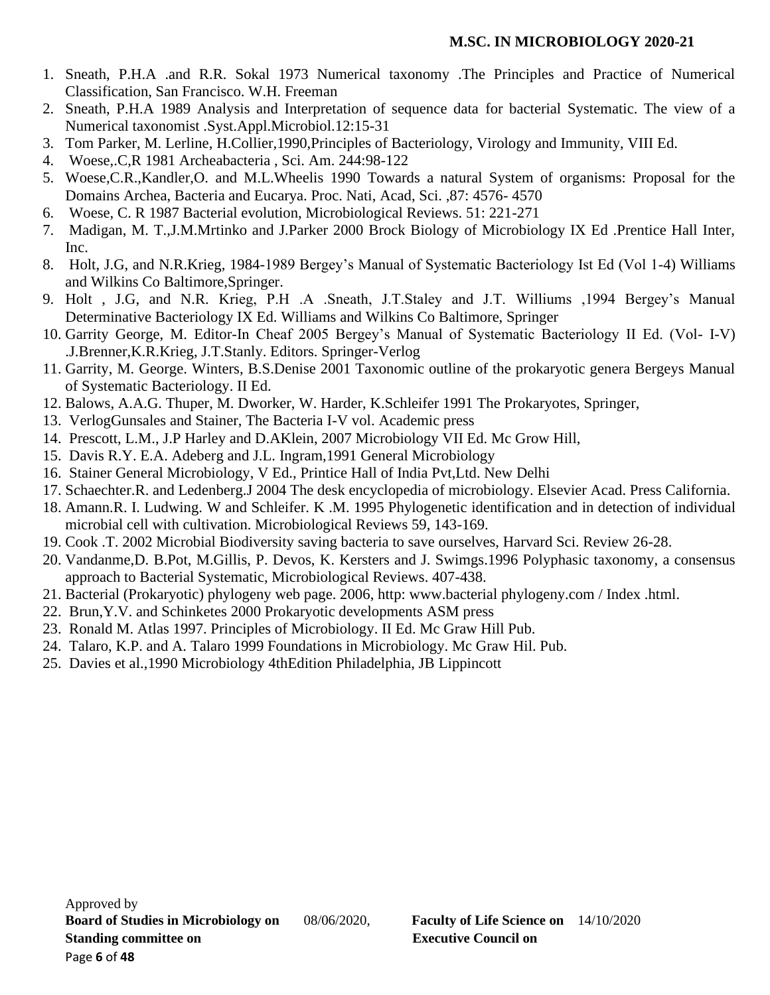- 1. Sneath, P.H.A .and R.R. Sokal 1973 Numerical taxonomy .The Principles and Practice of Numerical Classification, San Francisco. W.H. Freeman
- 2. Sneath, P.H.A 1989 Analysis and Interpretation of sequence data for bacterial Systematic. The view of a Numerical taxonomist .Syst.Appl.Microbiol.12:15-31
- 3. Tom Parker, M. Lerline, H.Collier,1990,Principles of Bacteriology, Virology and Immunity, VIII Ed.
- 4. Woese,.C,R 1981 Archeabacteria , Sci. Am. 244:98-122
- 5. Woese,C.R.,Kandler,O. and M.L.Wheelis 1990 Towards a natural System of organisms: Proposal for the Domains Archea, Bacteria and Eucarya. Proc. Nati, Acad, Sci. ,87: 4576- 4570
- 6. Woese, C. R 1987 Bacterial evolution, Microbiological Reviews. 51: 221-271
- 7. Madigan, M. T.,J.M.Mrtinko and J.Parker 2000 Brock Biology of Microbiology IX Ed .Prentice Hall Inter, Inc.
- 8. Holt, J.G, and N.R.Krieg, 1984-1989 Bergey's Manual of Systematic Bacteriology Ist Ed (Vol 1-4) Williams and Wilkins Co Baltimore,Springer.
- 9. Holt , J.G, and N.R. Krieg, P.H .A .Sneath, J.T.Staley and J.T. Williums ,1994 Bergey's Manual Determinative Bacteriology IX Ed. Williams and Wilkins Co Baltimore, Springer
- 10. Garrity George, M. Editor-In Cheaf 2005 Bergey's Manual of Systematic Bacteriology II Ed. (Vol- I-V) .J.Brenner,K.R.Krieg, J.T.Stanly. Editors. Springer-Verlog
- 11. Garrity, M. George. Winters, B.S.Denise 2001 Taxonomic outline of the prokaryotic genera Bergeys Manual of Systematic Bacteriology. II Ed.
- 12. Balows, A.A.G. Thuper, M. Dworker, W. Harder, K.Schleifer 1991 The Prokaryotes, Springer,
- 13. VerlogGunsales and Stainer, The Bacteria I-V vol. Academic press
- 14. Prescott, L.M., J.P Harley and D.AKlein, 2007 Microbiology VII Ed. Mc Grow Hill,
- 15. Davis R.Y. E.A. Adeberg and J.L. Ingram,1991 General Microbiology
- 16. Stainer General Microbiology, V Ed., Printice Hall of India Pvt,Ltd. New Delhi
- 17. Schaechter.R. and Ledenberg.J 2004 The desk encyclopedia of microbiology. Elsevier Acad. Press California.
- 18. Amann.R. I. Ludwing. W and Schleifer. K .M. 1995 Phylogenetic identification and in detection of individual microbial cell with cultivation. Microbiological Reviews 59, 143-169.
- 19. Cook .T. 2002 Microbial Biodiversity saving bacteria to save ourselves, Harvard Sci. Review 26-28.
- 20. Vandanme,D. B.Pot, M.Gillis, P. Devos, K. Kersters and J. Swimgs.1996 Polyphasic taxonomy, a consensus approach to Bacterial Systematic, Microbiological Reviews. 407-438.
- 21. Bacterial (Prokaryotic) phylogeny web page. 2006, http: www.bacterial phylogeny.com / Index .html.
- 22. Brun,Y.V. and Schinketes 2000 Prokaryotic developments ASM press
- 23. Ronald M. Atlas 1997. Principles of Microbiology. II Ed. Mc Graw Hill Pub.
- 24. Talaro, K.P. and A. Talaro 1999 Foundations in Microbiology. Mc Graw Hil. Pub.
- 25. Davies et al.,1990 Microbiology 4thEdition Philadelphia, JB Lippincott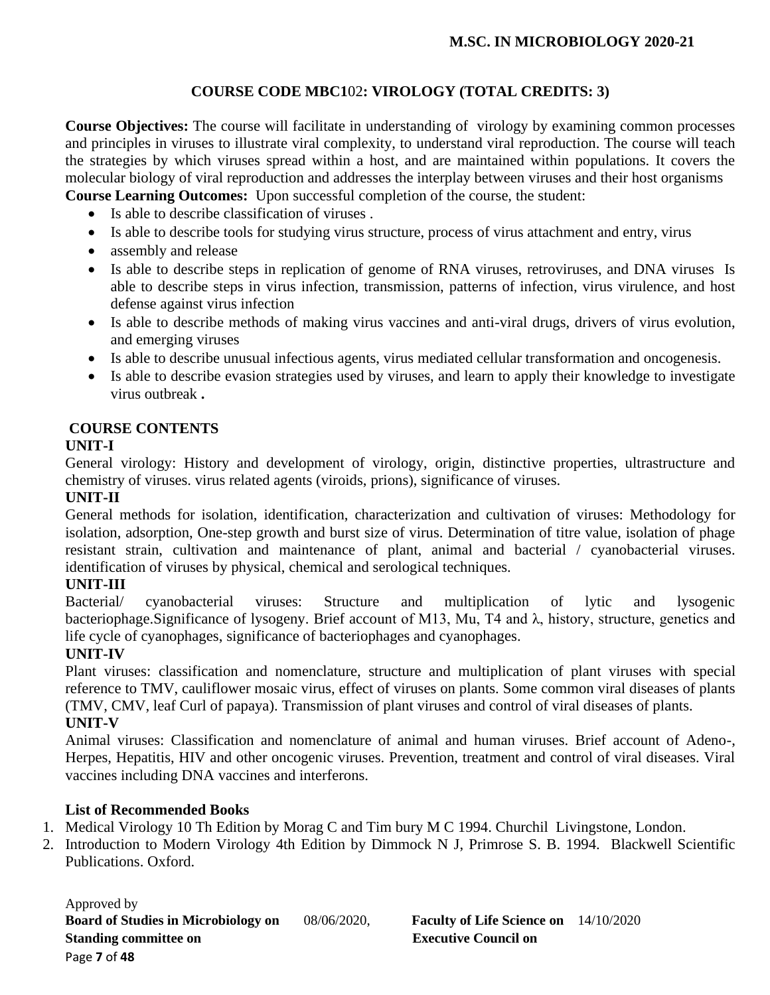# **COURSE CODE MBC1**02**: VIROLOGY (TOTAL CREDITS: 3)**

**Course Objectives:** The course will facilitate in understanding of virology by examining common processes and principles in viruses to illustrate viral complexity, to understand viral reproduction. The course will teach the strategies by which viruses spread within a host, and are maintained within populations. It covers the molecular biology of viral reproduction and addresses the interplay between viruses and their host organisms

**Course Learning Outcomes:** Upon successful completion of the course, the student:

- Is able to describe classification of viruses .
- Is able to describe tools for studying virus structure, process of virus attachment and entry, virus
- assembly and release
- Is able to describe steps in replication of genome of RNA viruses, retroviruses, and DNA viruses Is able to describe steps in virus infection, transmission, patterns of infection, virus virulence, and host defense against virus infection
- Is able to describe methods of making virus vaccines and anti-viral drugs, drivers of virus evolution, and emerging viruses
- Is able to describe unusual infectious agents, virus mediated cellular transformation and oncogenesis.
- Is able to describe evasion strategies used by viruses, and learn to apply their knowledge to investigate virus outbreak **.**

# **COURSE CONTENTS**

# **UNIT-I**

General virology: History and development of virology, origin, distinctive properties, ultrastructure and chemistry of viruses. virus related agents (viroids, prions), significance of viruses.

# **UNIT-II**

General methods for isolation, identification, characterization and cultivation of viruses: Methodology for isolation, adsorption, One-step growth and burst size of virus. Determination of titre value, isolation of phage resistant strain, cultivation and maintenance of plant, animal and bacterial / cyanobacterial viruses. identification of viruses by physical, chemical and serological techniques.

# **UNIT-III**

Bacterial/ cyanobacterial viruses: Structure and multiplication of lytic and lysogenic bacteriophage.Significance of lysogeny. Brief account of M13, Mu, T4 and λ, history, structure, genetics and life cycle of cyanophages, significance of bacteriophages and cyanophages.

# **UNIT-IV**

Plant viruses: classification and nomenclature, structure and multiplication of plant viruses with special reference to TMV, cauliflower mosaic virus, effect of viruses on plants. Some common viral diseases of plants (TMV, CMV, leaf Curl of papaya). Transmission of plant viruses and control of viral diseases of plants. **UNIT-V**

## Animal viruses: Classification and nomenclature of animal and human viruses. Brief account of Adeno-, Herpes, Hepatitis, HIV and other oncogenic viruses. Prevention, treatment and control of viral diseases. Viral vaccines including DNA vaccines and interferons.

# **List of Recommended Books**

- 1. Medical Virology 10 Th Edition by Morag C and Tim bury M C 1994. Churchil Livingstone, London.
- 2. Introduction to Modern Virology 4th Edition by Dimmock N J, Primrose S. B. 1994. Blackwell Scientific Publications. Oxford.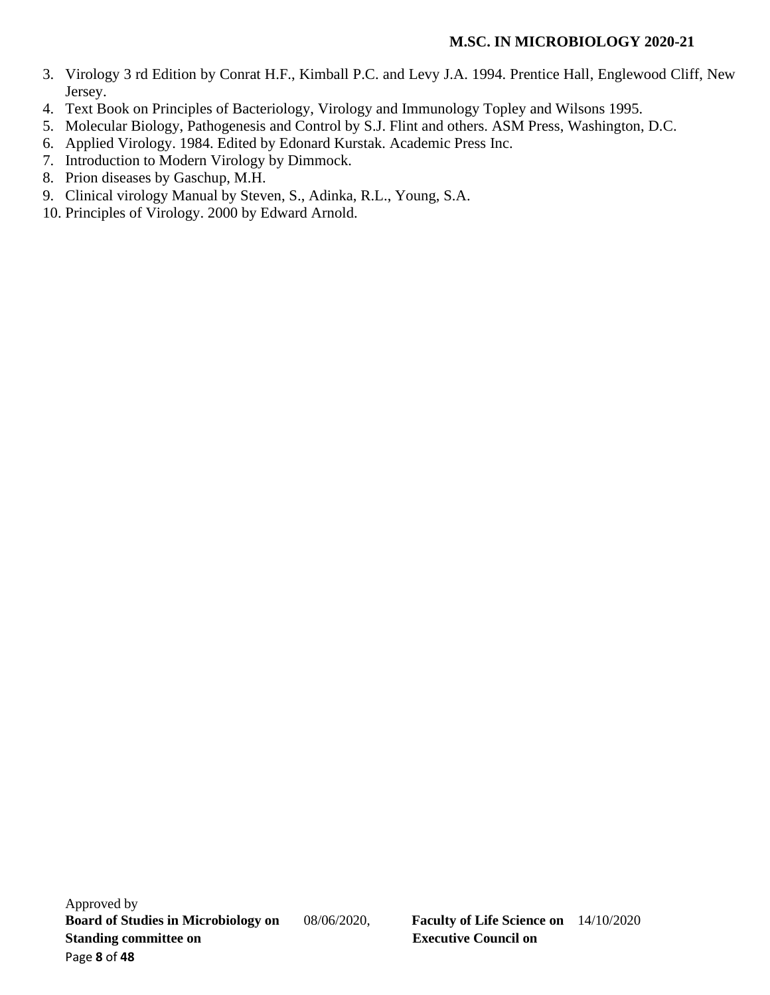- 3. Virology 3 rd Edition by Conrat H.F., Kimball P.C. and Levy J.A. 1994. Prentice Hall, Englewood Cliff, New Jersey.
- 4. Text Book on Principles of Bacteriology, Virology and Immunology Topley and Wilsons 1995.
- 5. Molecular Biology, Pathogenesis and Control by S.J. Flint and others. ASM Press, Washington, D.C.
- 6. Applied Virology. 1984. Edited by Edonard Kurstak. Academic Press Inc.
- 7. Introduction to Modern Virology by Dimmock.
- 8. Prion diseases by Gaschup, M.H.
- 9. Clinical virology Manual by Steven, S., Adinka, R.L., Young, S.A.
- 10. Principles of Virology. 2000 by Edward Arnold.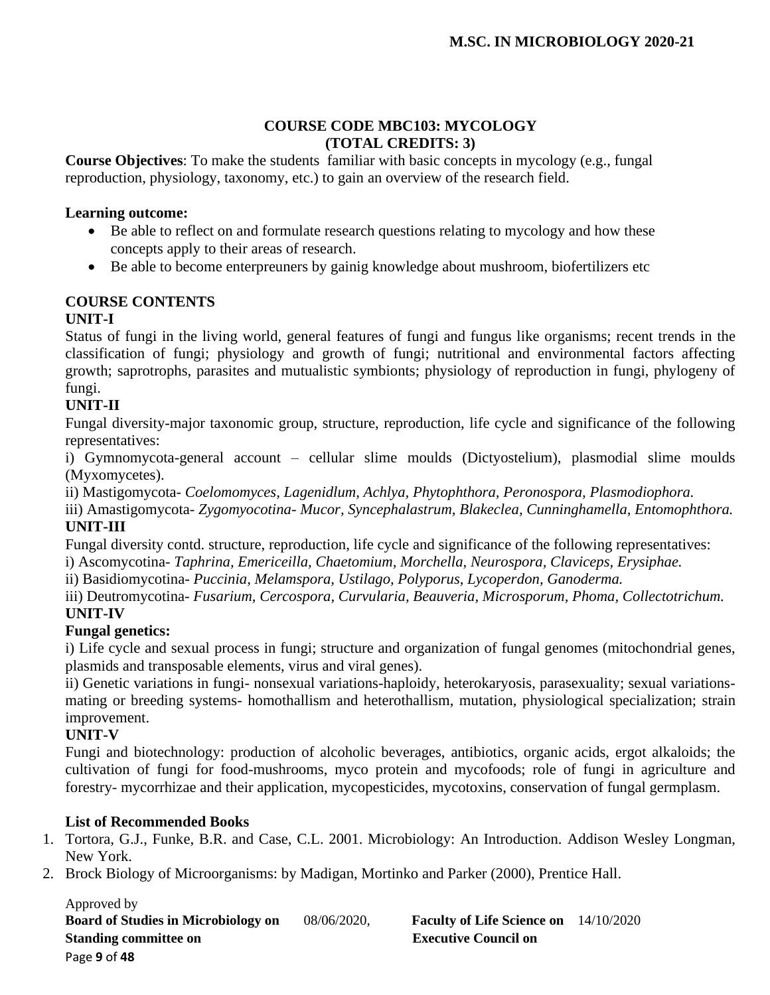### **COURSE CODE MBC103: MYCOLOGY (TOTAL CREDITS: 3)**

**Course Objectives**: To make the students familiar with basic concepts in mycology (e.g., fungal reproduction, physiology, taxonomy, etc.) to gain an overview of the research field.

## **Learning outcome:**

- Be able to reflect on and formulate research questions relating to mycology and how these concepts apply to their areas of research.
- Be able to become enterpreuners by gainig knowledge about mushroom, biofertilizers etc

# **COURSE CONTENTS**

# **UNIT-I**

Status of fungi in the living world, general features of fungi and fungus like organisms; recent trends in the classification of fungi; physiology and growth of fungi; nutritional and environmental factors affecting growth; saprotrophs, parasites and mutualistic symbionts; physiology of reproduction in fungi, phylogeny of fungi.

# **UNIT-II**

Fungal diversity-major taxonomic group, structure, reproduction, life cycle and significance of the following representatives:

i) Gymnomycota-general account – cellular slime moulds (Dictyostelium), plasmodial slime moulds (Myxomycetes).

ii) Mastigomycota- *Coelomomyces, Lagenidlum, Achlya, Phytophthora, Peronospora, Plasmodiophora.*

iii) Amastigomycota- *Zygomyocotina- Mucor, Syncephalastrum, Blakeclea, Cunninghamella, Entomophthora.* **UNIT-III**

Fungal diversity contd. structure, reproduction, life cycle and significance of the following representatives:

i) Ascomycotina- *Taphrina, Emericeilla, Chaetomium, Morchella, Neurospora, Claviceps, Erysiphae.*

ii) Basidiomycotina- *Puccinia, Melamspora, Ustilago, Polyporus, Lycoperdon, Ganoderma.* 

iii) Deutromycotina- *Fusarium, Cercospora, Curvularia, Beauveria, Microsporum, Phoma, Collectotrichum.* **UNIT-IV**

# **Fungal genetics:**

i) Life cycle and sexual process in fungi; structure and organization of fungal genomes (mitochondrial genes, plasmids and transposable elements, virus and viral genes).

ii) Genetic variations in fungi- nonsexual variations-haploidy, heterokaryosis, parasexuality; sexual variationsmating or breeding systems- homothallism and heterothallism, mutation, physiological specialization; strain improvement.

# **UNIT-V**

Fungi and biotechnology: production of alcoholic beverages, antibiotics, organic acids, ergot alkaloids; the cultivation of fungi for food-mushrooms, myco protein and mycofoods; role of fungi in agriculture and forestry- mycorrhizae and their application, mycopesticides, mycotoxins, conservation of fungal germplasm.

# **List of Recommended Books**

- 1. Tortora, G.J., Funke, B.R. and Case, C.L. 2001. Microbiology: An Introduction. Addison Wesley Longman, New York.
- 2. Brock Biology of Microorganisms: by Madigan, Mortinko and Parker (2000), Prentice Hall.

Approved by **Board of Studies in Microbiology on** 08/06/2020, **Faculty of Life Science on** 14/10/2020 **Standing committee on** <br>**Executive Council on** Page **9** of **48**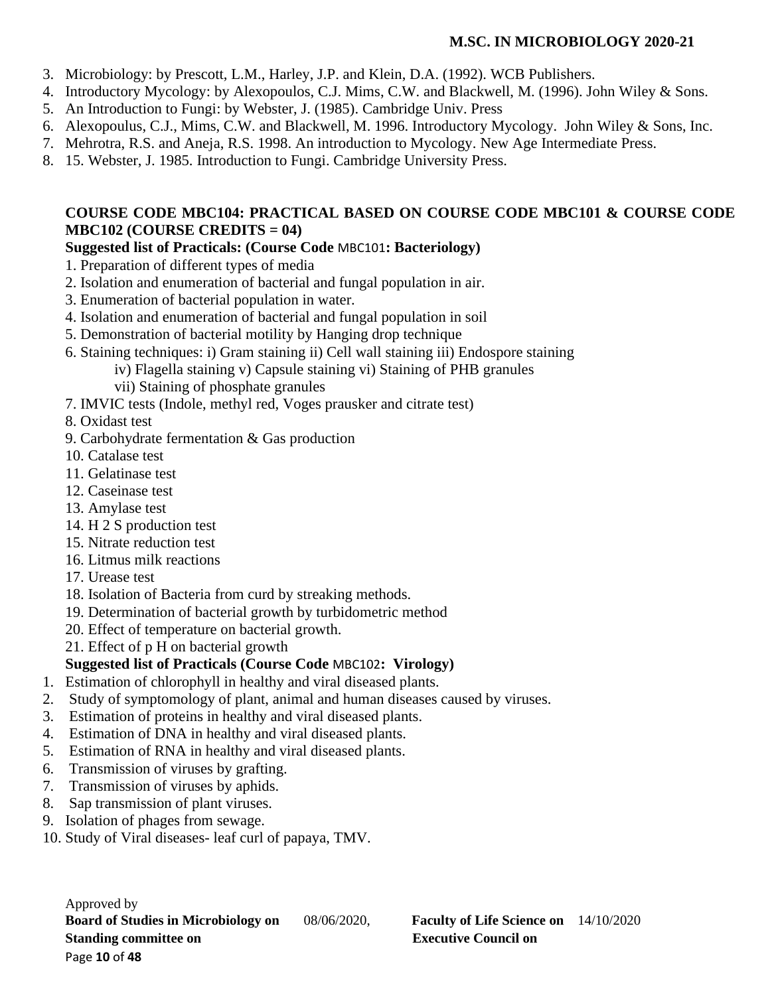- 3. Microbiology: by Prescott, L.M., Harley, J.P. and Klein, D.A. (1992). WCB Publishers.
- 4. Introductory Mycology: by Alexopoulos, C.J. Mims, C.W. and Blackwell, M. (1996). John Wiley & Sons.
- 5. An Introduction to Fungi: by Webster, J. (1985). Cambridge Univ. Press
- 6. Alexopoulus, C.J., Mims, C.W. and Blackwell, M. 1996. Introductory Mycology. John Wiley & Sons, Inc.
- 7. Mehrotra, R.S. and Aneja, R.S. 1998. An introduction to Mycology. New Age Intermediate Press.
- 8. 15. Webster, J. 1985. Introduction to Fungi. Cambridge University Press.

# **COURSE CODE MBC104: PRACTICAL BASED ON COURSE CODE MBC101 & COURSE CODE MBC102 (COURSE CREDITS = 04)**

# **Suggested list of Practicals: (Course Code** MBC101**: Bacteriology)**

- 1. Preparation of different types of media
- 2. Isolation and enumeration of bacterial and fungal population in air.
- 3. Enumeration of bacterial population in water.
- 4. Isolation and enumeration of bacterial and fungal population in soil
- 5. Demonstration of bacterial motility by Hanging drop technique
- 6. Staining techniques: i) Gram staining ii) Cell wall staining iii) Endospore staining
	- iv) Flagella staining v) Capsule staining vi) Staining of PHB granules

vii) Staining of phosphate granules

- 7. IMVIC tests (Indole, methyl red, Voges prausker and citrate test)
- 8. Oxidast test
- 9. Carbohydrate fermentation & Gas production
- 10. Catalase test
- 11. Gelatinase test
- 12. Caseinase test
- 13. Amylase test
- 14. H 2 S production test
- 15. Nitrate reduction test
- 16. Litmus milk reactions
- 17. Urease test
- 18. Isolation of Bacteria from curd by streaking methods.
- 19. Determination of bacterial growth by turbidometric method
- 20. Effect of temperature on bacterial growth.
- 21. Effect of p H on bacterial growth

# **Suggested list of Practicals (Course Code** MBC102**: Virology)**

- 1. Estimation of chlorophyll in healthy and viral diseased plants.
- 2. Study of symptomology of plant, animal and human diseases caused by viruses.
- 3. Estimation of proteins in healthy and viral diseased plants.
- 4. Estimation of DNA in healthy and viral diseased plants.
- 5. Estimation of RNA in healthy and viral diseased plants.
- 6. Transmission of viruses by grafting.
- 7. Transmission of viruses by aphids.
- 8. Sap transmission of plant viruses.
- 9. Isolation of phages from sewage.
- 10. Study of Viral diseases- leaf curl of papaya, TMV.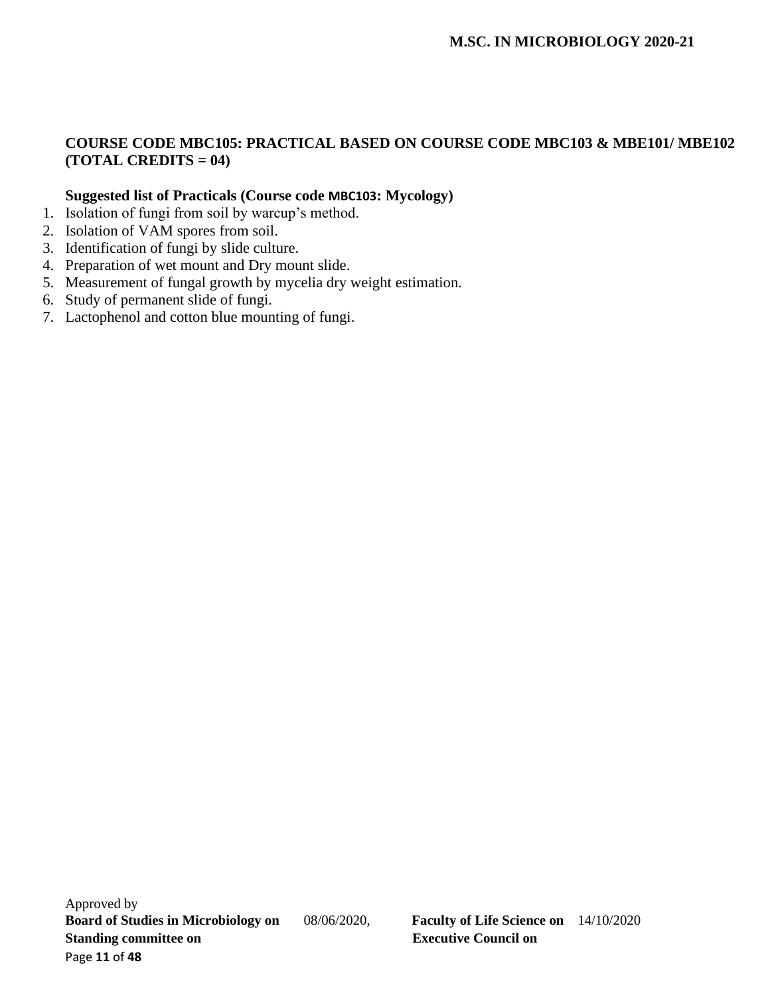# **COURSE CODE MBC105: PRACTICAL BASED ON COURSE CODE MBC103 & MBE101/ MBE102 (TOTAL CREDITS = 04)**

## **Suggested list of Practicals (Course code MBC103: Mycology)**

- 1. Isolation of fungi from soil by warcup's method.
- 2. Isolation of VAM spores from soil.
- 3. Identification of fungi by slide culture.
- 4. Preparation of wet mount and Dry mount slide.
- 5. Measurement of fungal growth by mycelia dry weight estimation.
- 6. Study of permanent slide of fungi.
- 7. Lactophenol and cotton blue mounting of fungi.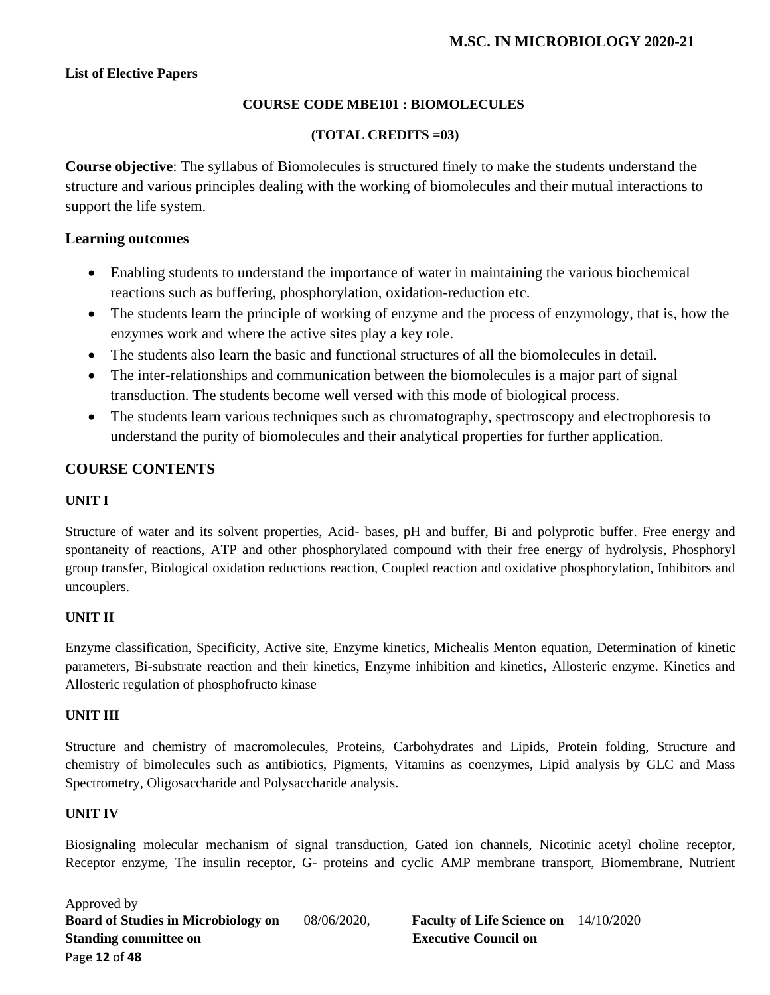### **List of Elective Papers**

### **COURSE CODE MBE101 : BIOMOLECULES**

### **(TOTAL CREDITS =03)**

**Course objective**: The syllabus of Biomolecules is structured finely to make the students understand the structure and various principles dealing with the working of biomolecules and their mutual interactions to support the life system.

### **Learning outcomes**

- Enabling students to understand the importance of water in maintaining the various biochemical reactions such as buffering, phosphorylation, oxidation-reduction etc.
- The students learn the principle of working of enzyme and the process of enzymology, that is, how the enzymes work and where the active sites play a key role.
- The students also learn the basic and functional structures of all the biomolecules in detail.
- The inter-relationships and communication between the biomolecules is a major part of signal transduction. The students become well versed with this mode of biological process.
- The students learn various techniques such as chromatography, spectroscopy and electrophoresis to understand the purity of biomolecules and their analytical properties for further application.

## **COURSE CONTENTS**

#### **UNIT I**

Structure of water and its solvent properties, Acid- bases, pH and buffer, Bi and polyprotic buffer. Free energy and spontaneity of reactions, ATP and other phosphorylated compound with their free energy of hydrolysis, Phosphoryl group transfer, Biological oxidation reductions reaction, Coupled reaction and oxidative phosphorylation, Inhibitors and uncouplers.

#### **UNIT II**

Enzyme classification, Specificity, Active site, Enzyme kinetics, Michealis Menton equation, Determination of kinetic parameters, Bi-substrate reaction and their kinetics, Enzyme inhibition and kinetics, Allosteric enzyme. Kinetics and Allosteric regulation of phosphofructo kinase

## **UNIT III**

Structure and chemistry of macromolecules, Proteins, Carbohydrates and Lipids, Protein folding, Structure and chemistry of bimolecules such as antibiotics, Pigments, Vitamins as coenzymes, Lipid analysis by GLC and Mass Spectrometry, Oligosaccharide and Polysaccharide analysis.

#### **UNIT IV**

Biosignaling molecular mechanism of signal transduction, Gated ion channels, Nicotinic acetyl choline receptor, Receptor enzyme, The insulin receptor, G- proteins and cyclic AMP membrane transport, Biomembrane, Nutrient

Approved by **Board of Studies in Microbiology on** 08/06/2020, **Faculty of Life Science on** 14/10/2020 **Standing committee on** <br>**Executive Council on** Page **12** of **48**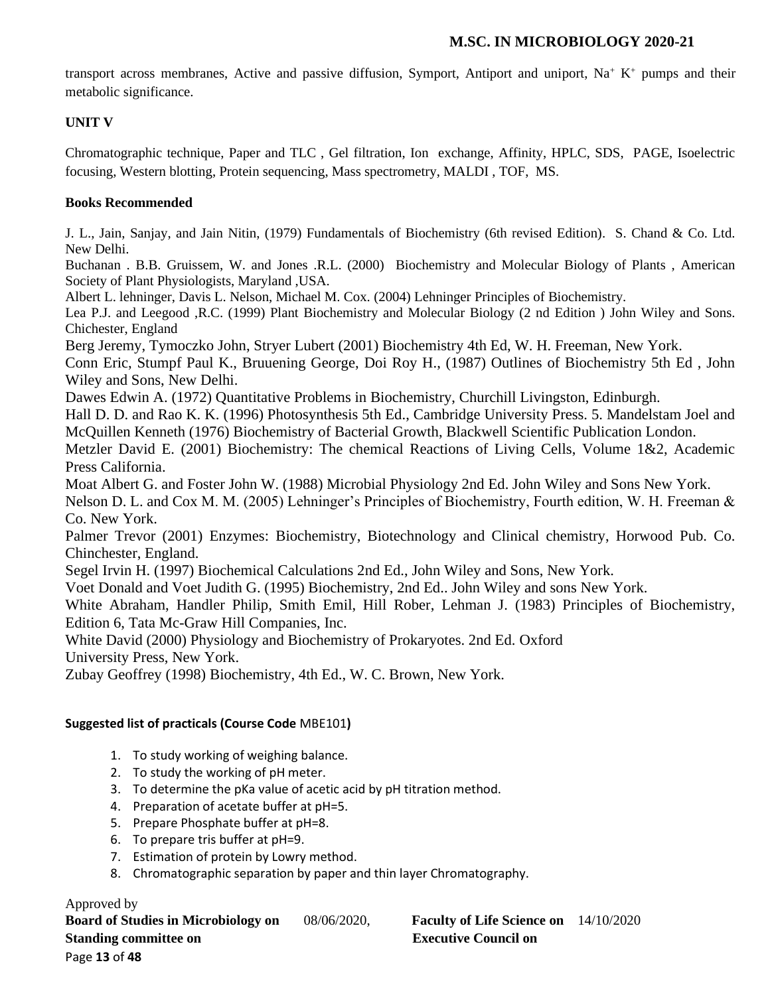transport across membranes, Active and passive diffusion, Symport, Antiport and uniport, Na<sup>+</sup> K<sup>+</sup> pumps and their metabolic significance.

## **UNIT V**

Chromatographic technique, Paper and TLC , Gel filtration, Ion exchange, Affinity, HPLC, SDS, PAGE, Isoelectric focusing, Western blotting, Protein sequencing, Mass spectrometry, MALDI , TOF, MS.

## **Books Recommended**

J. L., Jain, Sanjay, and Jain Nitin, (1979) Fundamentals of Biochemistry (6th revised Edition). S. Chand & Co. Ltd. New Delhi.

Buchanan . B.B. Gruissem, W. and Jones .R.L. (2000) Biochemistry and Molecular Biology of Plants , American Society of Plant Physiologists, Maryland ,USA.

Albert L. lehninger, Davis L. Nelson, Michael M. Cox. (2004) Lehninger Principles of Biochemistry.

Lea P.J. and Leegood ,R.C. (1999) Plant Biochemistry and Molecular Biology (2 nd Edition ) John Wiley and Sons. Chichester, England

Berg Jeremy, Tymoczko John, Stryer Lubert (2001) Biochemistry 4th Ed, W. H. Freeman, New York.

Conn Eric, Stumpf Paul K., Bruuening George, Doi Roy H., (1987) Outlines of Biochemistry 5th Ed , John Wiley and Sons, New Delhi.

Dawes Edwin A. (1972) Quantitative Problems in Biochemistry, Churchill Livingston, Edinburgh.

Hall D. D. and Rao K. K. (1996) Photosynthesis 5th Ed., Cambridge University Press. 5. Mandelstam Joel and McQuillen Kenneth (1976) Biochemistry of Bacterial Growth, Blackwell Scientific Publication London.

Metzler David E. (2001) Biochemistry: The chemical Reactions of Living Cells, Volume 1&2, Academic Press California.

Moat Albert G. and Foster John W. (1988) Microbial Physiology 2nd Ed. John Wiley and Sons New York.

Nelson D. L. and Cox M. M. (2005) Lehninger's Principles of Biochemistry, Fourth edition, W. H. Freeman & Co. New York.

Palmer Trevor (2001) Enzymes: Biochemistry, Biotechnology and Clinical chemistry, Horwood Pub. Co. Chinchester, England.

Segel Irvin H. (1997) Biochemical Calculations 2nd Ed., John Wiley and Sons, New York.

Voet Donald and Voet Judith G. (1995) Biochemistry, 2nd Ed.. John Wiley and sons New York.

White Abraham, Handler Philip, Smith Emil, Hill Rober, Lehman J. (1983) Principles of Biochemistry, Edition 6, Tata Mc-Graw Hill Companies, Inc.

White David (2000) Physiology and Biochemistry of Prokaryotes. 2nd Ed. Oxford

University Press, New York.

Zubay Geoffrey (1998) Biochemistry, 4th Ed., W. C. Brown, New York.

## **Suggested list of practicals (Course Code** MBE101**)**

- 1. To study working of weighing balance.
- 2. To study the working of pH meter.
- 3. To determine the pKa value of acetic acid by pH titration method.
- 4. Preparation of acetate buffer at pH=5.
- 5. Prepare Phosphate buffer at pH=8.
- 6. To prepare tris buffer at pH=9.
- 7. Estimation of protein by Lowry method.
- 8. Chromatographic separation by paper and thin layer Chromatography.

#### Approved by

**Board of Studies in Microbiology on** 08/06/2020, **Faculty of Life Science on** 14/10/2020 **Standing committee on Executive Council on Algebra 2.5 Standing committee on Algebra 2.5 Standing Council on** Page **13** of **48**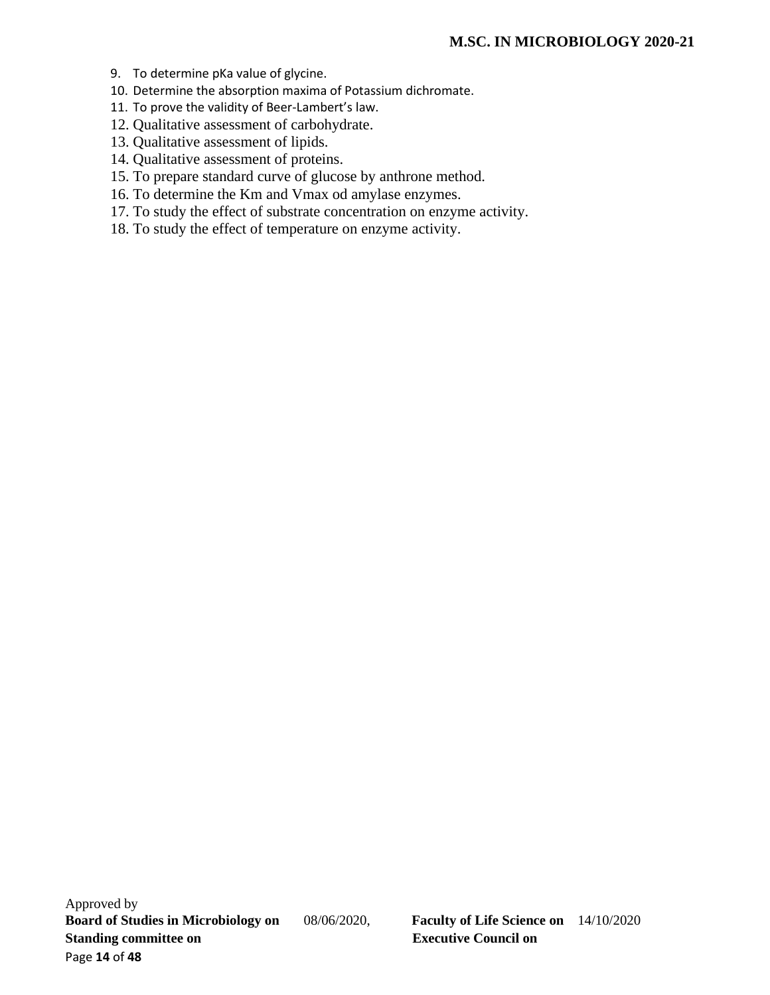- 9. To determine pKa value of glycine.
- 10. Determine the absorption maxima of Potassium dichromate.
- 11. To prove the validity of Beer-Lambert's law.
- 12. Qualitative assessment of carbohydrate.
- 13. Qualitative assessment of lipids.
- 14. Qualitative assessment of proteins.
- 15. To prepare standard curve of glucose by anthrone method.
- 16. To determine the Km and Vmax od amylase enzymes.
- 17. To study the effect of substrate concentration on enzyme activity.
- 18. To study the effect of temperature on enzyme activity.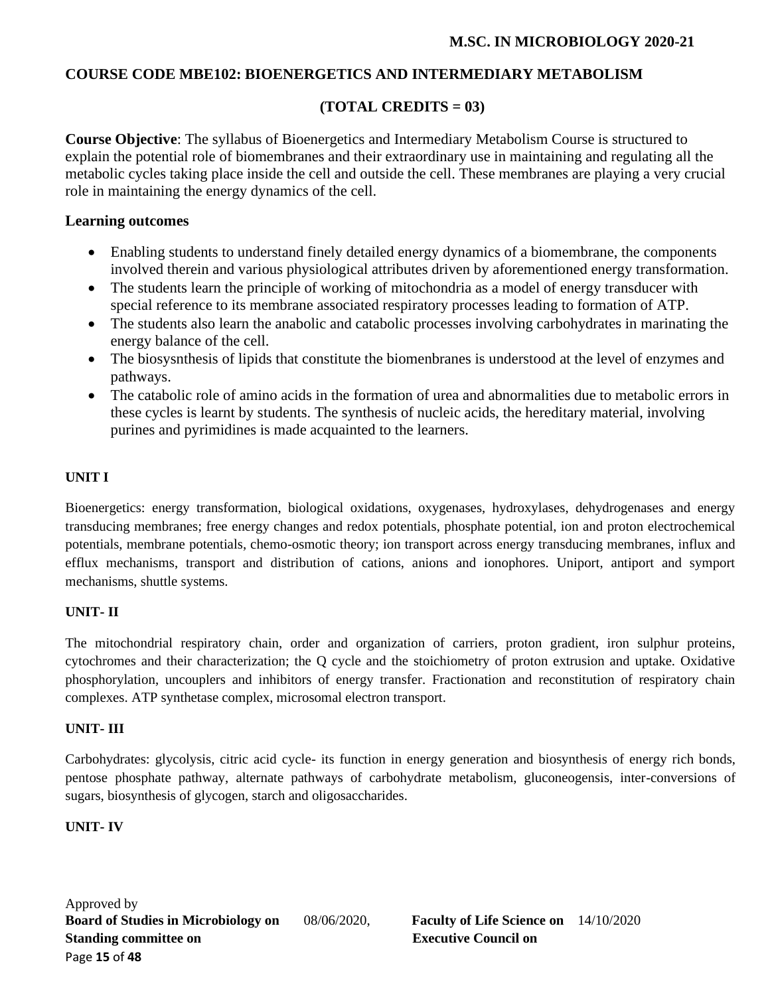## **COURSE CODE MBE102: BIOENERGETICS AND INTERMEDIARY METABOLISM**

# **(TOTAL CREDITS = 03)**

**Course Objective**: The syllabus of Bioenergetics and Intermediary Metabolism Course is structured to explain the potential role of biomembranes and their extraordinary use in maintaining and regulating all the metabolic cycles taking place inside the cell and outside the cell. These membranes are playing a very crucial role in maintaining the energy dynamics of the cell.

## **Learning outcomes**

- Enabling students to understand finely detailed energy dynamics of a biomembrane, the components involved therein and various physiological attributes driven by aforementioned energy transformation.
- The students learn the principle of working of mitochondria as a model of energy transducer with special reference to its membrane associated respiratory processes leading to formation of ATP.
- The students also learn the anabolic and catabolic processes involving carbohydrates in marinating the energy balance of the cell.
- The biosysnthesis of lipids that constitute the biomenbranes is understood at the level of enzymes and pathways.
- The catabolic role of amino acids in the formation of urea and abnormalities due to metabolic errors in these cycles is learnt by students. The synthesis of nucleic acids, the hereditary material, involving purines and pyrimidines is made acquainted to the learners.

# **UNIT I**

Bioenergetics: energy transformation, biological oxidations, oxygenases, hydroxylases, dehydrogenases and energy transducing membranes; free energy changes and redox potentials, phosphate potential, ion and proton electrochemical potentials, membrane potentials, chemo-osmotic theory; ion transport across energy transducing membranes, influx and efflux mechanisms, transport and distribution of cations, anions and ionophores. Uniport, antiport and symport mechanisms, shuttle systems.

## **UNIT- II**

The mitochondrial respiratory chain, order and organization of carriers, proton gradient, iron sulphur proteins, cytochromes and their characterization; the Q cycle and the stoichiometry of proton extrusion and uptake. Oxidative phosphorylation, uncouplers and inhibitors of energy transfer. Fractionation and reconstitution of respiratory chain complexes. ATP synthetase complex, microsomal electron transport.

## **UNIT- III**

Carbohydrates: glycolysis, citric acid cycle- its function in energy generation and biosynthesis of energy rich bonds, pentose phosphate pathway, alternate pathways of carbohydrate metabolism, gluconeogensis, inter-conversions of sugars, biosynthesis of glycogen, starch and oligosaccharides.

## **UNIT- IV**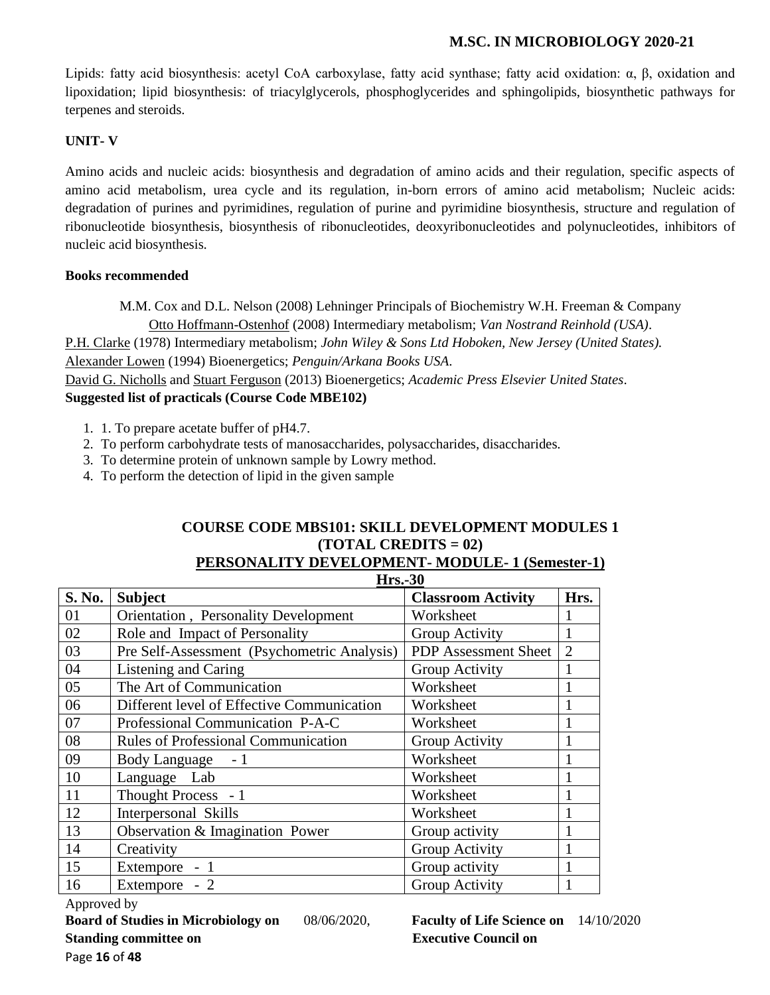Lipids: fatty acid biosynthesis: acetyl CoA carboxylase, fatty acid synthase; fatty acid oxidation: α, β, oxidation and lipoxidation; lipid biosynthesis: of triacylglycerols, phosphoglycerides and sphingolipids, biosynthetic pathways for terpenes and steroids.

#### **UNIT- V**

Amino acids and nucleic acids: biosynthesis and degradation of amino acids and their regulation, specific aspects of amino acid metabolism, urea cycle and its regulation, in-born errors of amino acid metabolism; Nucleic acids: degradation of purines and pyrimidines, regulation of purine and pyrimidine biosynthesis, structure and regulation of ribonucleotide biosynthesis, biosynthesis of ribonucleotides, deoxyribonucleotides and polynucleotides, inhibitors of nucleic acid biosynthesis.

#### **Books recommended**

M.M. Cox and D.L. Nelson (2008) Lehninger Principals of Biochemistry W.H. Freeman & Company [Otto Hoffmann-Ostenhof](https://www.google.co.in/search?tbo=p&tbm=bks&q=inauthor:%22Otto+Hoffmann-Ostenhof%22&source=gbs_metadata_r&cad=5) (2008) Intermediary metabolism; *Van Nostrand Reinhold (USA)*. [P.H. Clarke](http://www.amazon.com/s/ref=dp_byline_sr_book_1?ie=UTF8&text=P.H.+Clarke&search-alias=books&field-author=P.H.+Clarke&sort=relevancerank) (1978) Intermediary metabolism; *John Wiley & Sons Ltd Hoboken, New Jersey (United States).* [Alexander Lowen](https://www.google.co.in/search?tbo=p&tbm=bks&q=inauthor:%22Alexander+Lowen%22) (1994) Bioenergetics; *Penguin/Arkana Books USA*. David [G. Nicholls](http://www.amazon.com/David-G.-Nicholls/e/B001HD3ED4/ref=dp_byline_cont_book_1) and [Stuart Ferguson](http://www.amazon.com/s/ref=dp_byline_sr_book_2?ie=UTF8&text=Stuart+Ferguson&search-alias=books&field-author=Stuart+Ferguson&sort=relevancerank) (2013) Bioenergetics; *Academic Press Elsevier United States*. **Suggested list of practicals (Course Code MBE102)**

- 1. 1. To prepare acetate buffer of pH4.7.
- 2. To perform carbohydrate tests of manosaccharides, polysaccharides, disaccharides.
- 3. To determine protein of unknown sample by Lowry method.
- 4. To perform the detection of lipid in the given sample

#### **COURSE CODE MBS101: SKILL DEVELOPMENT MODULES 1 (TOTAL CREDITS = 02) PERSONALITY DEVELOPMENT- MODULE- 1 (Semester-1)**

|        | <b>Hrs.-30</b>                              |                           |                |  |  |
|--------|---------------------------------------------|---------------------------|----------------|--|--|
| S. No. | <b>Subject</b>                              | <b>Classroom Activity</b> | Hrs.           |  |  |
| 01     | Orientation, Personality Development        | Worksheet                 |                |  |  |
| 02     | Role and Impact of Personality              | Group Activity            | 1              |  |  |
| 03     | Pre Self-Assessment (Psychometric Analysis) | PDP Assessment Sheet      | $\overline{2}$ |  |  |
| 04     | Listening and Caring                        | Group Activity            |                |  |  |
| 05     | The Art of Communication                    | Worksheet                 |                |  |  |
| 06     | Different level of Effective Communication  | Worksheet                 |                |  |  |
| 07     | Professional Communication P-A-C            | Worksheet                 |                |  |  |
| 08     | Rules of Professional Communication         | Group Activity            |                |  |  |
| 09     | Body Language - 1                           | Worksheet                 |                |  |  |
| 10     | Language Lab                                | Worksheet                 |                |  |  |
| 11     | Thought Process - 1                         | Worksheet                 |                |  |  |
| 12     | Interpersonal Skills                        | Worksheet                 |                |  |  |
| 13     | Observation & Imagination Power             | Group activity            |                |  |  |
| 14     | Creativity                                  | Group Activity            |                |  |  |
| 15     | Extempore - 1                               | Group activity            |                |  |  |
| 16     | Extempore - 2                               | Group Activity            |                |  |  |

Approved by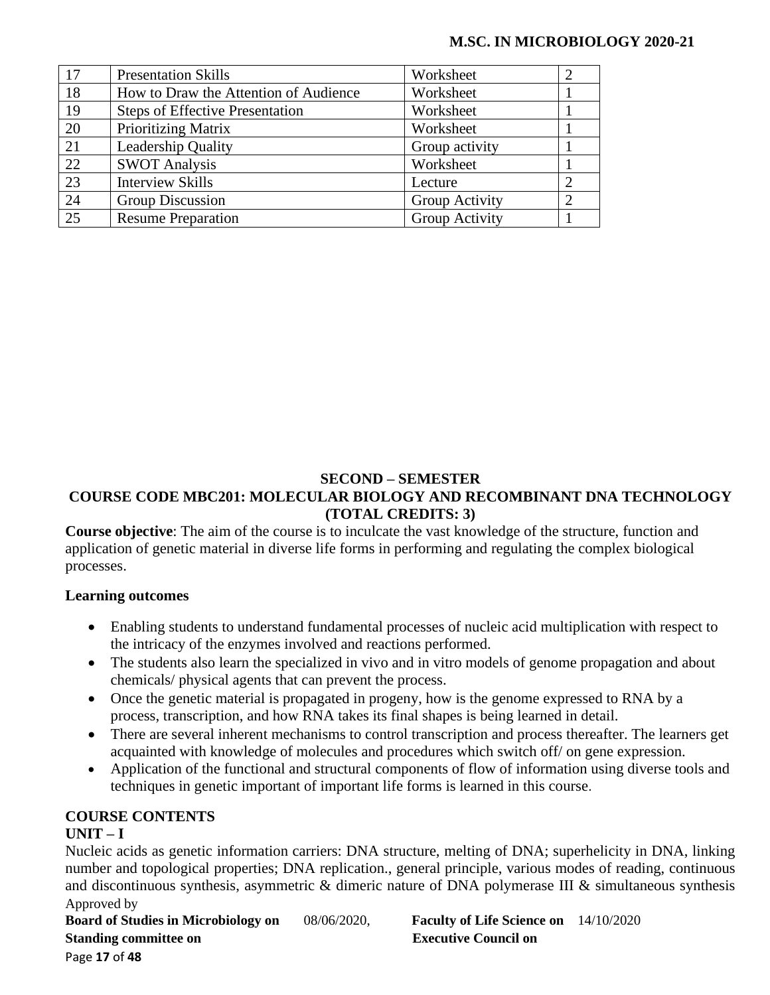| 17 | <b>Presentation Skills</b>             | Worksheet      | 2              |
|----|----------------------------------------|----------------|----------------|
| 18 | How to Draw the Attention of Audience  | Worksheet      |                |
| 19 | <b>Steps of Effective Presentation</b> | Worksheet      |                |
| 20 | <b>Prioritizing Matrix</b>             | Worksheet      |                |
| 21 | <b>Leadership Quality</b>              | Group activity |                |
| 22 | <b>SWOT Analysis</b>                   | Worksheet      |                |
| 23 | <b>Interview Skills</b>                | Lecture        |                |
| 24 | Group Discussion                       | Group Activity | $\overline{2}$ |
| 25 | <b>Resume Preparation</b>              | Group Activity |                |

## **SECOND – SEMESTER COURSE CODE MBC201: MOLECULAR BIOLOGY AND RECOMBINANT DNA TECHNOLOGY (TOTAL CREDITS: 3)**

**Course objective**: The aim of the course is to inculcate the vast knowledge of the structure, function and application of genetic material in diverse life forms in performing and regulating the complex biological processes.

## **Learning outcomes**

- Enabling students to understand fundamental processes of nucleic acid multiplication with respect to the intricacy of the enzymes involved and reactions performed.
- The students also learn the specialized in vivo and in vitro models of genome propagation and about chemicals/ physical agents that can prevent the process.
- Once the genetic material is propagated in progeny, how is the genome expressed to RNA by a process, transcription, and how RNA takes its final shapes is being learned in detail.
- There are several inherent mechanisms to control transcription and process thereafter. The learners get acquainted with knowledge of molecules and procedures which switch off/ on gene expression.
- Application of the functional and structural components of flow of information using diverse tools and techniques in genetic important of important life forms is learned in this course.

# **COURSE CONTENTS**

# **UNIT – I**

Approved by Nucleic acids as genetic information carriers: DNA structure, melting of DNA; superhelicity in DNA, linking number and topological properties; DNA replication., general principle, various modes of reading, continuous and discontinuous synthesis, asymmetric & dimeric nature of DNA polymerase III & simultaneous synthesis

**Board of Studies in Microbiology on** 08/06/2020, **Faculty of Life Science on** 14/10/2020 **Standing committee on** <br>**Executive Council on** Page **17** of **48**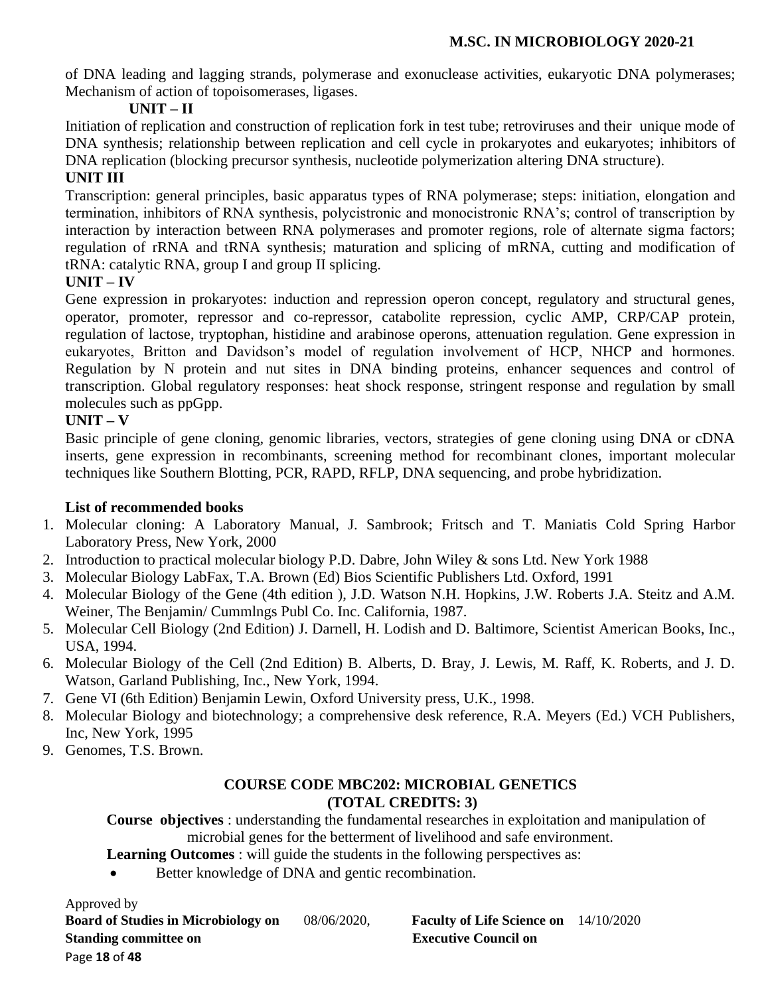of DNA leading and lagging strands, polymerase and exonuclease activities, eukaryotic DNA polymerases; Mechanism of action of topoisomerases, ligases.

# **UNIT – II**

Initiation of replication and construction of replication fork in test tube; retroviruses and their unique mode of DNA synthesis; relationship between replication and cell cycle in prokaryotes and eukaryotes; inhibitors of DNA replication (blocking precursor synthesis, nucleotide polymerization altering DNA structure).

# **UNIT III**

Transcription: general principles, basic apparatus types of RNA polymerase; steps: initiation, elongation and termination, inhibitors of RNA synthesis, polycistronic and monocistronic RNA's; control of transcription by interaction by interaction between RNA polymerases and promoter regions, role of alternate sigma factors; regulation of rRNA and tRNA synthesis; maturation and splicing of mRNA, cutting and modification of tRNA: catalytic RNA, group I and group II splicing.

# **UNIT – IV**

Gene expression in prokaryotes: induction and repression operon concept, regulatory and structural genes, operator, promoter, repressor and co-repressor, catabolite repression, cyclic AMP, CRP/CAP protein, regulation of lactose, tryptophan, histidine and arabinose operons, attenuation regulation. Gene expression in eukaryotes, Britton and Davidson's model of regulation involvement of HCP, NHCP and hormones. Regulation by N protein and nut sites in DNA binding proteins, enhancer sequences and control of transcription. Global regulatory responses: heat shock response, stringent response and regulation by small molecules such as ppGpp.

# **UNIT – V**

Basic principle of gene cloning, genomic libraries, vectors, strategies of gene cloning using DNA or cDNA inserts, gene expression in recombinants, screening method for recombinant clones, important molecular techniques like Southern Blotting, PCR, RAPD, RFLP, DNA sequencing, and probe hybridization.

# **List of recommended books**

- 1. Molecular cloning: A Laboratory Manual, J. Sambrook; Fritsch and T. Maniatis Cold Spring Harbor Laboratory Press, New York, 2000
- 2. Introduction to practical molecular biology P.D. Dabre, John Wiley & sons Ltd. New York 1988
- 3. Molecular Biology LabFax, T.A. Brown (Ed) Bios Scientific Publishers Ltd. Oxford, 1991
- 4. Molecular Biology of the Gene (4th edition ), J.D. Watson N.H. Hopkins, J.W. Roberts J.A. Steitz and A.M. Weiner, The Benjamin/ Cummlngs Publ Co. Inc. California, 1987.
- 5. Molecular Cell Biology (2nd Edition) J. Darnell, H. Lodish and D. Baltimore, Scientist American Books, Inc., USA, 1994.
- 6. Molecular Biology of the Cell (2nd Edition) B. Alberts, D. Bray, J. Lewis, M. Raff, K. Roberts, and J. D. Watson, Garland Publishing, Inc., New York, 1994.
- 7. Gene VI (6th Edition) Benjamin Lewin, Oxford University press, U.K., 1998.
- 8. Molecular Biology and biotechnology; a comprehensive desk reference, R.A. Meyers (Ed.) VCH Publishers, Inc, New York, 1995
- 9. Genomes, T.S. Brown.

# **COURSE CODE MBC202: MICROBIAL GENETICS (TOTAL CREDITS: 3)**

 **Course objectives** : understanding the fundamental researches in exploitation and manipulation of microbial genes for the betterment of livelihood and safe environment.

**Learning Outcomes** : will guide the students in the following perspectives as:

• Better knowledge of DNA and gentic recombination.

Approved by

**Board of Studies in Microbiology on** 08/06/2020, **Faculty of Life Science on** 14/10/2020 **Standing committee on** <br>**Executive Council on** Page **18** of **48**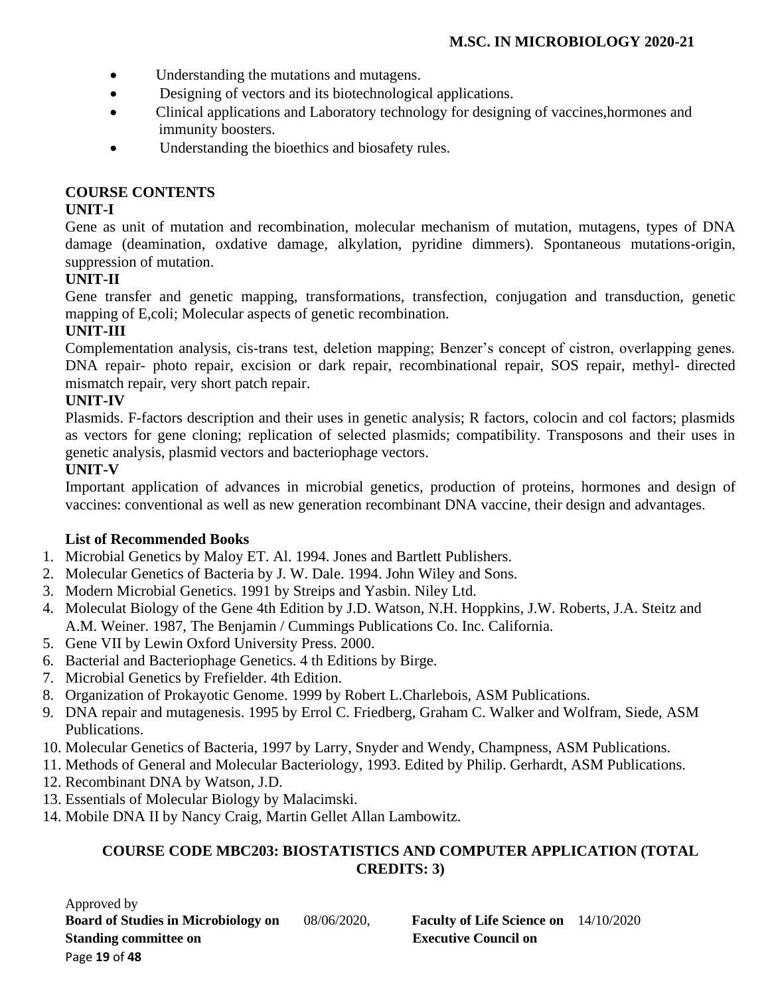- Understanding the mutations and mutagens.
- Designing of vectors and its biotechnological applications.
- Clinical applications and Laboratory technology for designing of vaccines, hormones and immunity boosters.
- Understanding the bioethics and biosafety rules.

## **COURSE CONTENTS**

# **UNIT-I**

Gene as unit of mutation and recombination, molecular mechanism of mutation, mutagens, types of DNA damage (deamination, oxdative damage, alkylation, pyridine dimmers). Spontaneous mutations-origin, suppression of mutation.

# **UNIT-II**

Gene transfer and genetic mapping, transformations, transfection, conjugation and transduction, genetic mapping of E,coli; Molecular aspects of genetic recombination.

# **UNIT-III**

Complementation analysis, cis-trans test, deletion mapping; Benzer's concept of cistron, overlapping genes. DNA repair- photo repair, excision or dark repair, recombinational repair, SOS repair, methyl- directed mismatch repair, very short patch repair.

# **UNIT-IV**

Plasmids. F-factors description and their uses in genetic analysis; R factors, colocin and col factors; plasmids as vectors for gene cloning; replication of selected plasmids; compatibility. Transposons and their uses in genetic analysis, plasmid vectors and bacteriophage vectors.

# **UNIT-V**

Important application of advances in microbial genetics, production of proteins, hormones and design of vaccines: conventional as well as new generation recombinant DNA vaccine, their design and advantages.

# **List of Recommended Books**

- 1. Microbial Genetics by Maloy ET. Al. 1994. Jones and Bartlett Publishers.
- 2. Molecular Genetics of Bacteria by J. W. Dale. 1994. John Wiley and Sons.
- 3. Modern Microbial Genetics. 1991 by Streips and Yasbin. Niley Ltd.
- 4. Moleculat Biology of the Gene 4th Edition by J.D. Watson, N.H. Hoppkins, J.W. Roberts, J.A. Steitz and A.M. Weiner. 1987, The Benjamin / Cummings Publications Co. Inc. California.
- 5. Gene VII by Lewin Oxford University Press. 2000.
- 6. Bacterial and Bacteriophage Genetics. 4 th Editions by Birge.
- 7. Microbial Genetics by Frefielder. 4th Edition.
- 8. Organization of Prokayotic Genome. 1999 by Robert L.Charlebois, ASM Publications.
- 9. DNA repair and mutagenesis. 1995 by Errol C. Friedberg, Graham C. Walker and Wolfram, Siede, ASM Publications.
- 10. Molecular Genetics of Bacteria, 1997 by Larry, Snyder and Wendy, Champness, ASM Publications.
- 11. Methods of General and Molecular Bacteriology, 1993. Edited by Philip. Gerhardt, ASM Publications.
- 12. Recombinant DNA by Watson, J.D.
- 13. Essentials of Molecular Biology by Malacimski.
- 14. Mobile DNA II by Nancy Craig, Martin Gellet Allan Lambowitz.

## **COURSE CODE MBC203: BIOSTATISTICS AND COMPUTER APPLICATION (TOTAL CREDITS: 3)**

Approved by **Board of Studies in Microbiology on** 08/06/2020, **Faculty of Life Science on** 14/10/2020 **Standing committee on Executive Council on** Page **19** of **48**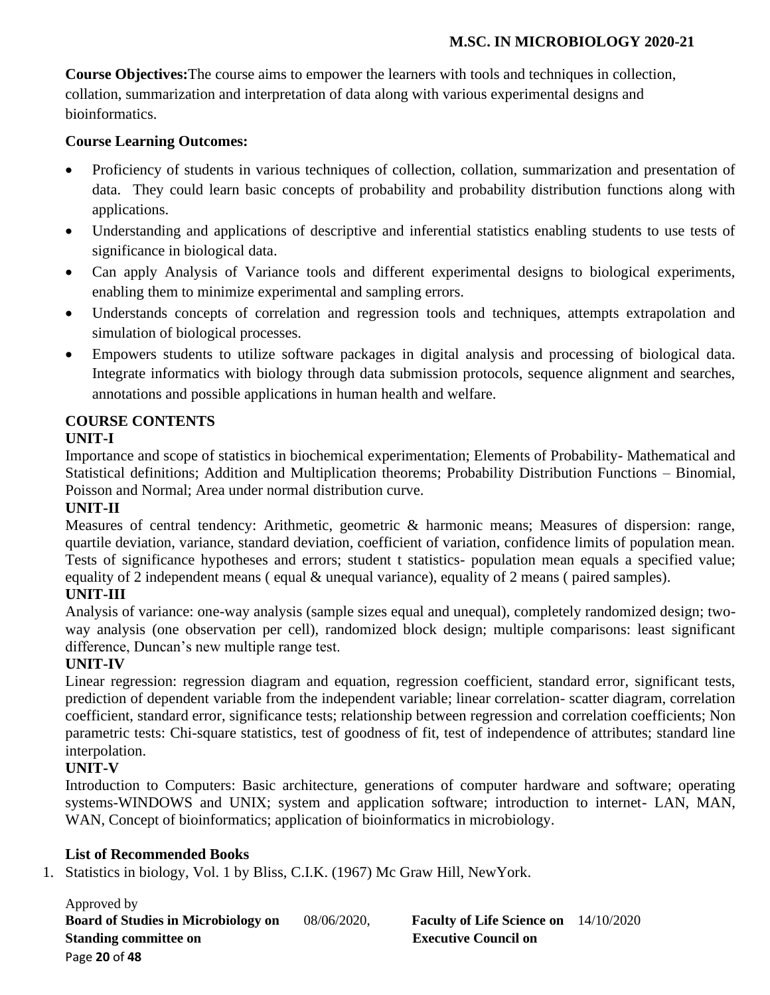**Course Objectives:**The course aims to empower the learners with tools and techniques in collection, collation, summarization and interpretation of data along with various experimental designs and bioinformatics.

## **Course Learning Outcomes:**

- Proficiency of students in various techniques of collection, collation, summarization and presentation of data. They could learn basic concepts of probability and probability distribution functions along with applications.
- Understanding and applications of descriptive and inferential statistics enabling students to use tests of significance in biological data.
- Can apply Analysis of Variance tools and different experimental designs to biological experiments, enabling them to minimize experimental and sampling errors.
- Understands concepts of correlation and regression tools and techniques, attempts extrapolation and simulation of biological processes.
- Empowers students to utilize software packages in digital analysis and processing of biological data. Integrate informatics with biology through data submission protocols, sequence alignment and searches, annotations and possible applications in human health and welfare.

## **COURSE CONTENTS**

## **UNIT-I**

Importance and scope of statistics in biochemical experimentation; Elements of Probability- Mathematical and Statistical definitions; Addition and Multiplication theorems; Probability Distribution Functions – Binomial, Poisson and Normal; Area under normal distribution curve.

# **UNIT-II**

Measures of central tendency: Arithmetic, geometric & harmonic means; Measures of dispersion: range, quartile deviation, variance, standard deviation, coefficient of variation, confidence limits of population mean. Tests of significance hypotheses and errors; student t statistics- population mean equals a specified value; equality of 2 independent means (equal  $\&$  unequal variance), equality of 2 means (paired samples).

# **UNIT-III**

Analysis of variance: one-way analysis (sample sizes equal and unequal), completely randomized design; twoway analysis (one observation per cell), randomized block design; multiple comparisons: least significant difference, Duncan's new multiple range test.

# **UNIT-IV**

Linear regression: regression diagram and equation, regression coefficient, standard error, significant tests, prediction of dependent variable from the independent variable; linear correlation- scatter diagram, correlation coefficient, standard error, significance tests; relationship between regression and correlation coefficients; Non parametric tests: Chi-square statistics, test of goodness of fit, test of independence of attributes; standard line interpolation.

## **UNIT-V**

Introduction to Computers: Basic architecture, generations of computer hardware and software; operating systems-WINDOWS and UNIX; system and application software; introduction to internet- LAN, MAN, WAN, Concept of bioinformatics; application of bioinformatics in microbiology.

## **List of Recommended Books**

1. Statistics in biology, Vol. 1 by Bliss, C.I.K. (1967) Mc Graw Hill, NewYork.

Approved by **Board of Studies in Microbiology on** 08/06/2020, **Faculty of Life Science on** 14/10/2020 **Standing committee on Executive Council on Algebra 2.5 Standing committee on Algebra 2.5 Standing Council on** Page **20** of **48**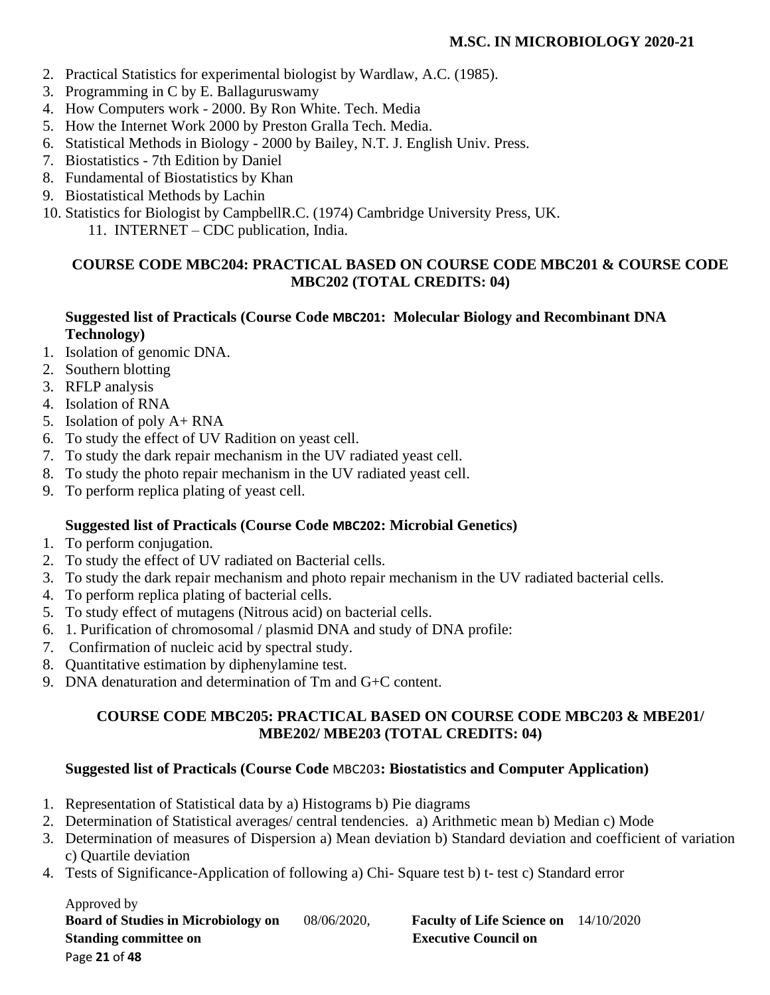- 2. Practical Statistics for experimental biologist by Wardlaw, A.C. (1985).
- 3. Programming in C by E. Ballaguruswamy
- 4. How Computers work 2000. By Ron White. Tech. Media
- 5. How the Internet Work 2000 by Preston Gralla Tech. Media.
- 6. Statistical Methods in Biology 2000 by Bailey, N.T. J. English Univ. Press.
- 7. Biostatistics 7th Edition by Daniel
- 8. Fundamental of Biostatistics by Khan
- 9. Biostatistical Methods by Lachin
- 10. Statistics for Biologist by CampbellR.C. (1974) Cambridge University Press, UK.
	- 11. INTERNET CDC publication, India.

# **COURSE CODE MBC204: PRACTICAL BASED ON COURSE CODE MBC201 & COURSE CODE MBC202 (TOTAL CREDITS: 04)**

## **Suggested list of Practicals (Course Code MBC201: Molecular Biology and Recombinant DNA Technology)**

- 1. Isolation of genomic DNA.
- 2. Southern blotting
- 3. RFLP analysis
- 4. Isolation of RNA
- 5. Isolation of poly A+ RNA
- 6. To study the effect of UV Radition on yeast cell.
- 7. To study the dark repair mechanism in the UV radiated yeast cell.
- 8. To study the photo repair mechanism in the UV radiated yeast cell.
- 9. To perform replica plating of yeast cell.

## **Suggested list of Practicals (Course Code MBC202: Microbial Genetics)**

- 1. To perform conjugation.
- 2. To study the effect of UV radiated on Bacterial cells.
- 3. To study the dark repair mechanism and photo repair mechanism in the UV radiated bacterial cells.
- 4. To perform replica plating of bacterial cells.
- 5. To study effect of mutagens (Nitrous acid) on bacterial cells.
- 6. 1. Purification of chromosomal / plasmid DNA and study of DNA profile:
- 7. Confirmation of nucleic acid by spectral study.
- 8. Quantitative estimation by diphenylamine test.
- 9. DNA denaturation and determination of Tm and G+C content.

## **COURSE CODE MBC205: PRACTICAL BASED ON COURSE CODE MBC203 & MBE201/ MBE202/ MBE203 (TOTAL CREDITS: 04)**

## **Suggested list of Practicals (Course Code** MBC203**: Biostatistics and Computer Application)**

- 1. Representation of Statistical data by a) Histograms b) Pie diagrams
- 2. Determination of Statistical averages/ central tendencies. a) Arithmetic mean b) Median c) Mode
- 3. Determination of measures of Dispersion a) Mean deviation b) Standard deviation and coefficient of variation c) Quartile deviation
- 4. Tests of Significance-Application of following a) Chi- Square test b) t- test c) Standard error

Approved by **Board of Studies in Microbiology on** 08/06/2020, **Faculty of Life Science on** 14/10/2020 **Standing committee on** <br>**Executive Council on** Page **21** of **48**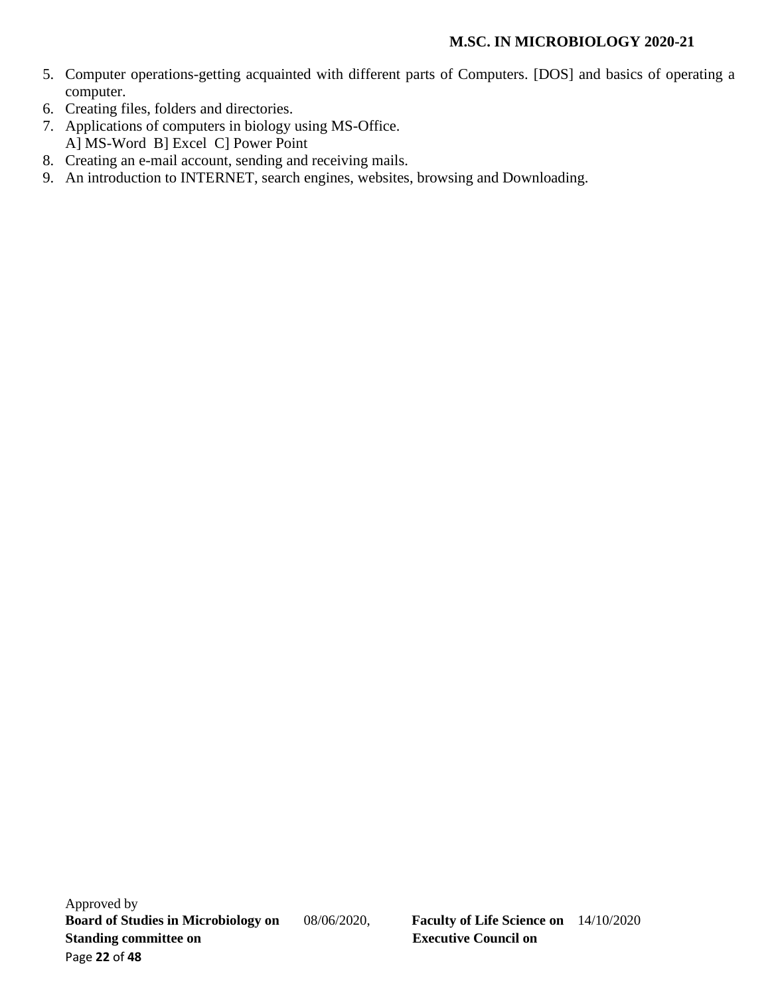- 5. Computer operations-getting acquainted with different parts of Computers. [DOS] and basics of operating a computer.
- 6. Creating files, folders and directories.
- 7. Applications of computers in biology using MS-Office. A] MS-Word B] Excel C] Power Point
- 8. Creating an e-mail account, sending and receiving mails.
- 9. An introduction to INTERNET, search engines, websites, browsing and Downloading.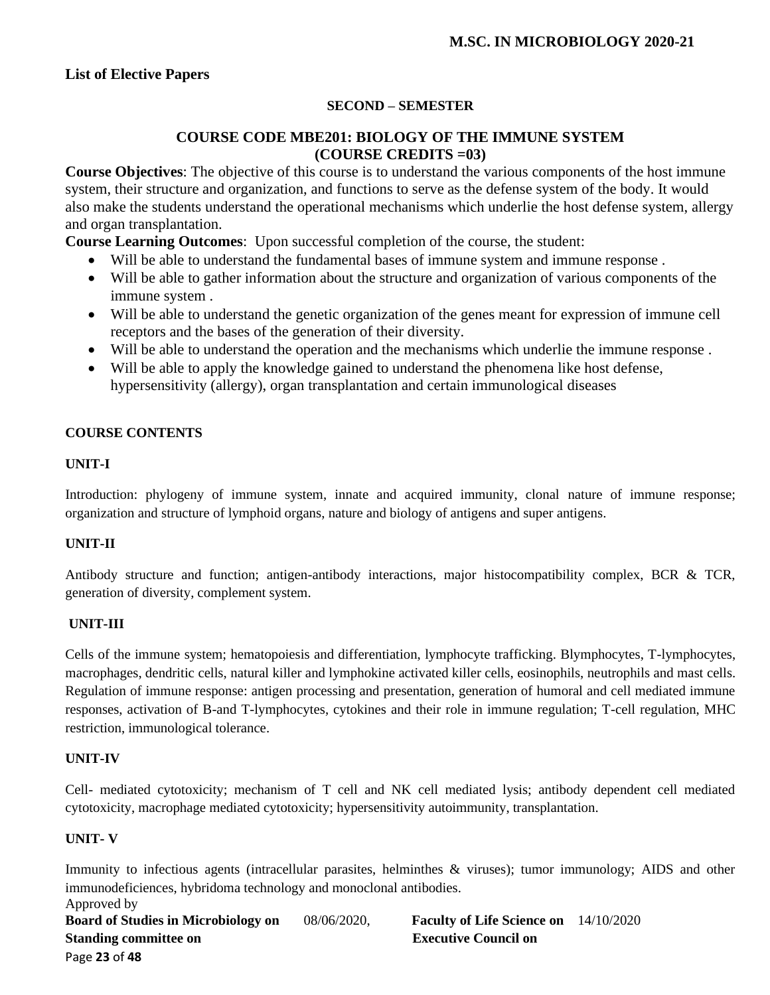## **SECOND – SEMESTER**

## **COURSE CODE MBE201: BIOLOGY OF THE IMMUNE SYSTEM (COURSE CREDITS =03)**

**Course Objectives**: The objective of this course is to understand the various components of the host immune system, their structure and organization, and functions to serve as the defense system of the body. It would also make the students understand the operational mechanisms which underlie the host defense system, allergy and organ transplantation.

**Course Learning Outcomes**: Upon successful completion of the course, the student:

- Will be able to understand the fundamental bases of immune system and immune response .
- Will be able to gather information about the structure and organization of various components of the immune system .
- Will be able to understand the genetic organization of the genes meant for expression of immune cell receptors and the bases of the generation of their diversity.
- Will be able to understand the operation and the mechanisms which underlie the immune response .
- Will be able to apply the knowledge gained to understand the phenomena like host defense, hypersensitivity (allergy), organ transplantation and certain immunological diseases

#### **COURSE CONTENTS**

## **UNIT-I**

Introduction: phylogeny of immune system, innate and acquired immunity, clonal nature of immune response; organization and structure of lymphoid organs, nature and biology of antigens and super antigens.

#### **UNIT-II**

Antibody structure and function; antigen-antibody interactions, major histocompatibility complex, BCR & TCR, generation of diversity, complement system.

#### **UNIT-III**

Cells of the immune system; hematopoiesis and differentiation, lymphocyte trafficking. Blymphocytes, T-lymphocytes, macrophages, dendritic cells, natural killer and lymphokine activated killer cells, eosinophils, neutrophils and mast cells. Regulation of immune response: antigen processing and presentation, generation of humoral and cell mediated immune responses, activation of B-and T-lymphocytes, cytokines and their role in immune regulation; T-cell regulation, MHC restriction, immunological tolerance.

#### **UNIT-IV**

Cell- mediated cytotoxicity; mechanism of T cell and NK cell mediated lysis; antibody dependent cell mediated cytotoxicity, macrophage mediated cytotoxicity; hypersensitivity autoimmunity, transplantation.

#### **UNIT- V**

Immunity to infectious agents (intracellular parasites, helminthes & viruses); tumor immunology; AIDS and other immunodeficiences, hybridoma technology and monoclonal antibodies.

Approved by **Board of Studies in Microbiology on** 08/06/2020, **Faculty of Life Science on** 14/10/2020 **Standing committee on Executive Council on Algebra 2.5 Standing committee on Algebra 2.5 Standing Council on** Page **23** of **48**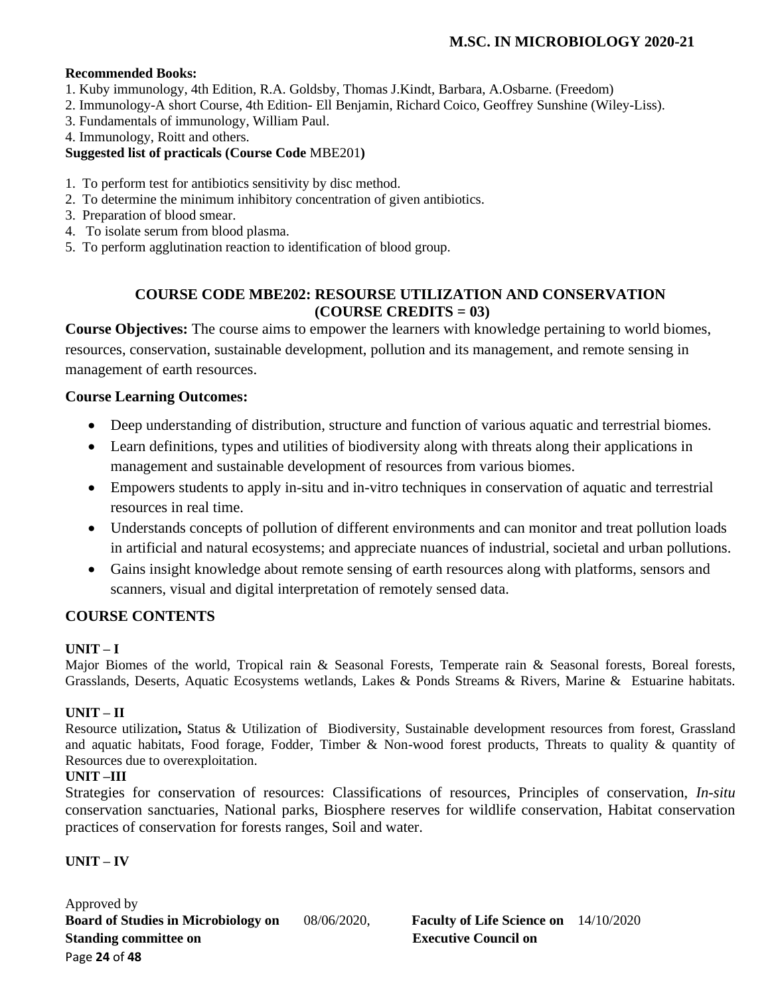#### **Recommended Books:**

- 1. Kuby immunology, 4th Edition, R.A. Goldsby, Thomas J.Kindt, Barbara, A.Osbarne. (Freedom)
- 2. Immunology-A short Course, 4th Edition- Ell Benjamin, Richard Coico, Geoffrey Sunshine (Wiley-Liss).
- 3. Fundamentals of immunology, William Paul.
- 4. Immunology, Roitt and others.

### **Suggested list of practicals (Course Code** MBE201**)**

- 1. To perform test for antibiotics sensitivity by disc method.
- 2. To determine the minimum inhibitory concentration of given antibiotics.
- 3. Preparation of blood smear.
- 4. To isolate serum from blood plasma.
- 5. To perform agglutination reaction to identification of blood group.

## **COURSE CODE MBE202: RESOURSE UTILIZATION AND CONSERVATION (COURSE CREDITS = 03)**

**Course Objectives:** The course aims to empower the learners with knowledge pertaining to world biomes, resources, conservation, sustainable development, pollution and its management, and remote sensing in management of earth resources.

## **Course Learning Outcomes:**

- Deep understanding of distribution, structure and function of various aquatic and terrestrial biomes.
- Learn definitions, types and utilities of biodiversity along with threats along their applications in management and sustainable development of resources from various biomes.
- Empowers students to apply in-situ and in-vitro techniques in conservation of aquatic and terrestrial resources in real time.
- Understands concepts of pollution of different environments and can monitor and treat pollution loads in artificial and natural ecosystems; and appreciate nuances of industrial, societal and urban pollutions.
- Gains insight knowledge about remote sensing of earth resources along with platforms, sensors and scanners, visual and digital interpretation of remotely sensed data.

## **COURSE CONTENTS**

## **UNIT – I**

Major Biomes of the world, Tropical rain & Seasonal Forests, Temperate rain & Seasonal forests, Boreal forests, Grasslands, Deserts, Aquatic Ecosystems wetlands, Lakes & Ponds Streams & Rivers, Marine & Estuarine habitats.

## **UNIT – II**

Resource utilization**,** Status & Utilization of Biodiversity, Sustainable development resources from forest, Grassland and aquatic habitats, Food forage, Fodder, Timber & Non-wood forest products, Threats to quality & quantity of Resources due to overexploitation.

#### **UNIT –III**

Strategies for conservation of resources: Classifications of resources, Principles of conservation, *In-situ* conservation sanctuaries, National parks, Biosphere reserves for wildlife conservation, Habitat conservation practices of conservation for forests ranges, Soil and water.

## **UNIT – IV**

Approved by **Board of Studies in Microbiology on** 08/06/2020, **Faculty of Life Science on** 14/10/2020 **Standing committee on** <br>**Executive Council on** Page **24** of **48**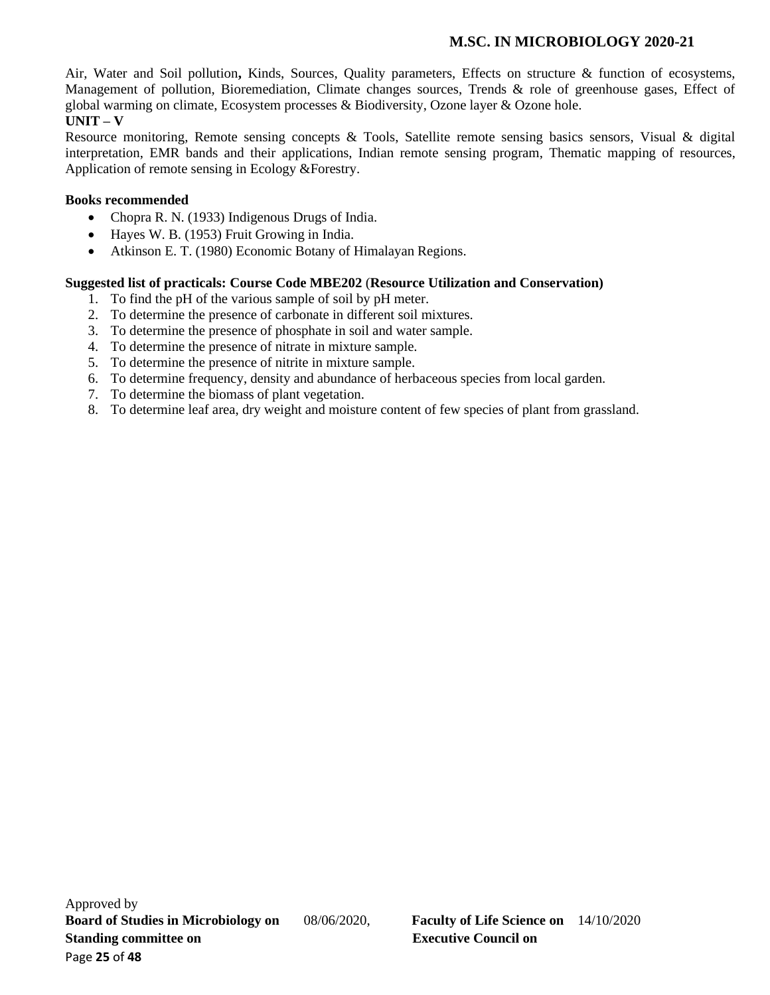Air, Water and Soil pollution**,** Kinds, Sources, Quality parameters, Effects on structure & function of ecosystems, Management of pollution, Bioremediation, Climate changes sources, Trends & role of greenhouse gases, Effect of global warming on climate, Ecosystem processes & Biodiversity, Ozone layer & Ozone hole.

# **UNIT – V**

Resource monitoring, Remote sensing concepts & Tools, Satellite remote sensing basics sensors, Visual & digital interpretation, EMR bands and their applications, Indian remote sensing program, Thematic mapping of resources, Application of remote sensing in Ecology &Forestry.

### **Books recommended**

- Chopra R. N. (1933) Indigenous Drugs of India.
- Hayes W. B. (1953) Fruit Growing in India.
- Atkinson E. T. (1980) Economic Botany of Himalayan Regions.

#### **Suggested list of practicals: Course Code MBE202** (**Resource Utilization and Conservation)**

- 1. To find the pH of the various sample of soil by pH meter.
- 2. To determine the presence of carbonate in different soil mixtures.
- 3. To determine the presence of phosphate in soil and water sample.
- 4. To determine the presence of nitrate in mixture sample.
- 5. To determine the presence of nitrite in mixture sample.
- 6. To determine frequency, density and abundance of herbaceous species from local garden.
- 7. To determine the biomass of plant vegetation.
- 8. To determine leaf area, dry weight and moisture content of few species of plant from grassland.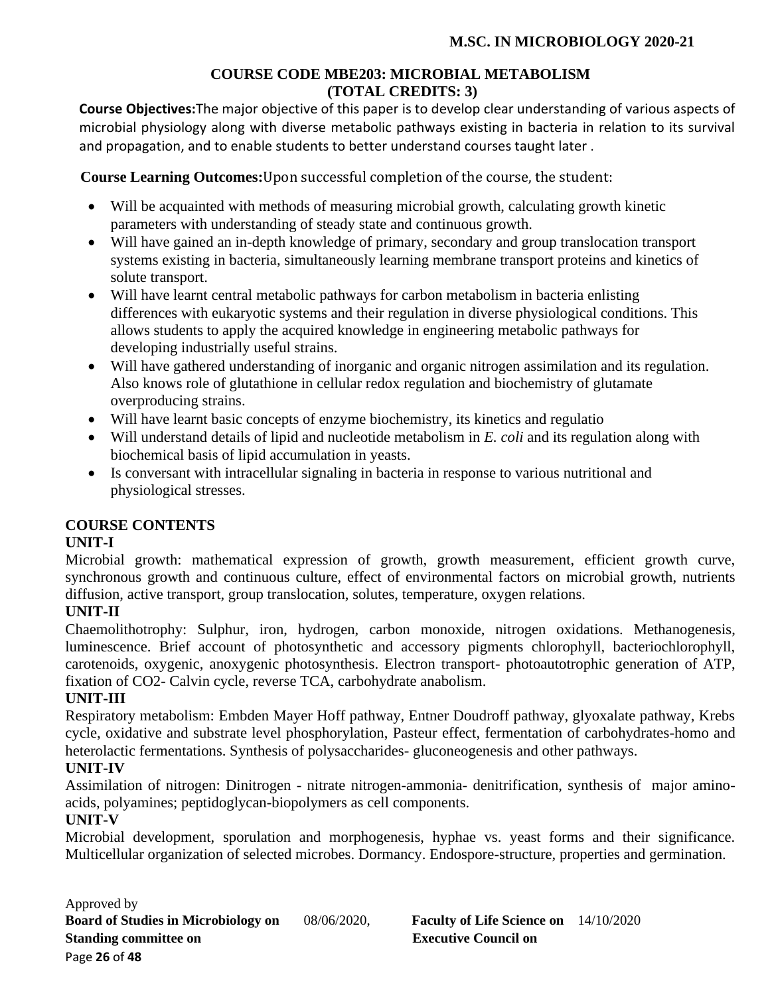## **COURSE CODE MBE203: MICROBIAL METABOLISM (TOTAL CREDITS: 3)**

**Course Objectives:**The major objective of this paper is to develop clear understanding of various aspects of microbial physiology along with diverse metabolic pathways existing in bacteria in relation to its survival and propagation, and to enable students to better understand courses taught later .

 **Course Learning Outcomes:**Upon successful completion of the course, the student:

- Will be acquainted with methods of measuring microbial growth, calculating growth kinetic parameters with understanding of steady state and continuous growth.
- Will have gained an in-depth knowledge of primary, secondary and group translocation transport systems existing in bacteria, simultaneously learning membrane transport proteins and kinetics of solute transport.
- Will have learnt central metabolic pathways for carbon metabolism in bacteria enlisting differences with eukaryotic systems and their regulation in diverse physiological conditions. This allows students to apply the acquired knowledge in engineering metabolic pathways for developing industrially useful strains.
- Will have gathered understanding of inorganic and organic nitrogen assimilation and its regulation. Also knows role of glutathione in cellular redox regulation and biochemistry of glutamate overproducing strains.
- Will have learnt basic concepts of enzyme biochemistry, its kinetics and regulatio
- Will understand details of lipid and nucleotide metabolism in *E. coli* and its regulation along with biochemical basis of lipid accumulation in yeasts.
- Is conversant with intracellular signaling in bacteria in response to various nutritional and physiological stresses.

# **COURSE CONTENTS**

# **UNIT-I**

Microbial growth: mathematical expression of growth, growth measurement, efficient growth curve, synchronous growth and continuous culture, effect of environmental factors on microbial growth, nutrients diffusion, active transport, group translocation, solutes, temperature, oxygen relations.

# **UNIT-II**

Chaemolithotrophy: Sulphur, iron, hydrogen, carbon monoxide, nitrogen oxidations. Methanogenesis, luminescence. Brief account of photosynthetic and accessory pigments chlorophyll, bacteriochlorophyll, carotenoids, oxygenic, anoxygenic photosynthesis. Electron transport- photoautotrophic generation of ATP, fixation of CO2- Calvin cycle, reverse TCA, carbohydrate anabolism.

## **UNIT-III**

Respiratory metabolism: Embden Mayer Hoff pathway, Entner Doudroff pathway, glyoxalate pathway, Krebs cycle, oxidative and substrate level phosphorylation, Pasteur effect, fermentation of carbohydrates-homo and heterolactic fermentations. Synthesis of polysaccharides- gluconeogenesis and other pathways.

## **UNIT-IV**

Assimilation of nitrogen: Dinitrogen - nitrate nitrogen-ammonia- denitrification, synthesis of major aminoacids, polyamines; peptidoglycan-biopolymers as cell components.

# **UNIT-V**

Microbial development, sporulation and morphogenesis, hyphae vs. yeast forms and their significance. Multicellular organization of selected microbes. Dormancy. Endospore-structure, properties and germination.

Approved by **Board of Studies in Microbiology on** 08/06/2020, **Faculty of Life Science on** 14/10/2020 **Standing committee on Executive Council on Algebra 2.5 Standing committee on Algebra 2.5 Standing Council on** Page **26** of **48**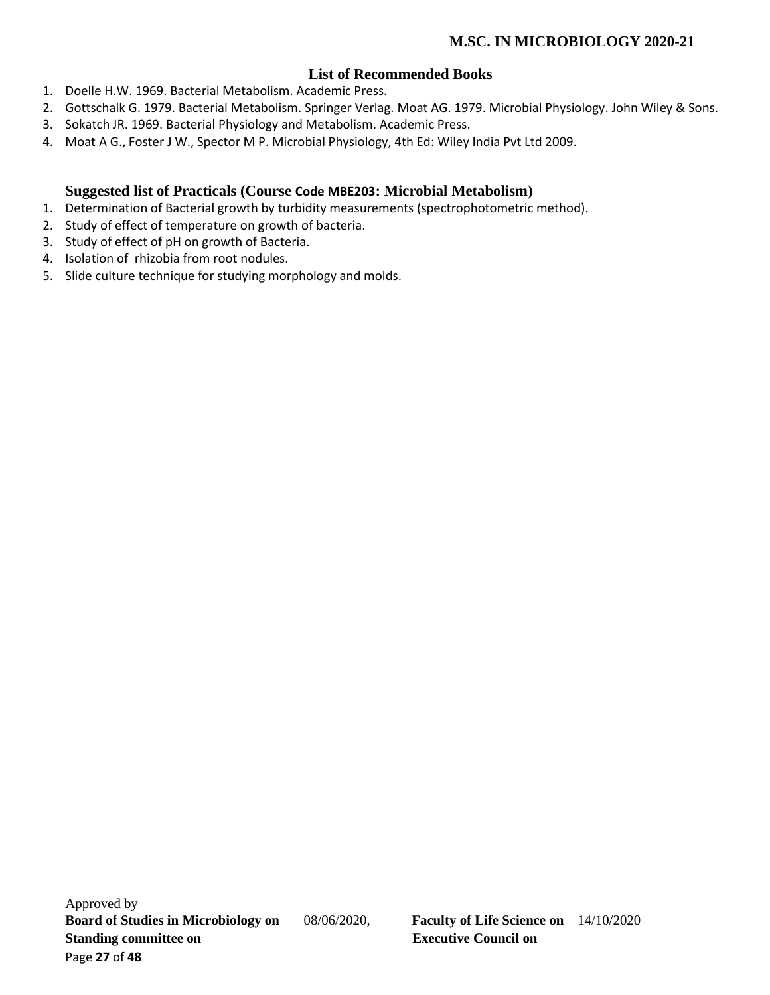# **List of Recommended Books**

- 1. Doelle H.W. 1969. Bacterial Metabolism. Academic Press.
- 2. Gottschalk G. 1979. Bacterial Metabolism. Springer Verlag. Moat AG. 1979. Microbial Physiology. John Wiley & Sons.
- 3. Sokatch JR. 1969. Bacterial Physiology and Metabolism. Academic Press.
- 4. Moat A G., Foster J W., Spector M P. Microbial Physiology, 4th Ed: Wiley India Pvt Ltd 2009.

## **Suggested list of Practicals (Course Code MBE203: Microbial Metabolism)**

- 1. Determination of Bacterial growth by turbidity measurements (spectrophotometric method).
- 2. Study of effect of temperature on growth of bacteria.
- 3. Study of effect of pH on growth of Bacteria.
- 4. Isolation of rhizobia from root nodules.
- 5. Slide culture technique for studying morphology and molds.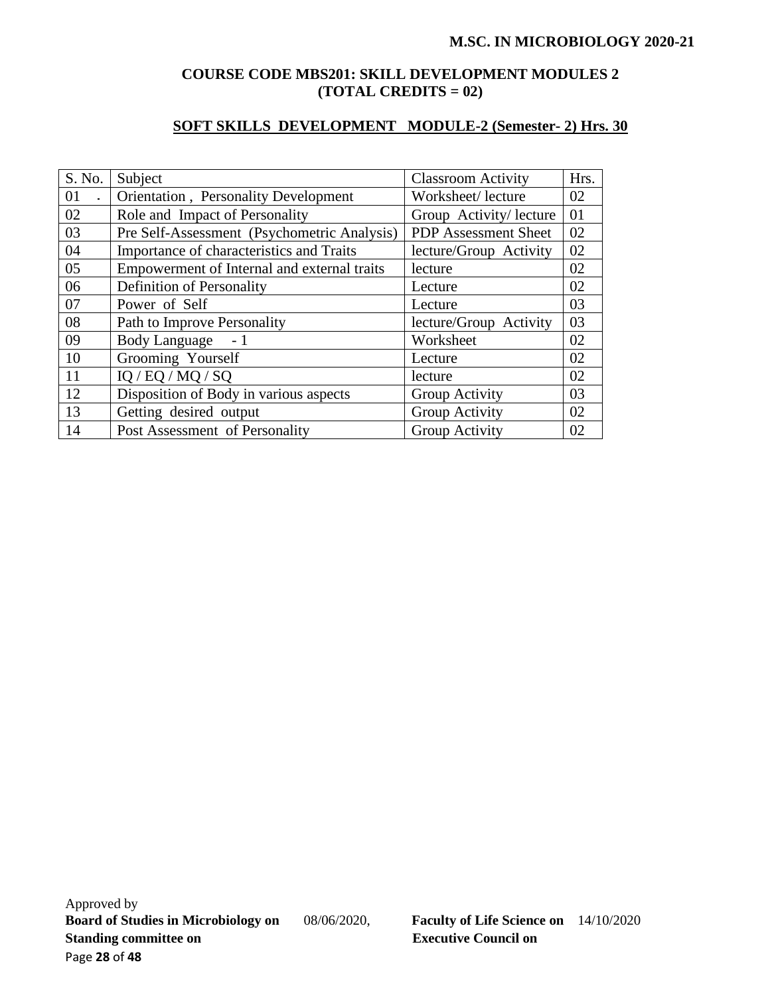## **COURSE CODE MBS201: SKILL DEVELOPMENT MODULES 2 (TOTAL CREDITS = 02)**

# **SOFT SKILLS DEVELOPMENT MODULE-2 (Semester- 2) Hrs. 30**

| S. No. | Subject                                     | <b>Classroom Activity</b>   | Hrs. |
|--------|---------------------------------------------|-----------------------------|------|
| 01     | Orientation, Personality Development        | Worksheet/lecture           | 02   |
| 02     | Role and Impact of Personality              | Group Activity/ lecture     | 01   |
| 03     | Pre Self-Assessment (Psychometric Analysis) | <b>PDP</b> Assessment Sheet | 02   |
| 04     | Importance of characteristics and Traits    | lecture/Group Activity      | 02   |
| 05     | Empowerment of Internal and external traits | lecture                     | 02   |
| 06     | Definition of Personality                   | Lecture                     | 02   |
| 07     | Power of Self                               | Lecture                     | 03   |
| 08     | Path to Improve Personality                 | lecture/Group Activity      | 03   |
| 09     | <b>Body Language</b><br>$-1$                | Worksheet                   | 02   |
| 10     | Grooming Yourself                           | Lecture                     | 02   |
| 11     | IQ / EQ / MQ / SQ                           | lecture                     | 02   |
| 12     | Disposition of Body in various aspects      | Group Activity              | 03   |
| 13     | Getting desired output                      | Group Activity              | 02   |
| 14     | Post Assessment of Personality              | Group Activity              | 02   |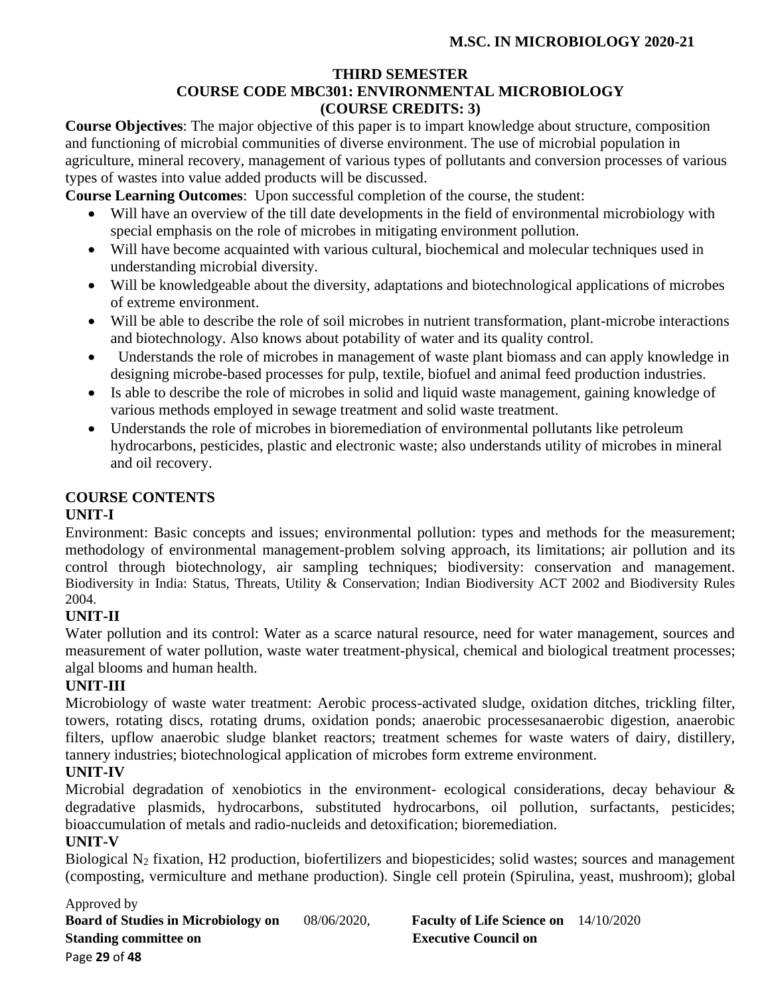## **THIRD SEMESTER**

# **COURSE CODE MBC301: ENVIRONMENTAL MICROBIOLOGY (COURSE CREDITS: 3)**

**Course Objectives**: The major objective of this paper is to impart knowledge about structure, composition and functioning of microbial communities of diverse environment. The use of microbial population in agriculture, mineral recovery, management of various types of pollutants and conversion processes of various types of wastes into value added products will be discussed.

**Course Learning Outcomes**: Upon successful completion of the course, the student:

- Will have an overview of the till date developments in the field of environmental microbiology with special emphasis on the role of microbes in mitigating environment pollution.
- Will have become acquainted with various cultural, biochemical and molecular techniques used in understanding microbial diversity.
- Will be knowledgeable about the diversity, adaptations and biotechnological applications of microbes of extreme environment.
- Will be able to describe the role of soil microbes in nutrient transformation, plant-microbe interactions and biotechnology. Also knows about potability of water and its quality control.
- Understands the role of microbes in management of waste plant biomass and can apply knowledge in designing microbe-based processes for pulp, textile, biofuel and animal feed production industries.
- Is able to describe the role of microbes in solid and liquid waste management, gaining knowledge of various methods employed in sewage treatment and solid waste treatment.
- Understands the role of microbes in bioremediation of environmental pollutants like petroleum hydrocarbons, pesticides, plastic and electronic waste; also understands utility of microbes in mineral and oil recovery.

# **COURSE CONTENTS**

# **UNIT-I**

Environment: Basic concepts and issues; environmental pollution: types and methods for the measurement; methodology of environmental management-problem solving approach, its limitations; air pollution and its control through biotechnology, air sampling techniques; biodiversity: conservation and management. Biodiversity in India: Status, Threats, Utility & Conservation; Indian Biodiversity ACT 2002 and Biodiversity Rules 2004.

# **UNIT-II**

Water pollution and its control: Water as a scarce natural resource, need for water management, sources and measurement of water pollution, waste water treatment-physical, chemical and biological treatment processes; algal blooms and human health.

# **UNIT-III**

Microbiology of waste water treatment: Aerobic process-activated sludge, oxidation ditches, trickling filter, towers, rotating discs, rotating drums, oxidation ponds; anaerobic processesanaerobic digestion, anaerobic filters, upflow anaerobic sludge blanket reactors; treatment schemes for waste waters of dairy, distillery, tannery industries; biotechnological application of microbes form extreme environment.

# **UNIT-IV**

Microbial degradation of xenobiotics in the environment- ecological considerations, decay behaviour & degradative plasmids, hydrocarbons, substituted hydrocarbons, oil pollution, surfactants, pesticides; bioaccumulation of metals and radio-nucleids and detoxification; bioremediation.

## **UNIT-V**

Biological N<sup>2</sup> fixation, H2 production, biofertilizers and biopesticides; solid wastes; sources and management (composting, vermiculture and methane production). Single cell protein (Spirulina, yeast, mushroom); global

## Approved by

**Board of Studies in Microbiology on** 08/06/2020, **Faculty of Life Science on** 14/10/2020 **Standing committee on Executive Council on Algebra 2.5 Standing committee on Algebra 2.5 Standing Council on** Page **29** of **48**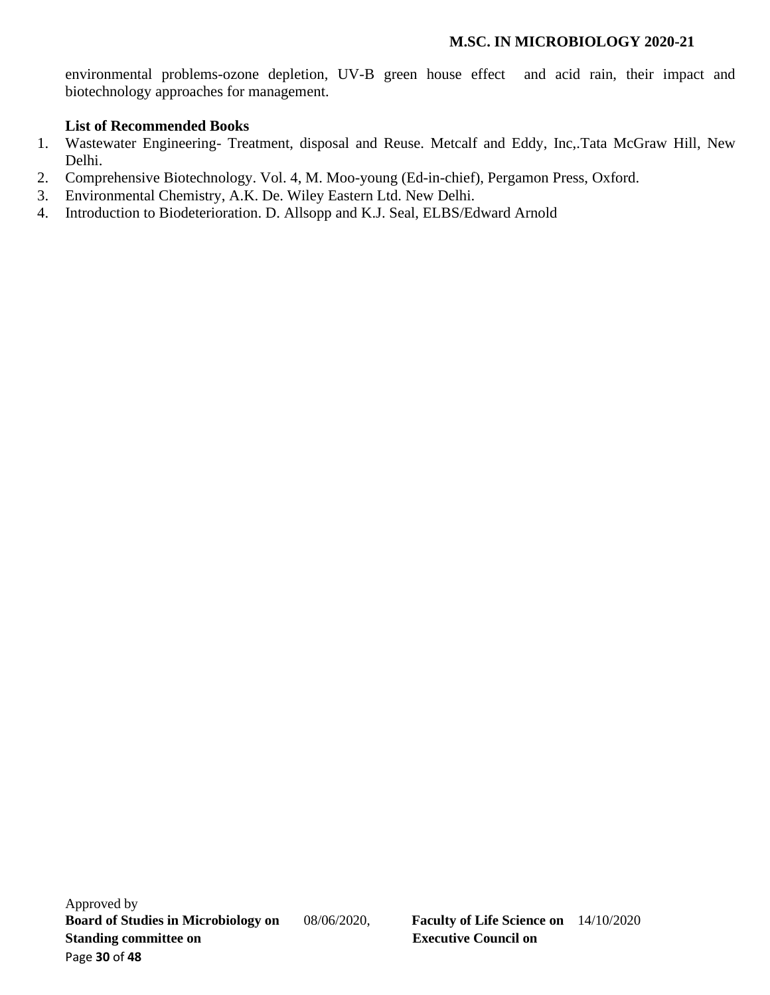environmental problems-ozone depletion, UV-B green house effect and acid rain, their impact and biotechnology approaches for management.

# **List of Recommended Books**

- 1. Wastewater Engineering- Treatment, disposal and Reuse. Metcalf and Eddy, Inc,.Tata McGraw Hill, New Delhi.
- 2. Comprehensive Biotechnology. Vol. 4, M. Moo-young (Ed-in-chief), Pergamon Press, Oxford.
- 3. Environmental Chemistry, A.K. De. Wiley Eastern Ltd. New Delhi.
- 4. Introduction to Biodeterioration. D. Allsopp and K.J. Seal, ELBS/Edward Arnold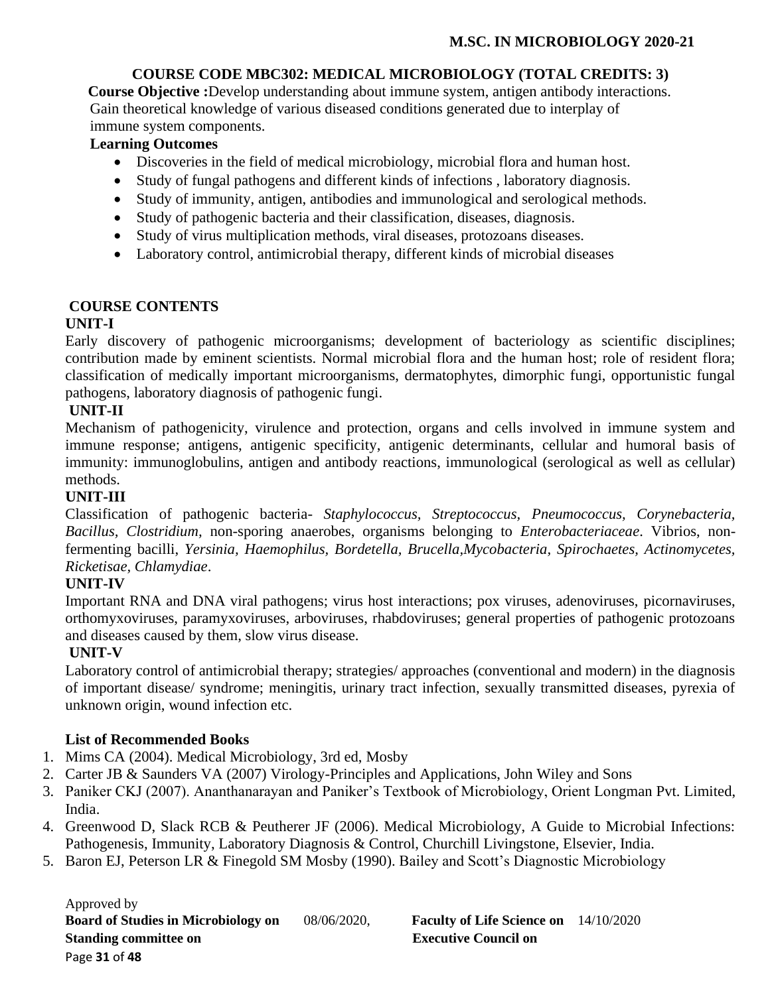# **COURSE CODE MBC302: MEDICAL MICROBIOLOGY (TOTAL CREDITS: 3)**

 **Course Objective :**Develop understanding about immune system, antigen antibody interactions. Gain theoretical knowledge of various diseased conditions generated due to interplay of immune system components.

# **Learning Outcomes**

- Discoveries in the field of medical microbiology, microbial flora and human host.
- Study of fungal pathogens and different kinds of infections , laboratory diagnosis.
- Study of immunity, antigen, antibodies and immunological and serological methods.
- Study of pathogenic bacteria and their classification, diseases, diagnosis.
- Study of virus multiplication methods, viral diseases, protozoans diseases.
- Laboratory control, antimicrobial therapy, different kinds of microbial diseases

# **COURSE CONTENTS**

# **UNIT-I**

Early discovery of pathogenic microorganisms; development of bacteriology as scientific disciplines; contribution made by eminent scientists. Normal microbial flora and the human host; role of resident flora; classification of medically important microorganisms, dermatophytes, dimorphic fungi, opportunistic fungal pathogens, laboratory diagnosis of pathogenic fungi.

# **UNIT-II**

Mechanism of pathogenicity, virulence and protection, organs and cells involved in immune system and immune response; antigens, antigenic specificity, antigenic determinants, cellular and humoral basis of immunity: immunoglobulins, antigen and antibody reactions, immunological (serological as well as cellular) methods.

# **UNIT-III**

Classification of pathogenic bacteria- *Staphylococcus, Streptococcus, Pneumococcus, Corynebacteria, Bacillus, Clostridium,* non-sporing anaerobes, organisms belonging to *Enterobacteriaceae*. Vibrios, nonfermenting bacilli, *Yersinia, Haemophilus, Bordetella, Brucella,Mycobacteria, Spirochaetes, Actinomycetes, Ricketisae, Chlamydiae*.

# **UNIT-IV**

Important RNA and DNA viral pathogens; virus host interactions; pox viruses, adenoviruses, picornaviruses, orthomyxoviruses, paramyxoviruses, arboviruses, rhabdoviruses; general properties of pathogenic protozoans and diseases caused by them, slow virus disease.

# **UNIT-V**

Laboratory control of antimicrobial therapy; strategies/ approaches (conventional and modern) in the diagnosis of important disease/ syndrome; meningitis, urinary tract infection, sexually transmitted diseases, pyrexia of unknown origin, wound infection etc.

# **List of Recommended Books**

- 1. Mims CA (2004). Medical Microbiology, 3rd ed, Mosby
- 2. Carter JB & Saunders VA (2007) Virology-Principles and Applications, John Wiley and Sons
- 3. Paniker CKJ (2007). Ananthanarayan and Paniker's Textbook of Microbiology, Orient Longman Pvt. Limited, India.
- 4. Greenwood D, Slack RCB & Peutherer JF (2006). Medical Microbiology, A Guide to Microbial Infections: Pathogenesis, Immunity, Laboratory Diagnosis & Control, Churchill Livingstone, Elsevier, India.
- 5. Baron EJ, Peterson LR & Finegold SM Mosby (1990). Bailey and Scott's Diagnostic Microbiology

Approved by **Board of Studies in Microbiology on** 08/06/2020, **Faculty of Life Science on** 14/10/2020 **Standing committee on Executive Council on Algebra 2.5 Standing committee on Algebra 2.5 Standing Council on** Page **31** of **48**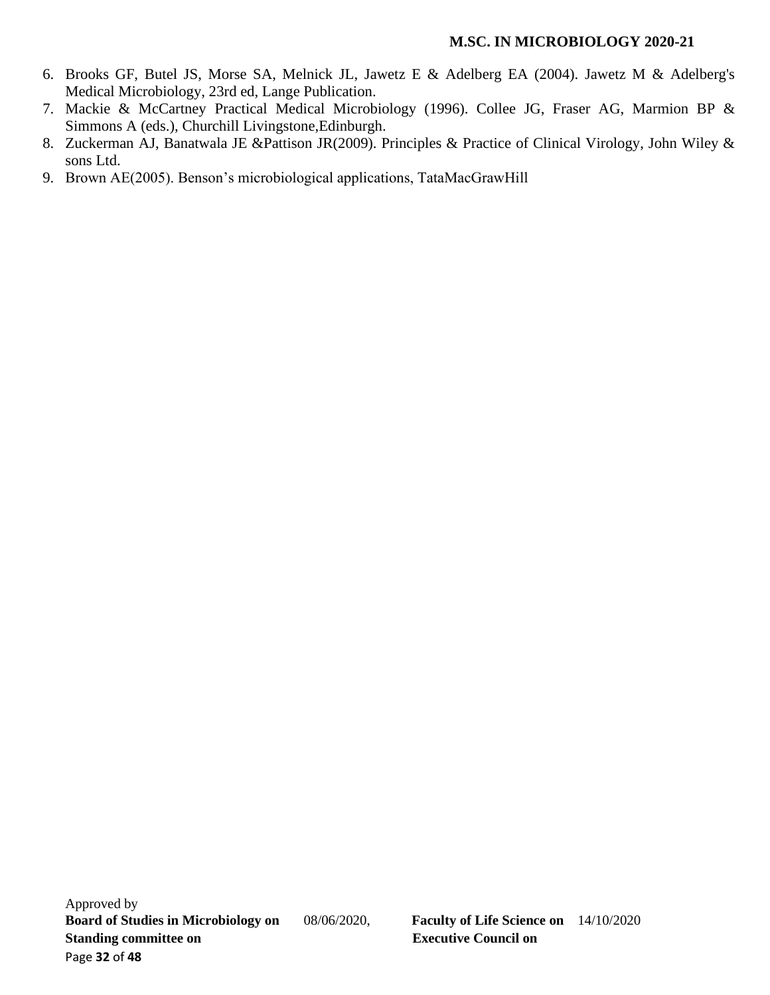- 6. Brooks GF, Butel JS, Morse SA, Melnick JL, Jawetz E & Adelberg EA (2004). Jawetz M & Adelberg's Medical Microbiology, 23rd ed, Lange Publication.
- 7. Mackie & McCartney Practical Medical Microbiology (1996). Collee JG, Fraser AG, Marmion BP & Simmons A (eds.), Churchill Livingstone,Edinburgh.
- 8. Zuckerman AJ, Banatwala JE &Pattison JR(2009). Principles & Practice of Clinical Virology, John Wiley & sons Ltd.
- 9. Brown AE(2005). Benson's microbiological applications, TataMacGrawHill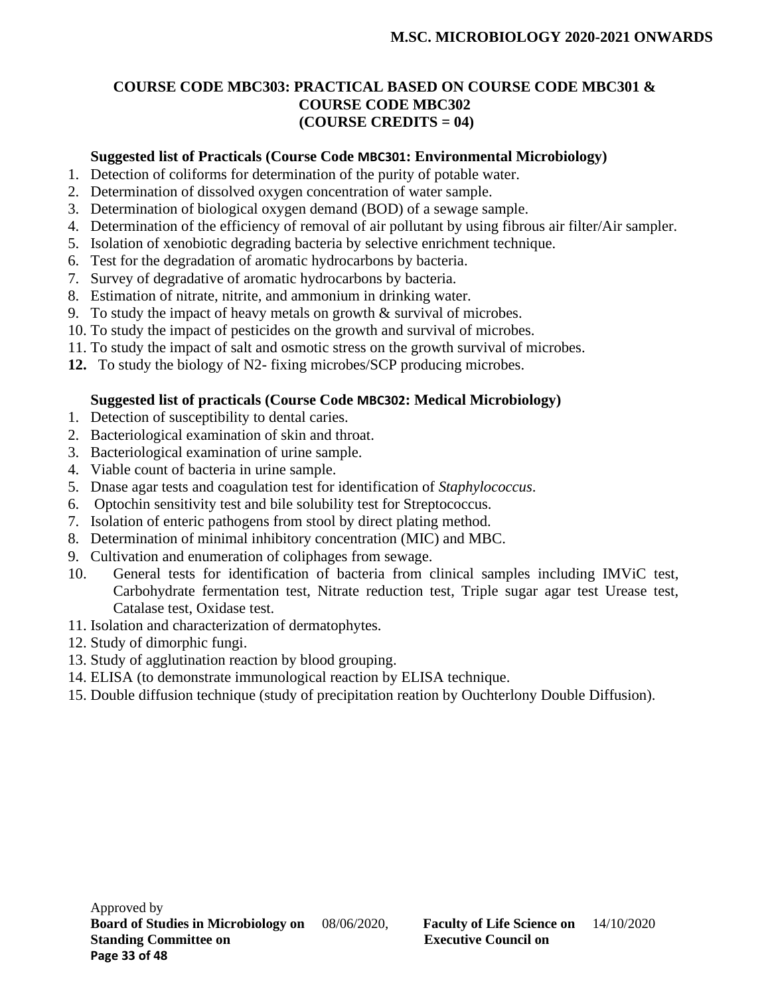# **COURSE CODE MBC303: PRACTICAL BASED ON COURSE CODE MBC301 & COURSE CODE MBC302 (COURSE CREDITS = 04)**

# **Suggested list of Practicals (Course Code MBC301: Environmental Microbiology)**

- 1. Detection of coliforms for determination of the purity of potable water.
- 2. Determination of dissolved oxygen concentration of water sample.
- 3. Determination of biological oxygen demand (BOD) of a sewage sample.
- 4. Determination of the efficiency of removal of air pollutant by using fibrous air filter/Air sampler.
- 5. Isolation of xenobiotic degrading bacteria by selective enrichment technique.
- 6. Test for the degradation of aromatic hydrocarbons by bacteria.
- 7. Survey of degradative of aromatic hydrocarbons by bacteria.
- 8. Estimation of nitrate, nitrite, and ammonium in drinking water.
- 9. To study the impact of heavy metals on growth  $\&$  survival of microbes.
- 10. To study the impact of pesticides on the growth and survival of microbes.
- 11. To study the impact of salt and osmotic stress on the growth survival of microbes.
- **12.** To study the biology of N2- fixing microbes/SCP producing microbes.

# **Suggested list of practicals (Course Code MBC302: Medical Microbiology)**

- 1. Detection of susceptibility to dental caries.
- 2. Bacteriological examination of skin and throat.
- 3. Bacteriological examination of urine sample.
- 4. Viable count of bacteria in urine sample.
- 5. Dnase agar tests and coagulation test for identification of *Staphylococcus*.
- 6. Optochin sensitivity test and bile solubility test for Streptococcus.
- 7. Isolation of enteric pathogens from stool by direct plating method.
- 8. Determination of minimal inhibitory concentration (MIC) and MBC.
- 9. Cultivation and enumeration of coliphages from sewage.
- 10. General tests for identification of bacteria from clinical samples including IMViC test, Carbohydrate fermentation test, Nitrate reduction test, Triple sugar agar test Urease test, Catalase test, Oxidase test.
- 11. Isolation and characterization of dermatophytes.
- 12. Study of dimorphic fungi.
- 13. Study of agglutination reaction by blood grouping.
- 14. ELISA (to demonstrate immunological reaction by ELISA technique.
- 15. Double diffusion technique (study of precipitation reation by Ouchterlony Double Diffusion).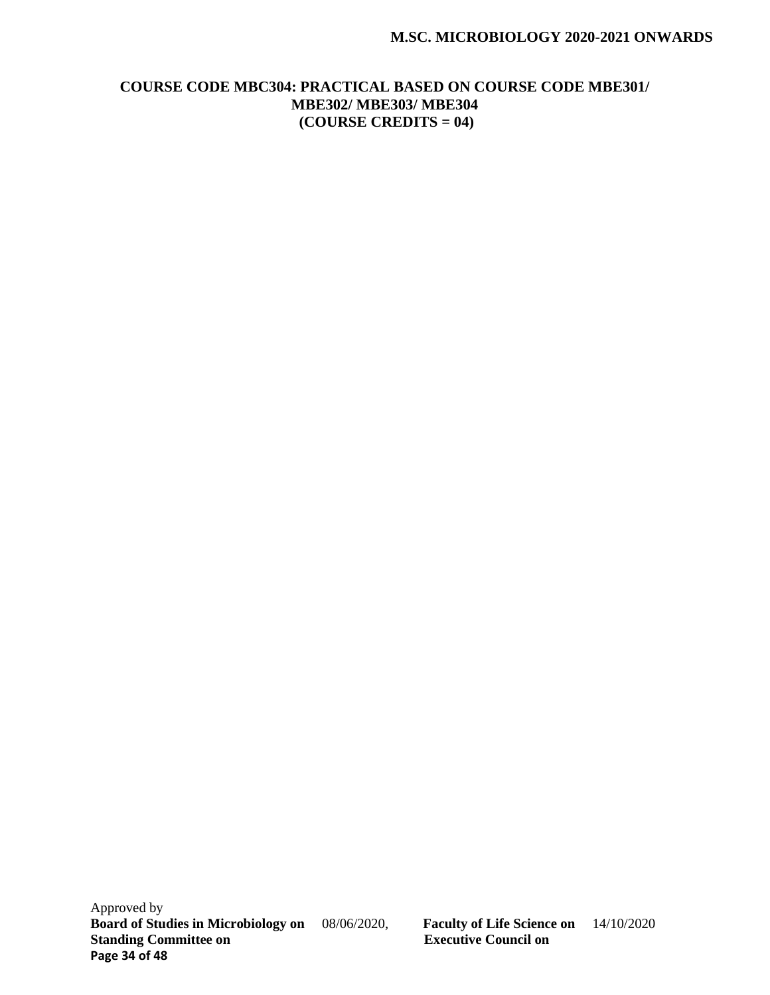## **M.SC. MICROBIOLOGY 2020-2021 ONWARDS**

# **COURSE CODE MBC304: PRACTICAL BASED ON COURSE CODE MBE301/ MBE302/ MBE303/ MBE304 (COURSE CREDITS = 04)**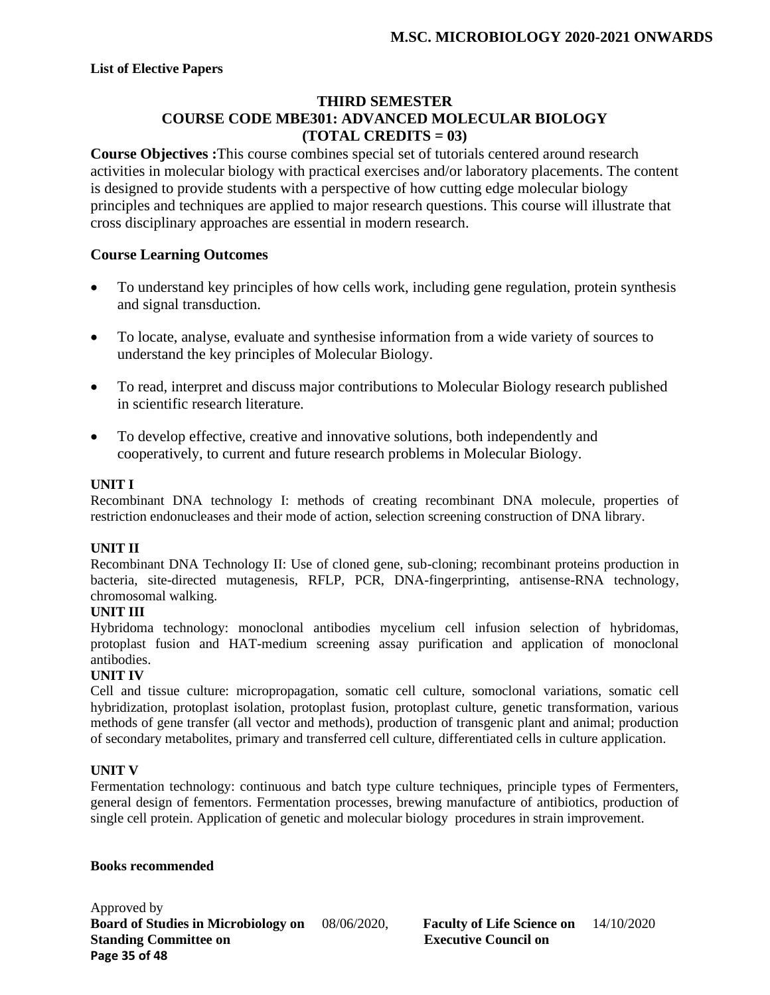# **THIRD SEMESTER COURSE CODE MBE301: ADVANCED MOLECULAR BIOLOGY (TOTAL CREDITS = 03)**

**Course Objectives :**This course combines special set of tutorials centered around research activities in molecular biology with practical exercises and/or laboratory placements. The content is designed to provide students with a perspective of how cutting edge molecular biology principles and techniques are applied to major research questions. This course will illustrate that cross disciplinary approaches are essential in modern research.

## **Course Learning Outcomes**

- To understand key principles of how cells work, including gene regulation, protein synthesis and signal transduction.
- To locate, analyse, evaluate and synthesise information from a wide variety of sources to understand the key principles of Molecular Biology.
- To read, interpret and discuss major contributions to Molecular Biology research published in scientific research literature.
- To develop effective, creative and innovative solutions, both independently and cooperatively, to current and future research problems in Molecular Biology.

### **UNIT I**

Recombinant DNA technology I: methods of creating recombinant DNA molecule, properties of restriction endonucleases and their mode of action, selection screening construction of DNA library.

#### **UNIT II**

Recombinant DNA Technology II: Use of cloned gene, sub-cloning; recombinant proteins production in bacteria, site-directed mutagenesis, RFLP, PCR, DNA-fingerprinting, antisense-RNA technology, chromosomal walking.

#### **UNIT III**

Hybridoma technology: monoclonal antibodies mycelium cell infusion selection of hybridomas, protoplast fusion and HAT-medium screening assay purification and application of monoclonal antibodies.

#### **UNIT IV**

Cell and tissue culture: micropropagation, somatic cell culture, somoclonal variations, somatic cell hybridization, protoplast isolation, protoplast fusion, protoplast culture, genetic transformation, various methods of gene transfer (all vector and methods), production of transgenic plant and animal; production of secondary metabolites, primary and transferred cell culture, differentiated cells in culture application.

#### **UNIT V**

Fermentation technology: continuous and batch type culture techniques, principle types of Fermenters, general design of fementors. Fermentation processes, brewing manufacture of antibiotics, production of single cell protein. Application of genetic and molecular biology procedures in strain improvement.

#### **Books recommended**

Approved by **Board of Studies in Microbiology on** 08/06/2020, **Faculty of Life Science on** 14/10/2020<br> **Standing Committee on Executive Council on Standing Committee on Page 35 of 48**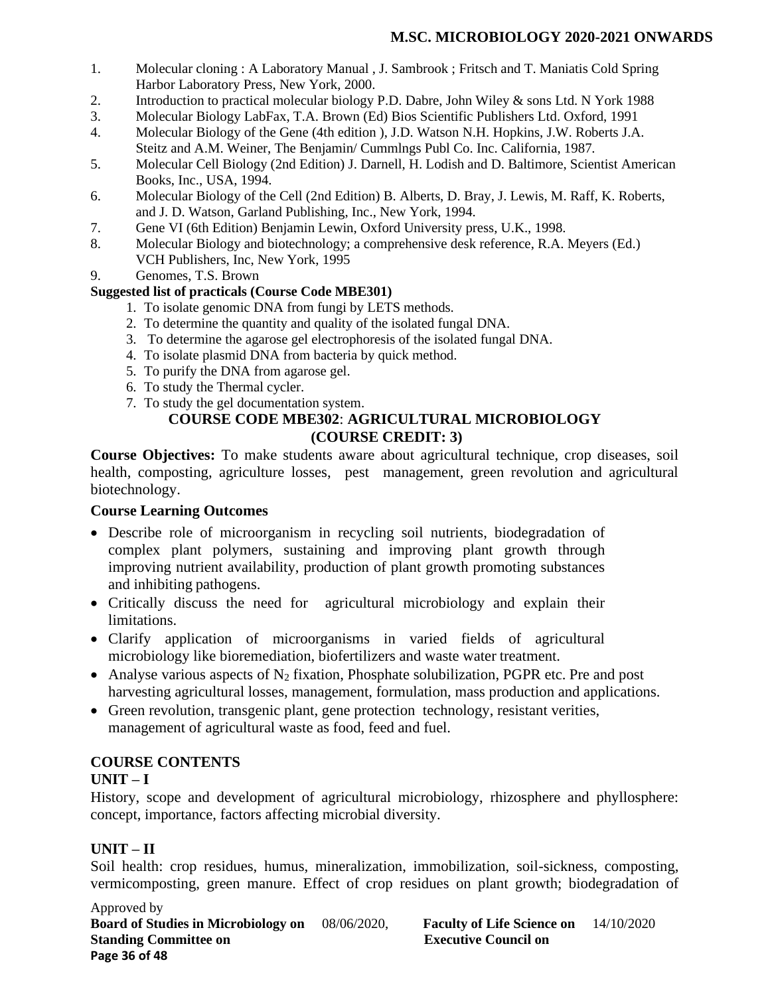- 1. Molecular cloning : A Laboratory Manual , J. Sambrook ; Fritsch and T. Maniatis Cold Spring Harbor Laboratory Press, New York, 2000.
- 2. Introduction to practical molecular biology P.D. Dabre, John Wiley & sons Ltd. N York 1988
- 3. Molecular Biology LabFax, T.A. Brown (Ed) Bios Scientific Publishers Ltd. Oxford, 1991
- 4. Molecular Biology of the Gene (4th edition ), J.D. Watson N.H. Hopkins, J.W. Roberts J.A. Steitz and A.M. Weiner, The Benjamin/ Cummlngs Publ Co. Inc. California, 1987.
- 5. Molecular Cell Biology (2nd Edition) J. Darnell, H. Lodish and D. Baltimore, Scientist American Books, Inc., USA, 1994.
- 6. Molecular Biology of the Cell (2nd Edition) B. Alberts, D. Bray, J. Lewis, M. Raff, K. Roberts, and J. D. Watson, Garland Publishing, Inc., New York, 1994.
- 7. Gene VI (6th Edition) Benjamin Lewin, Oxford University press, U.K., 1998.
- 8. Molecular Biology and biotechnology; a comprehensive desk reference, R.A. Meyers (Ed.) VCH Publishers, Inc, New York, 1995
- 9. Genomes, T.S. Brown

## **Suggested list of practicals (Course Code MBE301)**

- 1. To isolate genomic DNA from fungi by LETS methods.
- 2. To determine the quantity and quality of the isolated fungal DNA.
- 3. To determine the agarose gel electrophoresis of the isolated fungal DNA.
- 4. To isolate plasmid DNA from bacteria by quick method.
- 5. To purify the DNA from agarose gel.
- 6. To study the Thermal cycler.
- 7. To study the gel documentation system.

# **COURSE CODE MBE302**: **AGRICULTURAL MICROBIOLOGY (COURSE CREDIT: 3)**

**Course Objectives:** To make students aware about agricultural technique, crop diseases, soil health, composting, agriculture losses, pest management, green revolution and agricultural biotechnology.

## **Course Learning Outcomes**

- Describe role of microorganism in recycling soil nutrients, biodegradation of complex plant polymers, sustaining and improving plant growth through improving nutrient availability, production of plant growth promoting substances and inhibiting pathogens.
- Critically discuss the need for agricultural microbiology and explain their limitations.
- Clarify application of microorganisms in varied fields of agricultural microbiology like bioremediation, biofertilizers and waste water treatment.
- Analyse various aspects of  $N_2$  fixation, Phosphate solubilization, PGPR etc. Pre and post harvesting agricultural losses, management, formulation, mass production and applications.
- Green revolution, transgenic plant, gene protection technology, resistant verities, management of agricultural waste as food, feed and fuel.

# **COURSE CONTENTS**

## **UNIT – I**

History, scope and development of agricultural microbiology, rhizosphere and phyllosphere: concept, importance, factors affecting microbial diversity.

# **UNIT – II**

Soil health: crop residues, humus, mineralization, immobilization, soil-sickness, composting, vermicomposting, green manure. Effect of crop residues on plant growth; biodegradation of

Approved by **Board of Studies in Microbiology on** 08/06/2020, **Faculty of Life Science on** 14/10/2020 **Standing Committee on Executive Council on Page 36 of 48**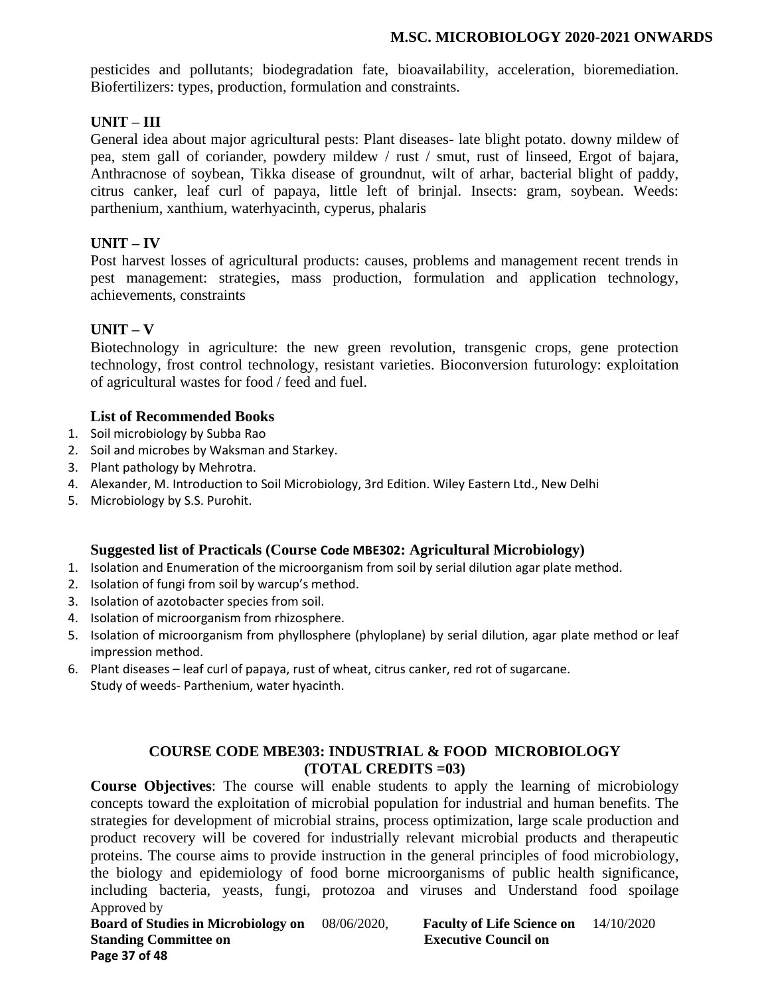## **M.SC. MICROBIOLOGY 2020-2021 ONWARDS**

pesticides and pollutants; biodegradation fate, bioavailability, acceleration, bioremediation. Biofertilizers: types, production, formulation and constraints.

# **UNIT – III**

General idea about major agricultural pests: Plant diseases- late blight potato. downy mildew of pea, stem gall of coriander, powdery mildew / rust / smut, rust of linseed, Ergot of bajara, Anthracnose of soybean, Tikka disease of groundnut, wilt of arhar, bacterial blight of paddy, citrus canker, leaf curl of papaya, little left of brinjal. Insects: gram, soybean. Weeds: parthenium, xanthium, waterhyacinth, cyperus, phalaris

# **UNIT – IV**

Post harvest losses of agricultural products: causes, problems and management recent trends in pest management: strategies, mass production, formulation and application technology, achievements, constraints

# **UNIT – V**

Biotechnology in agriculture: the new green revolution, transgenic crops, gene protection technology, frost control technology, resistant varieties. Bioconversion futurology: exploitation of agricultural wastes for food / feed and fuel.

## **List of Recommended Books**

- 1. Soil microbiology by Subba Rao
- 2. Soil and microbes by Waksman and Starkey.
- 3. Plant pathology by Mehrotra.
- 4. Alexander, M. Introduction to Soil Microbiology, 3rd Edition. Wiley Eastern Ltd., New Delhi
- 5. Microbiology by S.S. Purohit.

# **Suggested list of Practicals (Course Code MBE302: Agricultural Microbiology)**

- 1. Isolation and Enumeration of the microorganism from soil by serial dilution agar plate method.
- 2. Isolation of fungi from soil by warcup's method.
- 3. Isolation of azotobacter species from soil.
- 4. Isolation of microorganism from rhizosphere.
- 5. Isolation of microorganism from phyllosphere (phyloplane) by serial dilution, agar plate method or leaf impression method.
- 6. Plant diseases leaf curl of papaya, rust of wheat, citrus canker, red rot of sugarcane. Study of weeds- Parthenium, water hyacinth.

# **COURSE CODE MBE303: INDUSTRIAL & FOOD MICROBIOLOGY (TOTAL CREDITS =03)**

Approved by **Course Objectives**: The course will enable students to apply the learning of microbiology concepts toward the exploitation of microbial population for industrial and human benefits. The strategies for development of microbial strains, process optimization, large scale production and product recovery will be covered for industrially relevant microbial products and therapeutic proteins. The course aims to provide instruction in the general principles of food microbiology, the biology and epidemiology of food borne microorganisms of public health significance, including bacteria, yeasts, fungi, protozoa and viruses and Understand food spoilage

**Board of Studies in Microbiology on** 08/06/2020, **Faculty of Life Science on** 14/10/2020 **Standing Committee on Executive Council on Page 37 of 48**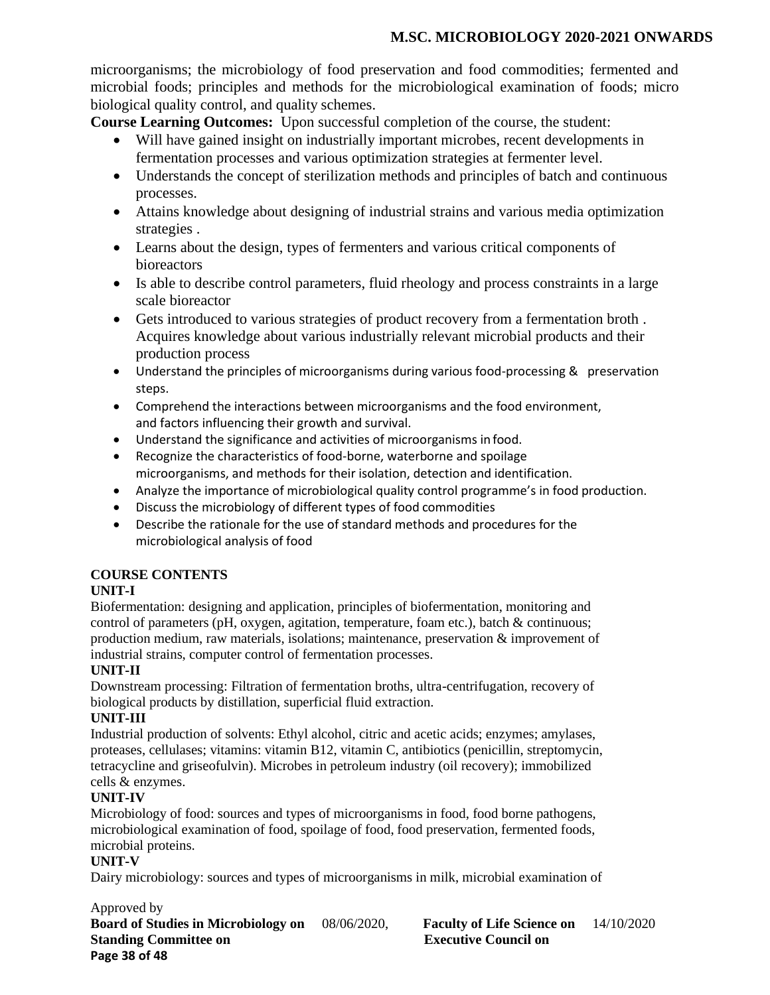microorganisms; the microbiology of food preservation and food commodities; fermented and microbial foods; principles and methods for the microbiological examination of foods; micro biological quality control, and quality schemes.

**Course Learning Outcomes:** Upon successful completion of the course, the student:

- Will have gained insight on industrially important microbes, recent developments in fermentation processes and various optimization strategies at fermenter level.
- Understands the concept of sterilization methods and principles of batch and continuous processes.
- Attains knowledge about designing of industrial strains and various media optimization strategies .
- Learns about the design, types of fermenters and various critical components of **bioreactors**
- Is able to describe control parameters, fluid rheology and process constraints in a large scale bioreactor
- Gets introduced to various strategies of product recovery from a fermentation broth . Acquires knowledge about various industrially relevant microbial products and their production process
- Understand the principles of microorganisms during various food-processing & preservation steps.
- Comprehend the interactions between microorganisms and the food environment, and factors influencing their growth and survival.
- Understand the significance and activities of microorganisms in food.
- Recognize the characteristics of food-borne, waterborne and spoilage microorganisms, and methods for their isolation, detection and identification.
- Analyze the importance of microbiological quality control programme's in food production.
- Discuss the microbiology of different types of food commodities
- Describe the rationale for the use of standard methods and procedures for the microbiological analysis of food

# **COURSE CONTENTS**

# **UNIT-I**

Biofermentation: designing and application, principles of biofermentation, monitoring and control of parameters (pH, oxygen, agitation, temperature, foam etc.), batch & continuous; production medium, raw materials, isolations; maintenance, preservation & improvement of industrial strains, computer control of fermentation processes.

# **UNIT-II**

Downstream processing: Filtration of fermentation broths, ultra-centrifugation, recovery of biological products by distillation, superficial fluid extraction.

# **UNIT-III**

Industrial production of solvents: Ethyl alcohol, citric and acetic acids; enzymes; amylases, proteases, cellulases; vitamins: vitamin B12, vitamin C, antibiotics (penicillin, streptomycin, tetracycline and griseofulvin). Microbes in petroleum industry (oil recovery); immobilized cells & enzymes.

# **UNIT-IV**

Microbiology of food: sources and types of microorganisms in food, food borne pathogens, microbiological examination of food, spoilage of food, food preservation, fermented foods, microbial proteins.

## **UNIT-V**

Dairy microbiology: sources and types of microorganisms in milk, microbial examination of

Approved by **Board of Studies in Microbiology on** 08/06/2020, **Faculty of Life Science on** 14/10/2020 **Standing Committee on Executive Council on Page 38 of 48**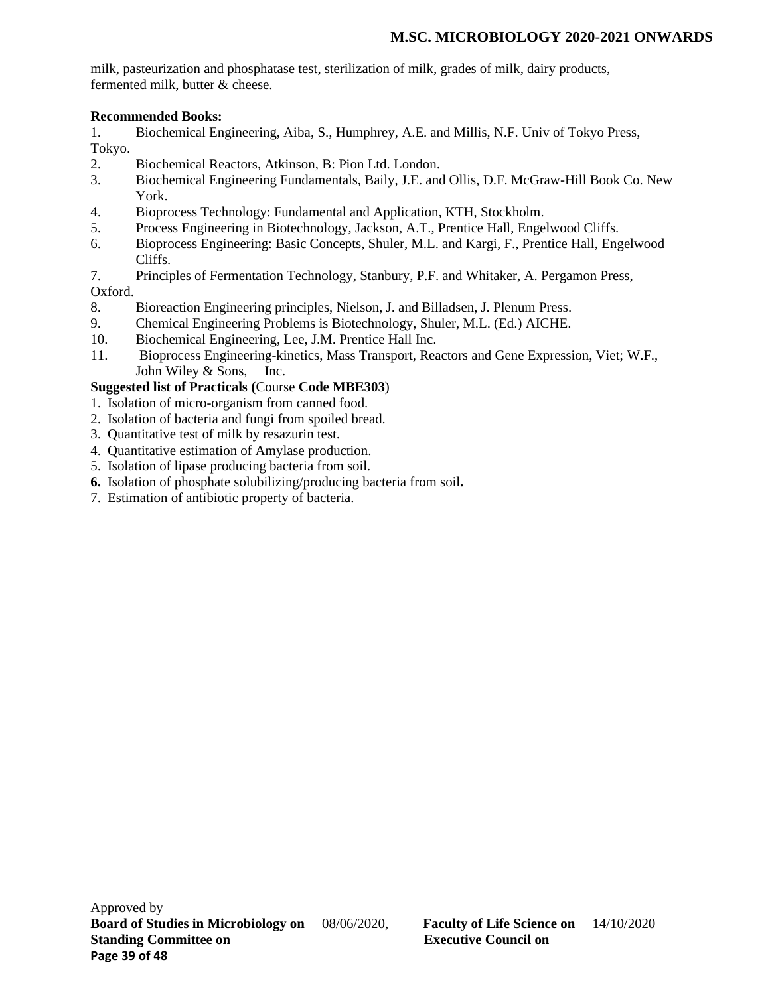milk, pasteurization and phosphatase test, sterilization of milk, grades of milk, dairy products, fermented milk, butter & cheese.

# **Recommended Books:**

1. Biochemical Engineering, Aiba, S., Humphrey, A.E. and Millis, N.F. Univ of Tokyo Press, Tokyo.

- 2. Biochemical Reactors, Atkinson, B: Pion Ltd. London.
- 3. Biochemical Engineering Fundamentals, Baily, J.E. and Ollis, D.F. McGraw-Hill Book Co. New York.
- 4. Bioprocess Technology: Fundamental and Application, KTH, Stockholm.
- 5. Process Engineering in Biotechnology, Jackson, A.T., Prentice Hall, Engelwood Cliffs.
- 6. Bioprocess Engineering: Basic Concepts, Shuler, M.L. and Kargi, F., Prentice Hall, Engelwood Cliffs.
- 7. Principles of Fermentation Technology, Stanbury, P.F. and Whitaker, A. Pergamon Press,

# Oxford.

- 8. Bioreaction Engineering principles, Nielson, J. and Billadsen, J. Plenum Press.
- 9. Chemical Engineering Problems is Biotechnology, Shuler, M.L. (Ed.) AICHE.
- 10. Biochemical Engineering, Lee, J.M. Prentice Hall Inc.
- 11. Bioprocess Engineering-kinetics, Mass Transport, Reactors and Gene Expression, Viet; W.F., John Wiley & Sons, Inc.

# **Suggested list of Practicals (**Course **Code MBE303**)

- 1. Isolation of micro-organism from canned food.
- 2. Isolation of bacteria and fungi from spoiled bread.
- 3. Quantitative test of milk by resazurin test.
- 4. Quantitative estimation of Amylase production.
- 5. Isolation of lipase producing bacteria from soil.
- **6.** Isolation of phosphate solubilizing/producing bacteria from soil**.**
- 7. Estimation of antibiotic property of bacteria.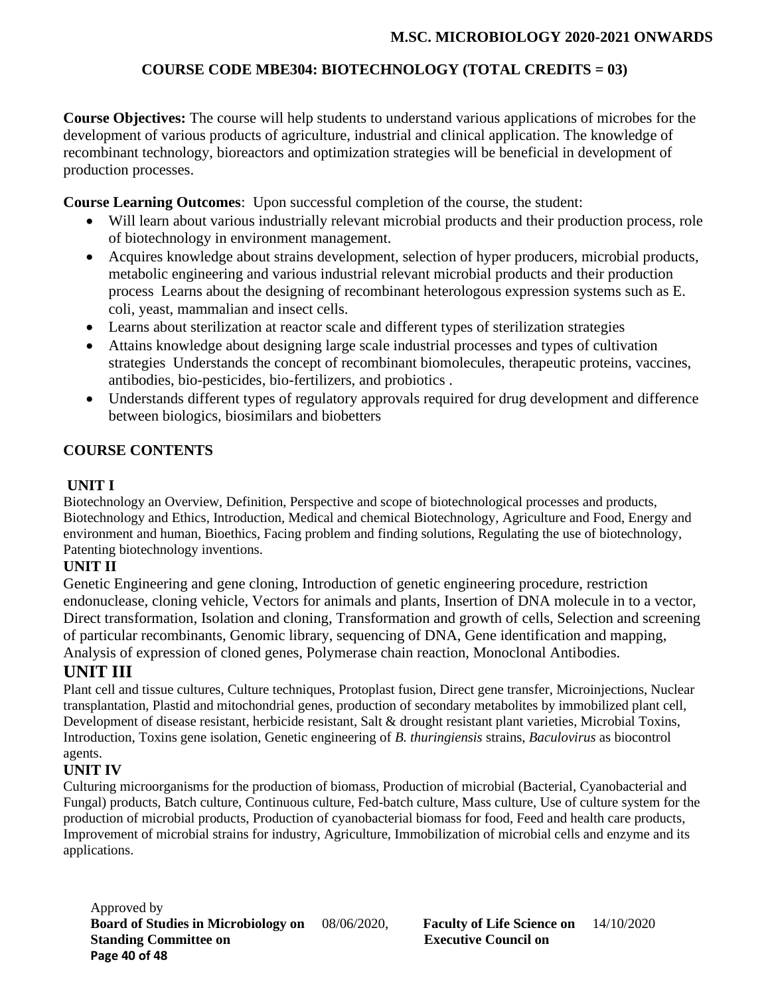# **M.SC. MICROBIOLOGY 2020-2021 ONWARDS**

# **COURSE CODE MBE304: BIOTECHNOLOGY (TOTAL CREDITS = 03)**

**Course Objectives:** The course will help students to understand various applications of microbes for the development of various products of agriculture, industrial and clinical application. The knowledge of recombinant technology, bioreactors and optimization strategies will be beneficial in development of production processes.

**Course Learning Outcomes**: Upon successful completion of the course, the student:

- Will learn about various industrially relevant microbial products and their production process, role of biotechnology in environment management.
- Acquires knowledge about strains development, selection of hyper producers, microbial products, metabolic engineering and various industrial relevant microbial products and their production process Learns about the designing of recombinant heterologous expression systems such as E. coli, yeast, mammalian and insect cells.
- Learns about sterilization at reactor scale and different types of sterilization strategies
- Attains knowledge about designing large scale industrial processes and types of cultivation strategies Understands the concept of recombinant biomolecules, therapeutic proteins, vaccines, antibodies, bio-pesticides, bio-fertilizers, and probiotics .
- Understands different types of regulatory approvals required for drug development and difference between biologics, biosimilars and biobetters

# **COURSE CONTENTS**

# **UNIT I**

Biotechnology an Overview, Definition, Perspective and scope of biotechnological processes and products, Biotechnology and Ethics, Introduction, Medical and chemical Biotechnology, Agriculture and Food, Energy and environment and human, Bioethics, Facing problem and finding solutions, Regulating the use of biotechnology, Patenting biotechnology inventions.

# **UNIT II**

Genetic Engineering and gene cloning, Introduction of genetic engineering procedure, restriction endonuclease, cloning vehicle, Vectors for animals and plants, Insertion of DNA molecule in to a vector, Direct transformation, Isolation and cloning, Transformation and growth of cells, Selection and screening of particular recombinants, Genomic library, sequencing of DNA, Gene identification and mapping, Analysis of expression of cloned genes, Polymerase chain reaction, Monoclonal Antibodies.

# **UNIT III**

Plant cell and tissue cultures, Culture techniques, Protoplast fusion, Direct gene transfer, Microinjections, Nuclear transplantation, Plastid and mitochondrial genes, production of secondary metabolites by immobilized plant cell, Development of disease resistant, herbicide resistant, Salt & drought resistant plant varieties, Microbial Toxins, Introduction, Toxins gene isolation, Genetic engineering of *B. thuringiensis* strains, *Baculovirus* as biocontrol agents.

# **UNIT IV**

Culturing microorganisms for the production of biomass, Production of microbial (Bacterial, Cyanobacterial and Fungal) products, Batch culture, Continuous culture, Fed-batch culture, Mass culture, Use of culture system for the production of microbial products, Production of cyanobacterial biomass for food, Feed and health care products, Improvement of microbial strains for industry, Agriculture, Immobilization of microbial cells and enzyme and its applications.

Approved by **Board of Studies in Microbiology on** 08/06/2020, **Faculty of Life Science on** 14/10/2020 **Standing Committee on Executive Council on Page 40 of 48**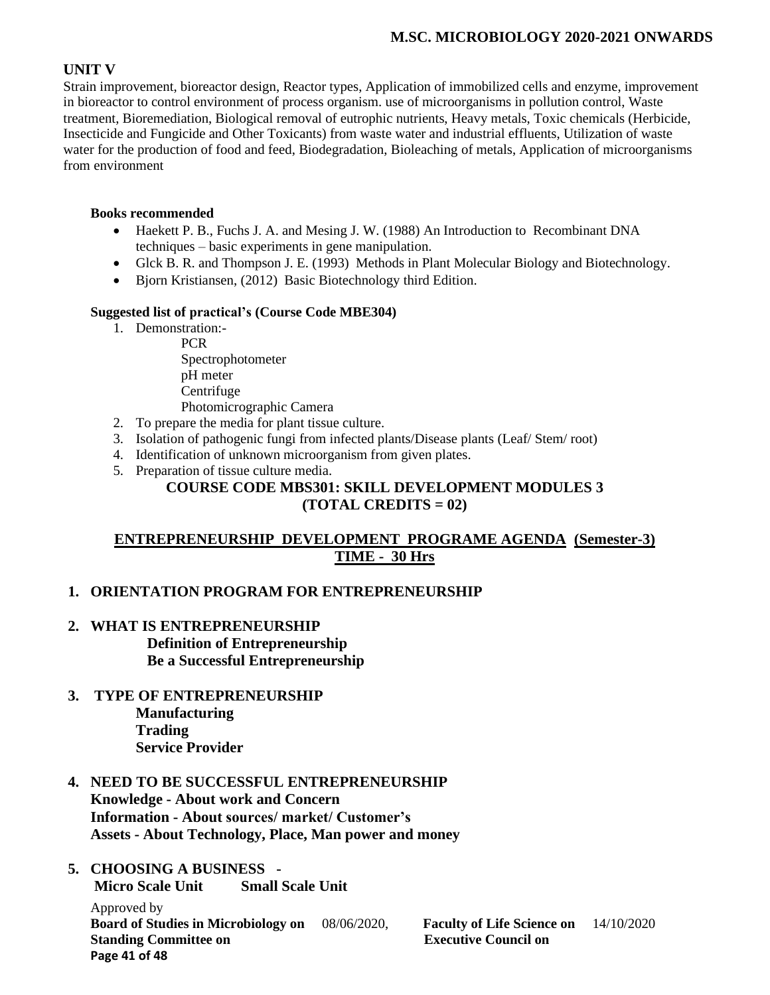# **M.SC. MICROBIOLOGY 2020-2021 ONWARDS**

# **UNIT V**

Strain improvement, bioreactor design, Reactor types, Application of immobilized cells and enzyme, improvement in bioreactor to control environment of process organism. use of microorganisms in pollution control, Waste treatment, Bioremediation, Biological removal of eutrophic nutrients, Heavy metals, Toxic chemicals (Herbicide, Insecticide and Fungicide and Other Toxicants) from waste water and industrial effluents, Utilization of waste water for the production of food and feed, Biodegradation, Bioleaching of metals, Application of microorganisms from environment

## **Books recommended**

- Haekett P. B., Fuchs J. A. and Mesing J. W. (1988) An Introduction to Recombinant DNA techniques – basic experiments in gene manipulation.
- Glck B. R. and Thompson J. E. (1993) Methods in Plant Molecular Biology and Biotechnology.
- Bjorn Kristiansen, (2012) Basic Biotechnology third Edition.

## **Suggested list of practical's (Course Code MBE304)**

1. Demonstration:-

PCR Spectrophotometer pH meter Centrifuge Photomicrographic Camera

- 2. To prepare the media for plant tissue culture.
- 3. Isolation of pathogenic fungi from infected plants/Disease plants (Leaf/ Stem/ root)
- 4. Identification of unknown microorganism from given plates.
- 5. Preparation of tissue culture media.

## **COURSE CODE MBS301: SKILL DEVELOPMENT MODULES 3 (TOTAL CREDITS = 02)**

# **ENTREPRENEURSHIP DEVELOPMENT PROGRAME AGENDA (Semester-3) TIME - 30 Hrs**

# **1. ORIENTATION PROGRAM FOR ENTREPRENEURSHIP**

- **2. WHAT IS ENTREPRENEURSHIP Definition of Entrepreneurship Be a Successful Entrepreneurship**
- **3. TYPE OF ENTREPRENEURSHIP Manufacturing Trading Service Provider**
- **4. NEED TO BE SUCCESSFUL ENTREPRENEURSHIP Knowledge - About work and Concern Information - About sources/ market/ Customer's Assets - About Technology, Place, Man power and money**

### **5. CHOOSING A BUSINESS - Micro Scale Unit Small Scale Unit**

Approved by **Board of Studies in Microbiology on** 08/06/2020, **Faculty of Life Science on** 14/10/2020 **Standing Committee on Executive Council on Page 41 of 48**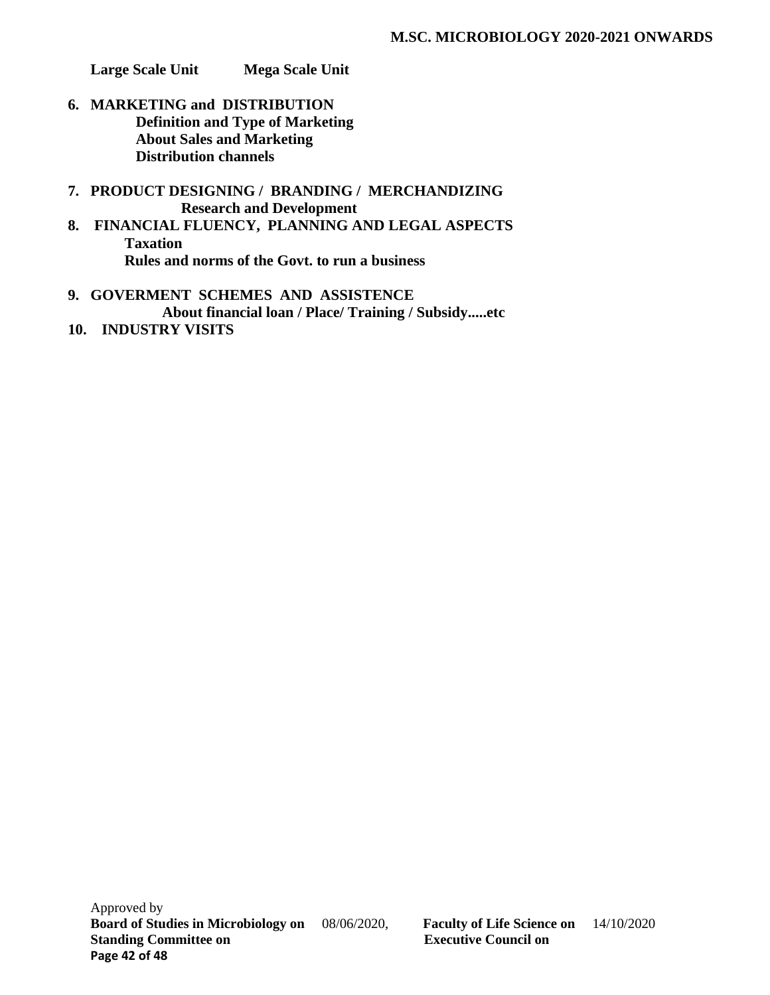**Large Scale Unit Mega Scale Unit** 

- **6. MARKETING and DISTRIBUTION Definition and Type of Marketing About Sales and Marketing Distribution channels**
- **7. PRODUCT DESIGNING / BRANDING / MERCHANDIZING Research and Development**
- **8. FINANCIAL FLUENCY, PLANNING AND LEGAL ASPECTS Taxation Rules and norms of the Govt. to run a business**
- **9. GOVERMENT SCHEMES AND ASSISTENCE About financial loan / Place/ Training / Subsidy.....etc**
- **10. INDUSTRY VISITS**